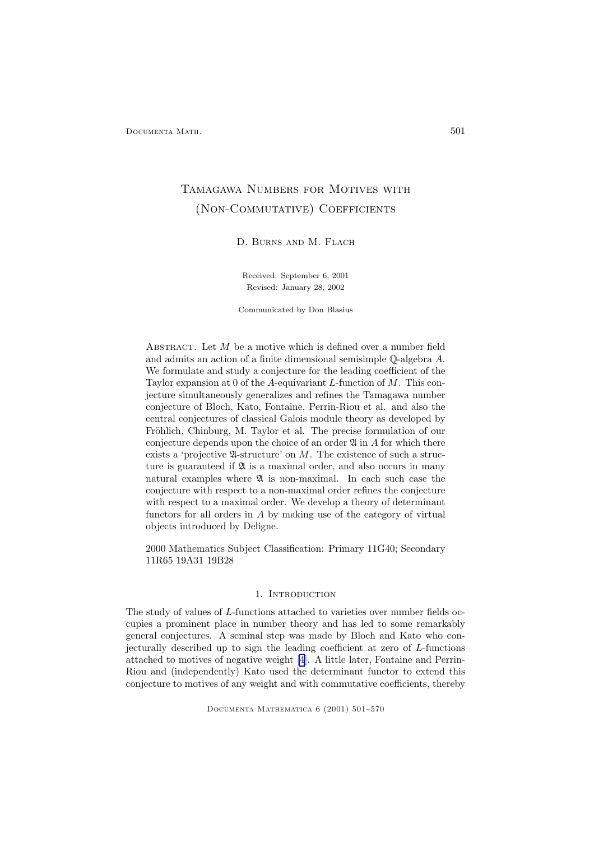# Tamagawa Numbers for Motives with (Non-Commutative) Coefficients

D. Burns and M. Flach

Received: September 6, 2001 Revised: January 28, 2002

Communicated by Don Blasius

ABSTRACT. Let  $M$  be a motive which is defined over a number field and admits an action of a finite dimensional semisimple Q-algebra A. We formulate and study a conjecture for the leading coefficient of the Taylor expansion at 0 of the A-equivariant L-function of  $M$ . This conjecture simultaneously generalizes and refines the Tamagawa number conjecture of Bloch, Kato, Fontaine, Perrin-Riou et al. and also the central conjectures of classical Galois module theory as developed by Fröhlich, Chinburg, M. Taylor et al. The precise formulation of our conjecture depends upon the choice of an order  $\mathfrak A$  in A for which there exists a 'projective  $\mathfrak A$ -structure' on M. The existence of such a structure is guaranteed if  $\mathfrak A$  is a maximal order, and also occurs in many natural examples where  $\mathfrak A$  is non-maximal. In each such case the conjecture with respect to a non-maximal order refines the conjecture with respect to a maximal order. We develop a theory of determinant functors for all orders in A by making use of the category of virtual objects introduced by Deligne.

2000 Mathematics Subject Classification: Primary 11G40; Secondary 11R65 19A31 19B28

# 1. INTRODUCTION

The study of values of L-functions attached to varieties over number fields occupies a prominent place in number theory and has led to some remarkably general conjectures. A seminal step was made by Bloch and Kato who conjecturally described up to sign the leading coefficient at zero of L-functions attached to motives of negative weight [\[4](#page-67-0)]. A little later, Fontaine and Perrin-Riou and (independently) Kato used the determinant functor to extend this conjecture to motives of any weight and with commutative coefficients, thereby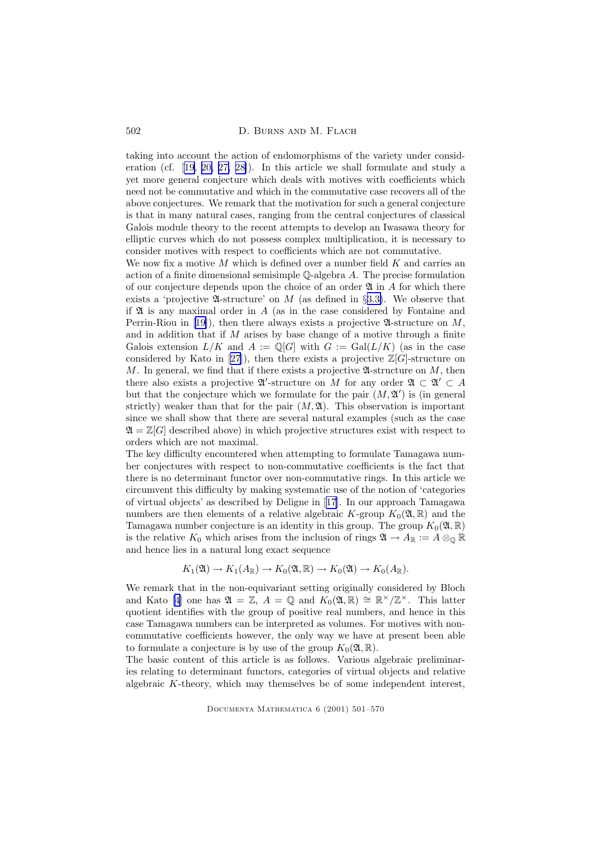taking into account the action of endomorphisms of the variety under consideration (cf. [[19,](#page-68-0) [20,](#page-68-0) [27,](#page-68-0) [28\]](#page-68-0)). In this article we shall formulate and study a yet more general conjecture which deals with motives with coefficients which need not be commutative and which in the commutative case recovers all of the above conjectures. We remark that the motivation for such a general conjecture is that in many natural cases, ranging from the central conjectures of classical Galois module theory to the recent attempts to develop an Iwasawa theory for elliptic curves which do not possess complex multiplication, it is necessary to consider motives with respect to coefficients which are not commutative.

We now fix a motive M which is defined over a number field  $K$  and carries an action of a finite dimensional semisimple  $\mathbb Q$ -algebra A. The precise formulation of our conjecture depends upon the choice of an order  $\mathfrak A$  in A for which there exists a 'projective  $\mathfrak A$ -structure' on M (as defined in §[3.3\)](#page-22-0). We observe that if  $\mathfrak A$  is any maximal order in  $A$  (as in the case considered by Fontaine and Perrin-Riou in [[19\]](#page-68-0)), then there always exists a projective  $\mathfrak{A}$ -structure on M, and in addition that if  $M$  arises by base change of a motive through a finite Galois extension  $L/K$  and  $A := \mathbb{Q}[G]$  with  $G := \text{Gal}(L/K)$  (as in the case considered by Kato in [\[27](#page-68-0)]), then there exists a projective  $\mathbb{Z}[G]$ -structure on M. In general, we find that if there exists a projective  $\mathfrak A$ -structure on M, then there also exists a projective  $\mathfrak{A}'$ -structure on M for any order  $\mathfrak{A} \subset \mathfrak{A}' \subset A$ but that the conjecture which we formulate for the pair  $(M, \mathfrak{A}')$  is (in general strictly) weaker than that for the pair  $(M, \mathfrak{A})$ . This observation is important since we shall show that there are several natural examples (such as the case  $\mathfrak{A} = \mathbb{Z}[G]$  described above) in which projective structures exist with respect to orders which are not maximal.

The key difficulty encountered when attempting to formulate Tamagawa number conjectures with respect to non-commutative coefficients is the fact that there is no determinant functor over non-commutative rings. In this article we circumvent this difficulty by making systematic use of the notion of 'categories of virtual objects' as described by Deligne in [[17\]](#page-68-0). In our approach Tamagawa numbers are then elements of a relative algebraic K-group  $K_0(\mathfrak{A}, \mathbb{R})$  and the Tamagawa number conjecture is an identity in this group. The group  $K_0(\mathfrak{A}, \mathbb{R})$ is the relative  $K_0$  which arises from the inclusion of rings  $\mathfrak{A} \to A_{\mathbb{R}} := A \otimes_{\mathbb{Q}} \mathbb{R}$ and hence lies in a natural long exact sequence

$$
K_1(\mathfrak{A}) \to K_1(A_{\mathbb{R}}) \to K_0(\mathfrak{A}, \mathbb{R}) \to K_0(\mathfrak{A}) \to K_0(A_{\mathbb{R}}).
$$

We remark that in the non-equivariant setting originally considered by Bloch and Kato [\[4](#page-67-0)] one has  $\mathfrak{A} = \mathbb{Z}$ ,  $A = \mathbb{Q}$  and  $K_0(\mathfrak{A}, \mathbb{R}) \cong \mathbb{R}^\times/\mathbb{Z}^\times$ . This latter quotient identifies with the group of positive real numbers, and hence in this case Tamagawa numbers can be interpreted as volumes. For motives with noncommutative coefficients however, the only way we have at present been able to formulate a conjecture is by use of the group  $K_0(\mathfrak{A}, \mathbb{R})$ .

The basic content of this article is as follows. Various algebraic preliminaries relating to determinant functors, categories of virtual objects and relative algebraic K-theory, which may themselves be of some independent interest,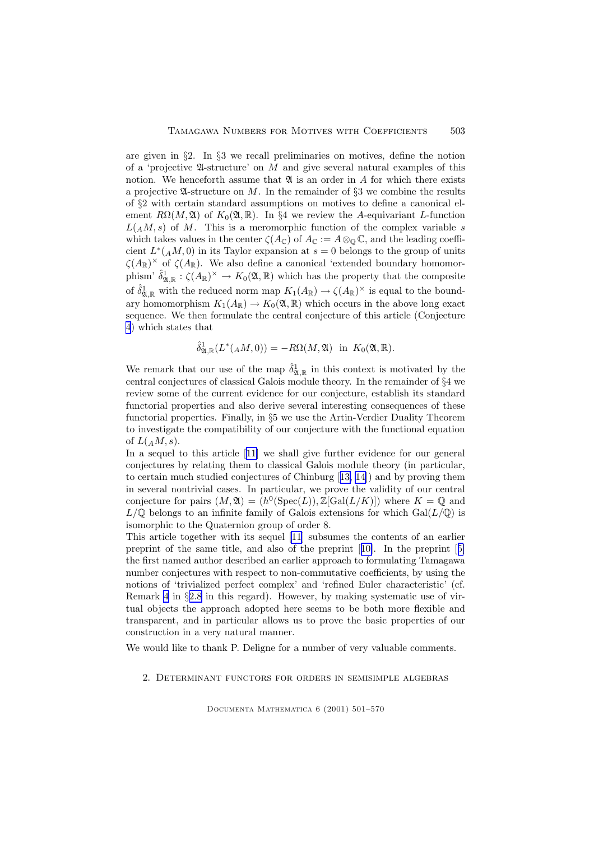are given in §2. In §3 we recall preliminaries on motives, define the notion of a 'projective  $\mathfrak A$ -structure' on M and give several natural examples of this notion. We henceforth assume that  $\mathfrak A$  is an order in A for which there exists a projective  $\mathfrak A$ -structure on M. In the remainder of §3 we combine the results of §2 with certain standard assumptions on motives to define a canonical element  $R\Omega(M, \mathfrak{A})$  of  $K_0(\mathfrak{A}, \mathbb{R})$ . In §4 we review the A-equivariant L-function  $L(A,M,s)$  of M. This is a meromorphic function of the complex variable s which takes values in the center  $\zeta(A_{\mathbb{C}})$  of  $A_{\mathbb{C}} := A \otimes_{\mathbb{O}} \mathbb{C}$ , and the leading coefficient  $L^*(<sub>A</sub>M, 0)$  in its Taylor expansion at  $s = 0$  belongs to the group of units  $\zeta(A_{\mathbb{R}})^{\times}$  of  $\zeta(A_{\mathbb{R}})$ . We also define a canonical 'extended boundary homomorphism'  $\hat{\delta}_{\mathfrak{A},\mathbb{R}}^1:\zeta(A_\mathbb{R})^\times\to K_0(\mathfrak{A},\mathbb{R})$  which has the property that the composite of  $\hat{\delta}_{\mathfrak{A},\mathbb{R}}^1$  with the reduced norm map  $K_1(A_\mathbb{R}) \to \zeta(A_\mathbb{R})^\times$  is equal to the boundary homomorphism  $K_1(A_{\mathbb{R}}) \to K_0(\mathfrak{A}, \mathbb{R})$  which occurs in the above long exact sequence. We then formulate the central conjecture of this article (Conjecture [4](#page-34-0)) which states that

$$
\hat{\delta}_{\mathfrak{A},\mathbb{R}}^1(L^*(A M,0)) = -R\Omega(M,\mathfrak{A}) \text{ in } K_0(\mathfrak{A},\mathbb{R}).
$$

We remark that our use of the map  $\hat{\delta}^1_{\mathfrak{A},\mathbb{R}}$  in this context is motivated by the central conjectures of classical Galois module theory. In the remainder of §4 we review some of the current evidence for our conjecture, establish its standard functorial properties and also derive several interesting consequences of these functorial properties. Finally, in §5 we use the Artin-Verdier Duality Theorem to investigate the compatibility of our conjecture with the functional equation of  $L(A,M,s)$ .

In a sequel to this article [[11\]](#page-67-0) we shall give further evidence for our general conjectures by relating them to classical Galois module theory (in particular, to certain much studied conjectures of Chinburg [[13,](#page-67-0) [14](#page-67-0)]) and by proving them in several nontrivial cases. In particular, we prove the validity of our central conjecture for pairs  $(M, \mathfrak{A}) = (h^0(\text{Spec}(L)), \mathbb{Z}[\text{Gal}(L/K)])$  where  $K = \mathbb{Q}$  and  $L/\mathbb{Q}$  belongs to an infinite family of Galois extensions for which  $Gal(L/\mathbb{Q})$  is isomorphic to the Quaternion group of order 8.

This article together with its sequel [\[11](#page-67-0)] subsumes the contents of an earlier preprint of the same title, and also of the preprint [[10\]](#page-67-0). In the preprint [[5\]](#page-67-0) the first named author described an earlier approach to formulating Tamagawa number conjectures with respect to non-commutative coefficients, by using the notions of 'trivialized perfect complex' and 'refined Euler characteristic' (cf. Remark [4](#page-14-0) in §[2.8](#page-13-0) in this regard). However, by making systematic use of virtual objects the approach adopted here seems to be both more flexible and transparent, and in particular allows us to prove the basic properties of our construction in a very natural manner.

We would like to thank P. Deligne for a number of very valuable comments.

#### 2. Determinant functors for orders in semisimple algebras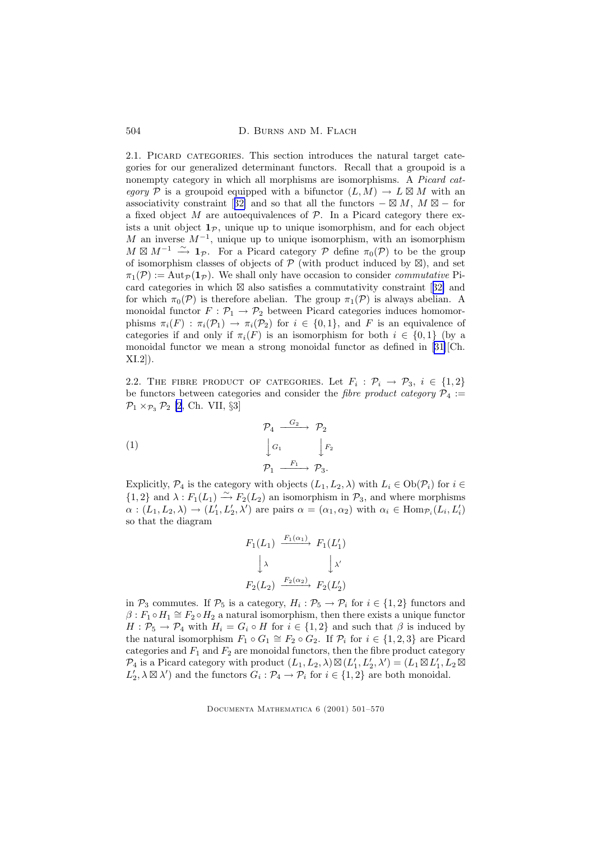<span id="page-3-0"></span>504 D. BURNS AND M. FLACH

2.1. PICARD CATEGORIES. This section introduces the natural target categories for our generalized determinant functors. Recall that a groupoid is a nonempty category in which all morphisms are isomorphisms. A Picard category P is a groupoid equipped with a bifunctor  $(L, M) \to L \boxtimes M$  with an associativity constraint [[32\]](#page-68-0) and so that all the functors  $-\boxtimes M$ ,  $M\boxtimes -$  for a fixed object M are autoequivalences of  $P$ . In a Picard category there exists a unit object  $1<sub>p</sub>$ , unique up to unique isomorphism, and for each object M an inverse  $M^{-1}$ , unique up to unique isomorphism, with an isomorphism  $M \boxtimes M^{-1} \stackrel{\sim}{\longrightarrow} \mathbf{1}_{\mathcal{P}}$ . For a Picard category  $\mathcal{P}$  define  $\pi_0(\mathcal{P})$  to be the group of isomorphism classes of objects of  $P$  (with product induced by  $\boxtimes$ ), and set  $\pi_1(\mathcal{P}) := \text{Aut}_{\mathcal{P}}(\mathbf{1}_{\mathcal{P}})$ . We shall only have occasion to consider *commutative* Picard categories in which  $\boxtimes$  also satisfies a commutativity constraint [[32\]](#page-68-0) and for which  $\pi_0(\mathcal{P})$  is therefore abelian. The group  $\pi_1(\mathcal{P})$  is always abelian. A monoidal functor  $F : \mathcal{P}_1 \to \mathcal{P}_2$  between Picard categories induces homomorphisms  $\pi_i(F) : \pi_i(\mathcal{P}_1) \to \pi_i(\mathcal{P}_2)$  for  $i \in \{0,1\}$ , and F is an equivalence of categories if and only if  $\pi_i(F)$  is an isomorphism for both  $i \in \{0,1\}$  (by a monoidal functor we mean a strong monoidal functor as defined in [\[31\]](#page-68-0)[Ch. XI.2]).

2.2. THE FIBRE PRODUCT OF CATEGORIES. Let  $F_i: \mathcal{P}_i \to \mathcal{P}_3$ ,  $i \in \{1,2\}$ be functors between categories and consider the *fibre product category*  $\mathcal{P}_4$  :=  $\mathcal{P}_1 \times_{\mathcal{P}_3} \mathcal{P}_2$  [\[2](#page-67-0), Ch. VII, §3]

(1)  
\n
$$
\begin{array}{ccc}\n & \mathcal{P}_4 & \xrightarrow{G_2} & \mathcal{P}_2 \\
 & \downarrow^{G_1} & \downarrow^{F_2} \\
 & \mathcal{P}_1 & \xrightarrow{F_1} & \mathcal{P}_3.\n\end{array}
$$

Explicitly,  $\mathcal{P}_4$  is the category with objects  $(L_1, L_2, \lambda)$  with  $L_i \in Ob(\mathcal{P}_i)$  for  $i \in$  ${1, 2}$  and  $\lambda : F_1(L_1) \stackrel{\sim}{\longrightarrow} F_2(L_2)$  an isomorphism in  $\mathcal{P}_3$ , and where morphisms  $\alpha: (L_1, L_2, \lambda) \to (L'_1, L'_2, \lambda')$  are pairs  $\alpha = (\alpha_1, \alpha_2)$  with  $\alpha_i \in \text{Hom}_{\mathcal{P}_i}(L_i, L'_i)$ so that the diagram

$$
F_1(L_1) \xrightarrow{F_1(\alpha_1)} F_1(L'_1)
$$
  
\n
$$
\downarrow \lambda \qquad \qquad \downarrow \lambda'
$$
  
\n
$$
F_2(L_2) \xrightarrow{F_2(\alpha_2)} F_2(L'_2)
$$

in  $\mathcal{P}_3$  commutes. If  $\mathcal{P}_5$  is a category,  $H_i : \mathcal{P}_5 \to \mathcal{P}_i$  for  $i \in \{1,2\}$  functors and  $\beta: F_1 \circ H_1 \cong F_2 \circ H_2$  a natural isomorphism, then there exists a unique functor  $H: \mathcal{P}_5 \to \mathcal{P}_4$  with  $H_i = G_i \circ H$  for  $i \in \{1,2\}$  and such that  $\beta$  is induced by the natural isomorphism  $F_1 \circ G_1 \cong F_2 \circ G_2$ . If  $\mathcal{P}_i$  for  $i \in \{1, 2, 3\}$  are Picard categories and  $F_1$  and  $F_2$  are monoidal functors, then the fibre product category  $\mathcal{P}_4$  is a Picard category with product  $(L_1, L_2, \lambda) \boxtimes (L'_1, L'_2, \lambda') = (L_1 \boxtimes L'_1, L_2 \boxtimes$  $L'_2, \lambda \boxtimes \lambda'$  and the functors  $G_i : \mathcal{P}_4 \to \mathcal{P}_i$  for  $i \in \{1, 2\}$  are both monoidal.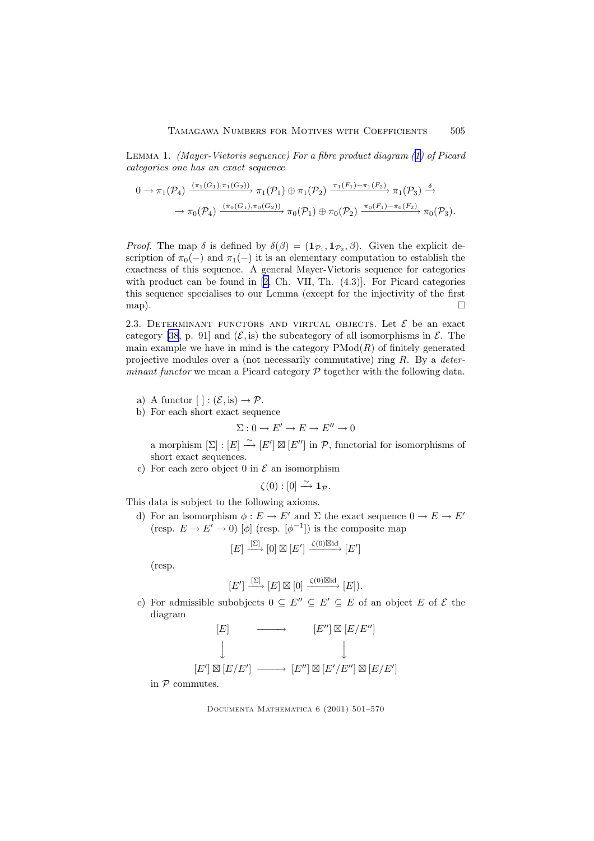<span id="page-4-0"></span>Lemma 1. (Mayer-Vietoris sequence) For a fibre product diagram ([1\)](#page-3-0) of Picard categories one has an exact sequence

$$
0 \to \pi_1(\mathcal{P}_4) \xrightarrow{(\pi_1(G_1), \pi_1(G_2))} \pi_1(\mathcal{P}_1) \oplus \pi_1(\mathcal{P}_2) \xrightarrow{\pi_1(F_1) - \pi_1(F_2)} \pi_1(\mathcal{P}_3) \xrightarrow{\delta} \\ \to \pi_0(\mathcal{P}_4) \xrightarrow{(\pi_0(G_1), \pi_0(G_2))} \pi_0(\mathcal{P}_1) \oplus \pi_0(\mathcal{P}_2) \xrightarrow{\pi_0(F_1) - \pi_0(F_2)} \pi_0(\mathcal{P}_3).
$$

*Proof.* The map  $\delta$  is defined by  $\delta(\beta) = (1_{\mathcal{P}_1}, 1_{\mathcal{P}_2}, \beta)$ . Given the explicit description of  $\pi_0(-)$  and  $\pi_1(-)$  it is an elementary computation to establish the exactness of this sequence. A general Mayer-Vietoris sequence for categories with product can be found in [[2,](#page-67-0) Ch. VII, Th.  $(4.3)$ ]. For Picard categories this sequence specialises to our Lemma (except for the injectivity of the first map).  $\Box$ 

2.3. DETERMINANT FUNCTORS AND VIRTUAL OBJECTS. Let  $\mathcal E$  be an exact category [\[38](#page-69-0), p. 91] and  $(\mathcal{E}, \text{is})$  the subcategory of all isomorphisms in  $\mathcal{E}$ . The main example we have in mind is the category  $PMod(R)$  of finitely generated projective modules over a (not necessarily commutative) ring  $R$ . By a *deter*minant functor we mean a Picard category  $P$  together with the following data.

- a) A functor  $[ | : (\mathcal{E}, is) \rightarrow \mathcal{P}$ .
- b) For each short exact sequence

$$
\Sigma: 0 \to E' \to E \to E'' \to 0
$$

a morphism  $[\Sigma] : [E] \stackrel{\sim}{\longrightarrow} [E'] \boxtimes [E'']$  in  $\mathcal{P}$ , functorial for isomorphisms of short exact sequences.

c) For each zero object 0 in  $\mathcal E$  an isomorphism

$$
\zeta(0):[0]\overset{\sim}{\longrightarrow} \mathbf{1}_{\mathcal{P}}.
$$

This data is subject to the following axioms.

d) For an isomorphism  $\phi : E \to E'$  and  $\Sigma$  the exact sequence  $0 \to E \to E'$ (resp.  $E \to E' \to 0$ ) [ $\phi$ ] (resp.  $[\phi^{-1}]$ ) is the composite map

$$
[E] \xrightarrow{[\Sigma]} [0] \boxtimes [E'] \xrightarrow{\zeta(0) \boxtimes \mathrm{id}} [E']
$$

(resp.

$$
[E'] \xrightarrow{[\Sigma]} [E] \boxtimes [0] \xrightarrow{\zeta(0) \boxtimes \mathrm{id}} [E]).
$$

e) For admissible subobjects  $0 \subseteq E'' \subseteq E' \subseteq E$  of an object E of E the diagram



in  $P$  commutes.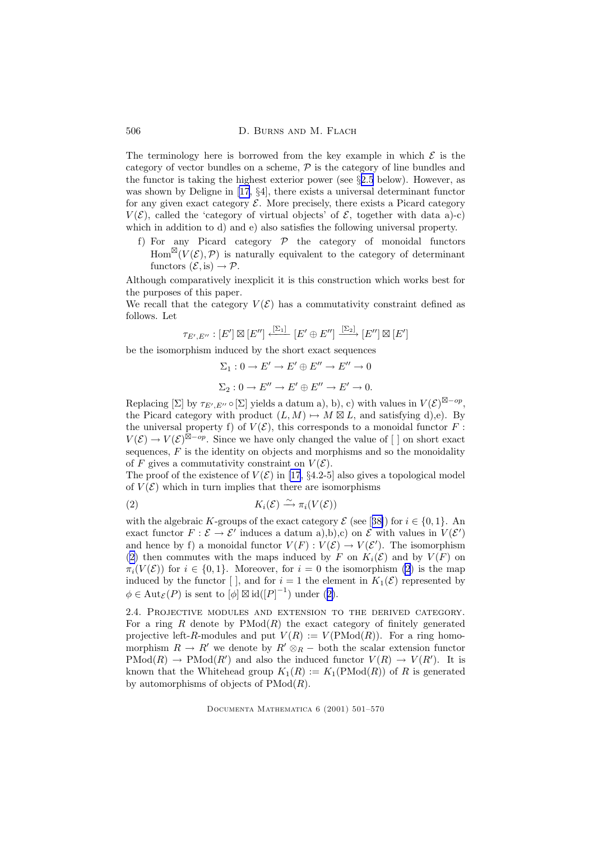<span id="page-5-0"></span>The terminology here is borrowed from the key example in which  $\mathcal E$  is the category of vector bundles on a scheme,  $P$  is the category of line bundles and the functor is taking the highest exterior power (see  $\S 2.5$  $\S 2.5$  below). However, as was shown by Deligne in [\[17,](#page-68-0) §4], there exists a universal determinant functor for any given exact category  $\mathcal E$ . More precisely, there exists a Picard category  $V(\mathcal{E})$ , called the 'category of virtual objects' of  $\mathcal{E}$ , together with data a)-c) which in addition to d) and e) also satisfies the following universal property.

f) For any Picard category  $P$  the category of monoidal functors  $Hom^{\boxtimes}(V(\mathcal{E}), \mathcal{P})$  is naturally equivalent to the category of determinant functors  $(\mathcal{E}, \text{is}) \to \mathcal{P}$ .

Although comparatively inexplicit it is this construction which works best for the purposes of this paper.

We recall that the category  $V(\mathcal{E})$  has a commutativity constraint defined as follows. Let

$$
\tau_{E',E''}: [E'] \boxtimes [E''] \xleftarrow{[\Sigma_1]} [E' \oplus E''] \xrightarrow{[\Sigma_2]} [E''] \boxtimes [E']
$$

be the isomorphism induced by the short exact sequences

$$
\Sigma_1: 0 \to E' \to E' \oplus E'' \to E'' \to 0
$$
  

$$
\Sigma_2: 0 \to E'' \to E' \oplus E'' \to E' \to 0.
$$

Replacing  $[\Sigma]$  by  $\tau_{E',E''} \circ [\Sigma]$  yields a datum a), b), c) with values in  $V(\mathcal{E})^{\boxtimes - op}$ , the Picard category with product  $(L, M) \mapsto M \boxtimes L$ , and satisfying d),e). By the universal property f) of  $V(\mathcal{E})$ , this corresponds to a monoidal functor F:  $V(\mathcal{E}) \to V(\mathcal{E})^{\boxtimes - op}$ . Since we have only changed the value of [] on short exact sequences,  $F$  is the identity on objects and morphisms and so the monoidality of F gives a commutativity constraint on  $V(\mathcal{E})$ .

The proof of the existence of  $V(\mathcal{E})$  in [\[17](#page-68-0), §4.2-5] also gives a topological model of  $V(\mathcal{E})$  which in turn implies that there are isomorphisms

$$
(2) \t K_i(\mathcal{E}) \xrightarrow{\sim} \pi_i(V(\mathcal{E}))
$$

with the algebraic K-groups of the exact category  $\mathcal{E}$  (see [[38\]](#page-69-0)) for  $i \in \{0, 1\}$ . An exact functor  $F : \mathcal{E} \to \mathcal{E}'$  induces a datum a),b),c) on  $\mathcal{E}$  with values in  $V(\mathcal{E}')$ and hence by f) a monoidal functor  $V(F) : V(\mathcal{E}) \to V(\mathcal{E}')$ . The isomorphism (2) then commutes with the maps induced by F on  $K_i(\mathcal{E})$  and by  $V(F)$  on  $\pi_i(V(\mathcal{E}))$  for  $i \in \{0,1\}$ . Moreover, for  $i=0$  the isomorphism (2) is the map induced by the functor  $[ \ ]$ , and for  $i = 1$  the element in  $K_1(\mathcal{E})$  represented by  $\phi \in \text{Aut}_{\mathcal{E}}(P)$  is sent to  $[\phi] \boxtimes \text{id}([P]^{-1})$  under (2).

2.4. Projective modules and extension to the derived category. For a ring  $R$  denote by  $PMod(R)$  the exact category of finitely generated projective left-R-modules and put  $V(R) := V(PMod(R))$ . For a ring homomorphism  $R \to R'$  we denote by  $R' \otimes_R -$  both the scalar extension functor  $\text{PMod}(R) \to \text{PMod}(R')$  and also the induced functor  $V(R) \to V(R')$ . It is known that the Whitehead group  $K_1(R) := K_1(\text{PMod}(R))$  of R is generated by automorphisms of objects of  $PMod(R)$ .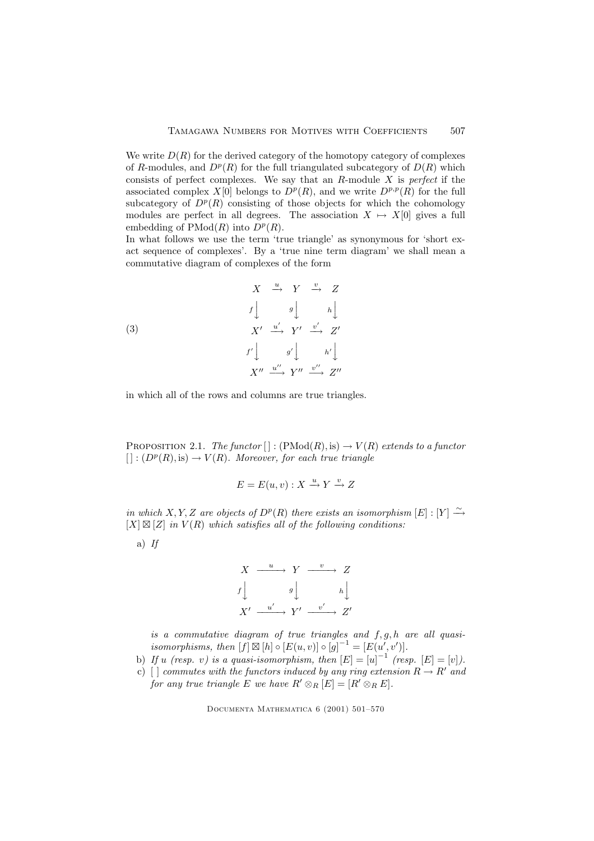<span id="page-6-0"></span>We write  $D(R)$  for the derived category of the homotopy category of complexes of R-modules, and  $D^p(R)$  for the full triangulated subcategory of  $D(R)$  which consists of perfect complexes. We say that an  $R$ -module  $X$  is perfect if the associated complex  $X[0]$  belongs to  $D^p(R)$ , and we write  $D^{p,p}(R)$  for the full subcategory of  $D^p(R)$  consisting of those objects for which the cohomology modules are perfect in all degrees. The association  $X \mapsto X[0]$  gives a full embedding of  $\text{PMod}(R)$  into  $D^p(R)$ .

In what follows we use the term 'true triangle' as synonymous for 'short exact sequence of complexes'. By a 'true nine term diagram' we shall mean a commutative diagram of complexes of the form

(3)  
\n
$$
\begin{array}{ccc}\n & X & \xrightarrow{u} & Y & \xrightarrow{v} & Z \\
f \downarrow & & g \downarrow & & h \downarrow \\
X' & \xrightarrow{u'} & Y' & \xrightarrow{v'} & Z' \\
f' \downarrow & & g' \downarrow & & h' \downarrow \\
X'' & \xrightarrow{u''} & Y'' & \xrightarrow{v''} & Z''\n\end{array}
$$

in which all of the rows and columns are true triangles.

PROPOSITION 2.1. The functor  $[] : (PMod(R), is) \rightarrow V(R)$  extends to a functor  $[ ] : (D<sup>p</sup>(R), is) \to V(R)$ . Moreover, for each true triangle

$$
E = E(u, v) : X \xrightarrow{u} Y \xrightarrow{v} Z
$$

in which X, Y, Z are objects of  $D^p(R)$  there exists an isomorphism  $[E]: [Y] \stackrel{\sim}{\rightarrow}$  $[X] \boxtimes [Z]$  in  $V(R)$  which satisfies all of the following conditions:

a)  $If$ 



is a commutative diagram of true triangles and  $f, g, h$  are all quasiisomorphisms, then  $[f] \boxtimes [h] \circ [E(u, v)] \circ [g]^{-1} = [E(u', v')]$ .

b) If u (resp. v) is a quasi-isomorphism, then  $[E] = [u]^{-1}$  (resp.  $[E] = [v]$ ).

c) [ ] commutes with the functors induced by any ring extension  $R \to R'$  and for any true triangle E we have  $R' \otimes_R [E] = [R' \otimes_R E].$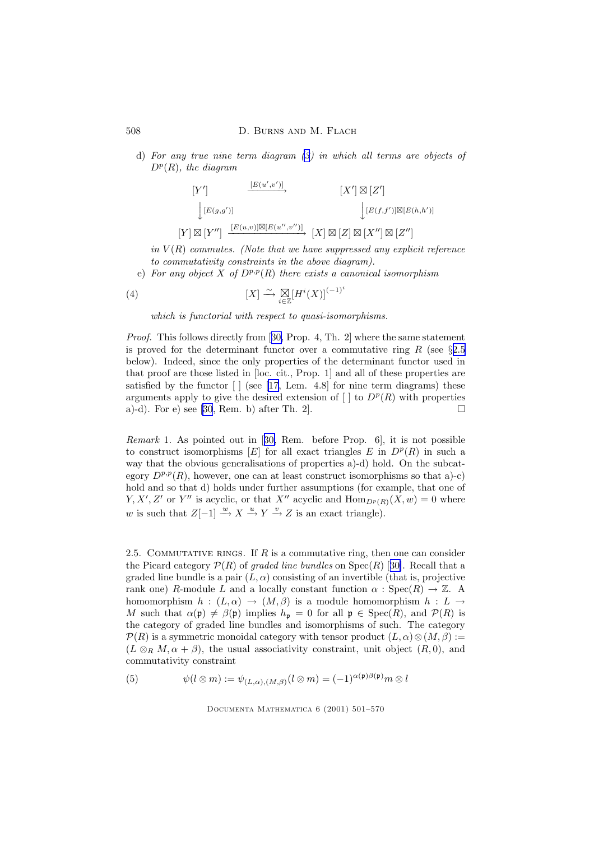d) For any true nine term diagram [\(3](#page-6-0)) in which all terms are objects of  $D^p(R)$ , the diagram

$$
[Y'] \qquad \xrightarrow{[E(u',v')]}\qquad [X'] \boxtimes [Z']
$$

$$
\downarrow [E(g,g')]\qquad \qquad [E(f,f')] \boxtimes [E(h,h')]
$$

$$
[Y] \boxtimes [Y''] \xrightarrow{[E(u,v)] \boxtimes [E(u'',v'')]}\qquad [X] \boxtimes [Z] \boxtimes [X''] \boxtimes [Z'']
$$

in  $V(R)$  commutes. (Note that we have suppressed any explicit reference to commutativity constraints in the above diagram).

e) For any object X of  $D^{p,p}(R)$  there exists a canonical isomorphism

(4) 
$$
[X] \xrightarrow{\sim} \underset{i \in \mathbb{Z}}{\mathbb{Z}} [H^i(X)]^{(-1)^i}
$$

which is functorial with respect to quasi-isomorphisms.

Proof. This follows directly from [[30,](#page-68-0) Prop. 4, Th. 2] where the same statement is proved for the determinant functor over a commutative ring R (see  $\S 2.5$ ) below). Indeed, since the only properties of the determinant functor used in that proof are those listed in [loc. cit., Prop. 1] and all of these properties are satisfied by the functor  $\lceil \cdot \rceil$  (see [\[17](#page-68-0), Lem. 4.8] for nine term diagrams) these arguments apply to give the desired extension of  $\left[\right]$  to  $D^p(R)$  with properties a)-d). For e) see [\[30](#page-68-0), Rem. b) after Th. 2].

Remark 1. As pointed out in [[30,](#page-68-0) Rem. before Prop. 6], it is not possible to construct isomorphisms  $[E]$  for all exact triangles E in  $D^p(R)$  in such a way that the obvious generalisations of properties a)-d) hold. On the subcategory  $D^{p,p}(R)$ , however, one can at least construct isomorphisms so that a)-c) hold and so that d) holds under further assumptions (for example, that one of  $Y, X', Z'$  or Y'' is acyclic, or that X'' acyclic and  $\text{Hom}_{D^p(R)}(X, w) = 0$  where w is such that  $Z[-1] \stackrel{w}{\longrightarrow} X \stackrel{u}{\longrightarrow} Y \stackrel{v}{\longrightarrow} Z$  is an exact triangle).

2.5. COMMUTATIVE RINGS. If  $R$  is a commutative ring, then one can consider the Picard category  $\mathcal{P}(R)$  of graded line bundles on  $Spec(R)$  [[30\]](#page-68-0). Recall that a graded line bundle is a pair  $(L, \alpha)$  consisting of an invertible (that is, projective rank one) R-module L and a locally constant function  $\alpha$ : Spec $(R) \to \mathbb{Z}$ . A homomorphism  $h : (L, \alpha) \to (M, \beta)$  is a module homomorphism  $h : L \to$ M such that  $\alpha(\mathfrak{p}) \neq \beta(\mathfrak{p})$  implies  $h_{\mathfrak{p}} = 0$  for all  $\mathfrak{p} \in \text{Spec}(R)$ , and  $\mathcal{P}(R)$  is the category of graded line bundles and isomorphisms of such. The category  $\mathcal{P}(R)$  is a symmetric monoidal category with tensor product  $(L, \alpha) \otimes (M, \beta) :=$  $(L \otimes_R M, \alpha + \beta)$ , the usual associativity constraint, unit object  $(R, 0)$ , and commutativity constraint

(5) 
$$
\psi(l \otimes m) := \psi_{(L,\alpha),(M,\beta)}(l \otimes m) = (-1)^{\alpha(\mathfrak{p})\beta(\mathfrak{p})} m \otimes l
$$

<span id="page-7-0"></span>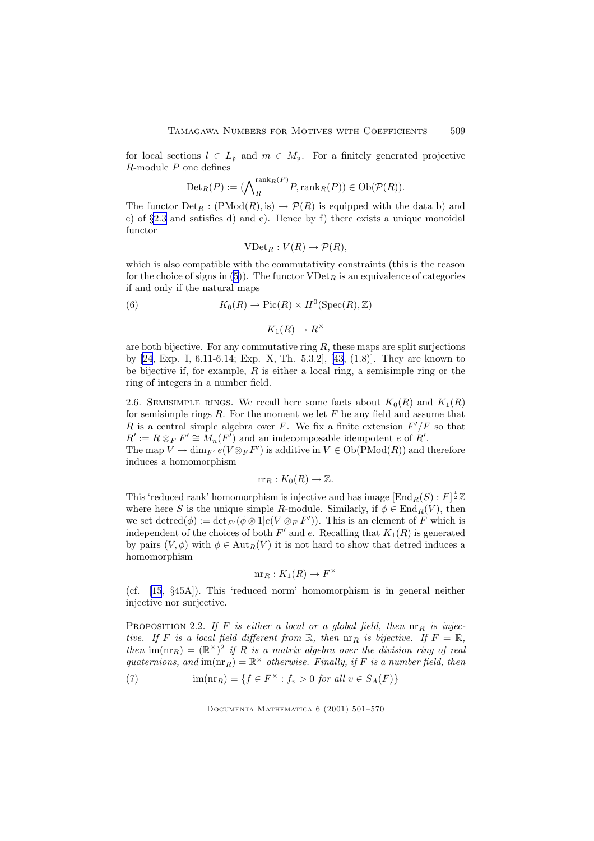<span id="page-8-0"></span>for local sections  $l \in L_{\mathfrak{p}}$  and  $m \in M_{\mathfrak{p}}$ . For a finitely generated projective  $R$ -module  $P$  one defines

$$
\mathrm{Det}_R(P) := (\bigwedge_R^{\mathrm{rank}_R(P)} P, \mathrm{rank}_R(P)) \in \mathrm{Ob}(\mathcal{P}(R)).
$$

The functor  $Det_R : (PMod(R), is) \to P(R)$  is equipped with the data b) and c) of §[2.3](#page-4-0) and satisfies d) and e). Hence by f) there exists a unique monoidal functor

$$
\mathrm{VDet}_R : V(R) \to \mathcal{P}(R),
$$

which is also compatible with the commutativity constraints (this is the reason for the choice of signs in ([5\)](#page-7-0)). The functor  $VDet_R$  is an equivalence of categories if and only if the natural maps

(6) 
$$
K_0(R) \to Pic(R) \times H^0(\operatorname{Spec}(R), \mathbb{Z})
$$

 $K_1(R) \to R^\times$ 

are both bijective. For any commutative ring  $R$ , these maps are split surjections by [\[24](#page-68-0), Exp. I, 6.11-6.14; Exp. X, Th. 5.3.2], [\[43](#page-69-0), (1.8)]. They are known to be bijective if, for example,  $R$  is either a local ring, a semisimple ring or the ring of integers in a number field.

2.6. SEMISIMPLE RINGS. We recall here some facts about  $K_0(R)$  and  $K_1(R)$ for semisimple rings  $R$ . For the moment we let  $F$  be any field and assume that R is a central simple algebra over F. We fix a finite extension  $F'/F$  so that  $R' := R \otimes_F F' \cong M_n(F')$  and an indecomposable idempotent e of  $R'$ .

The map  $V \mapsto \dim_{F'} e(V \otimes_F F')$  is additive in  $V \in Ob(PMod(R))$  and therefore induces a homomorphism

$$
\mathrm{rr}_R: K_0(R) \to \mathbb{Z}.
$$

This 'reduced rank' homomorphism is injective and has image  $[\text{End}_R(S):F]^{\frac{1}{2}}\mathbb{Z}$ where here S is the unique simple R-module. Similarly, if  $\phi \in \text{End}_R(V)$ , then we set detred $(\phi) := \det_{F'} (\phi \otimes 1 | e(V \otimes_F F'))$ . This is an element of F which is independent of the choices of both  $F'$  and e. Recalling that  $K_1(R)$  is generated by pairs  $(V, \phi)$  with  $\phi \in Aut_R(V)$  it is not hard to show that detred induces a homomorphism

$$
\operatorname{nr}_R: K_1(R) \to F^\times
$$

(cf. [\[15](#page-68-0), §45A]). This 'reduced norm' homomorphism is in general neither injective nor surjective.

PROPOSITION 2.2. If F is either a local or a global field, then  $n \rvert R$  is injective. If F is a local field different from  $\mathbb R$ , then  $\operatorname{nr}_R$  is bijective. If  $F = \mathbb R$ , then  $\text{im}(\text{nr}_R) = (\mathbb{R}^\times)^2$  if R is a matrix algebra over the division ring of real quaternions, and  $\text{im}(\text{nr}_R) = \mathbb{R}^\times$  otherwise. Finally, if F is a number field, then

(7)  $\lim(\text{nr}_R) = \{f \in F^\times : f_v > 0 \text{ for all } v \in S_A(F)\}\$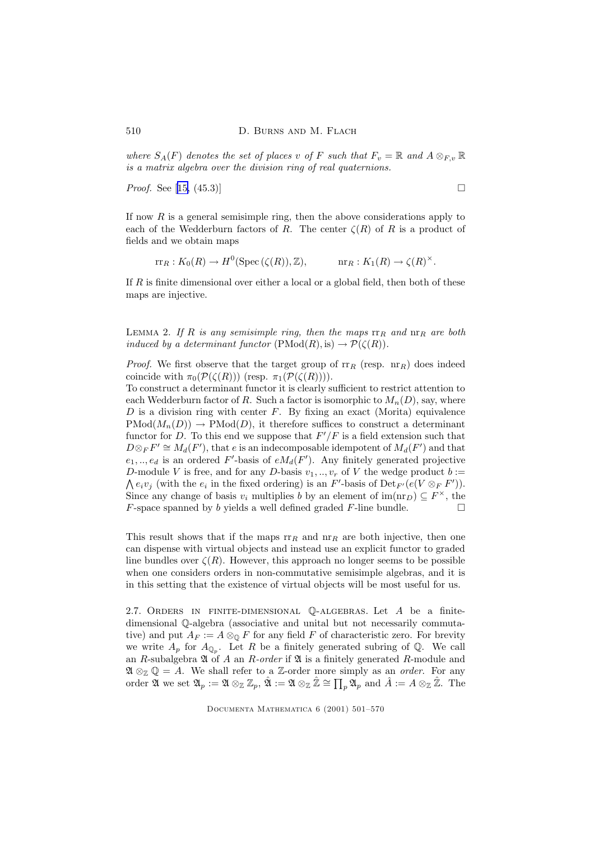<span id="page-9-0"></span>where  $S_A(F)$  denotes the set of places v of F such that  $F_v = \mathbb{R}$  and  $A \otimes_{F,v} \mathbb{R}$ is a matrix algebra over the division ring of real quaternions.

*Proof.* See [[15,](#page-68-0) (45.3)]  $\Box$ 

If now  $R$  is a general semisimple ring, then the above considerations apply to each of the Wedderburn factors of R. The center  $\zeta(R)$  of R is a product of fields and we obtain maps

$$
rr_R: K_0(R) \to H^0(\operatorname{Spec}(\zeta(R)), \mathbb{Z}), \qquad \operatorname{nr}_R: K_1(R) \to \zeta(R)^{\times}.
$$

If R is finite dimensional over either a local or a global field, then both of these maps are injective.

LEMMA 2. If R is any semisimple ring, then the maps  $rr_R$  and  $nr_R$  are both induced by a determinant functor  $(PMod(R), is) \rightarrow \mathcal{P}(\zeta(R)).$ 

*Proof.* We first observe that the target group of  $rr_R$  (resp.  $nr_R$ ) does indeed coincide with  $\pi_0(\mathcal{P}(\zeta(R)))$  (resp.  $\pi_1(\mathcal{P}(\zeta(R)))$ ).

To construct a determinant functor it is clearly sufficient to restrict attention to each Wedderburn factor of R. Such a factor is isomorphic to  $M_n(D)$ , say, where  $D$  is a division ring with center  $F$ . By fixing an exact (Morita) equivalence  $PMod(M_n(D)) \to PMod(D)$ , it therefore suffices to construct a determinant functor for D. To this end we suppose that  $F'/F$  is a field extension such that  $D \otimes_F F' \cong M_d(F')$ , that e is an indecomposable idempotent of  $M_d(F')$  and that  $e_1, \ldots, e_d$  is an ordered F'-basis of  $eM_d(F')$ . Any finitely generated projective D-module V is free, and for any D-basis  $v_1, ..., v_r$  of V the wedge product  $b :=$  $\bigwedge e_i v_j$  (with the  $e_i$  in the fixed ordering) is an F'-basis of Det<sub>F'</sub> $(e(V \otimes_F F'))$ . Since any change of basis  $v_i$  multiplies b by an element of  $\text{im}(\text{nr}_D) \subseteq F^\times$ , the  $F$ -space spanned by b yields a well defined graded  $F$ -line bundle.

This result shows that if the maps  $rr_R$  and  $nr_R$  are both injective, then one can dispense with virtual objects and instead use an explicit functor to graded line bundles over  $\zeta(R)$ . However, this approach no longer seems to be possible when one considers orders in non-commutative semisimple algebras, and it is in this setting that the existence of virtual objects will be most useful for us.

2.7. Orders in finite-dimensional Q-algebras. Let A be a finitedimensional Q-algebra (associative and unital but not necessarily commutative) and put  $A_F := A \otimes_{\mathbb{Q}} F$  for any field F of characteristic zero. For brevity we write  $A_p$  for  $A_{\mathbb{Q}_p}$ . Let R be a finitely generated subring of Q. We call an R-subalgebra  $\mathfrak A$  of  $A$  an R-order if  $\mathfrak A$  is a finitely generated R-module and  $\mathfrak{A} \otimes_{\mathbb{Z}} \mathbb{Q} = A$ . We shall refer to a Z-order more simply as an *order*. For any order  $\mathfrak A$  we set  $\mathfrak A_p:=\mathfrak A\otimes_{\mathbb Z}\mathbb Z_p, \hat{\mathfrak A}:=\mathfrak A\otimes_{\mathbb Z}\hat{\mathbb Z}\cong \prod_p \mathfrak A_p$  and  $\hat A:=A\otimes_{\mathbb Z}\hat{\mathbb Z}.$  The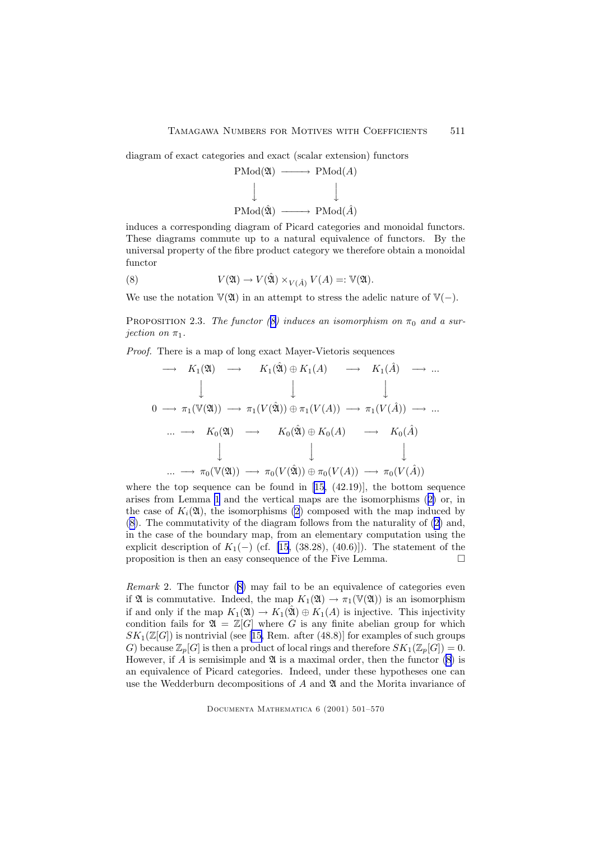<span id="page-10-0"></span>diagram of exact categories and exact (scalar extension) functors



induces a corresponding diagram of Picard categories and monoidal functors. These diagrams commute up to a natural equivalence of functors. By the universal property of the fibre product category we therefore obtain a monoidal functor

(8) 
$$
V(\mathfrak{A}) \to V(\hat{\mathfrak{A}}) \times_{V(\hat{A})} V(A) =: \mathbb{V}(\mathfrak{A}).
$$

We use the notation  $\mathbb{V}(\mathfrak{A})$  in an attempt to stress the adelic nature of  $\mathbb{V}(-)$ .

PROPOSITION 2.3. The functor (8) induces an isomorphism on  $\pi_0$  and a surjection on  $\pi_1$ .

Proof. There is a map of long exact Mayer-Vietoris sequences

$$
\longrightarrow K_1(\mathfrak{A}) \longrightarrow K_1(\hat{\mathfrak{A}}) \oplus K_1(A) \longrightarrow K_1(\hat{A}) \longrightarrow \dots
$$
  
\n
$$
\downarrow \qquad \qquad \downarrow \qquad \qquad \downarrow
$$
  
\n
$$
0 \longrightarrow \pi_1(\mathbb{V}(\mathfrak{A})) \longrightarrow \pi_1(V(\hat{\mathfrak{A}})) \oplus \pi_1(V(A)) \longrightarrow \pi_1(V(\hat{A})) \longrightarrow \dots
$$
  
\n
$$
\dots \longrightarrow K_0(\mathfrak{A}) \longrightarrow K_0(\hat{\mathfrak{A}}) \oplus K_0(A) \longrightarrow K_0(\hat{A})
$$
  
\n
$$
\downarrow \qquad \qquad \downarrow \qquad \qquad \downarrow
$$
  
\n
$$
\dots \longrightarrow \pi_0(\mathbb{V}(\mathfrak{A})) \longrightarrow \pi_0(V(\hat{\mathfrak{A}})) \oplus \pi_0(V(A)) \longrightarrow \pi_0(V(\hat{A}))
$$

where the top sequence can be found in  $[15, (42.19)]$  $[15, (42.19)]$  $[15, (42.19)]$ , the bottom sequence arises from Lemma [1](#page-3-0) and the vertical maps are the isomorphisms ([2\)](#page-5-0) or, in the case of  $K_i(\mathfrak{A})$ , the isomorphisms [\(2](#page-5-0)) composed with the map induced by (8). The commutativity of the diagram follows from the naturality of [\(2](#page-5-0)) and, in the case of the boundary map, from an elementary computation using the explicit description of  $K_1(-)$  (cf. [\[15](#page-68-0), (38.28), (40.6)]). The statement of the proposition is then an easy consequence of the Five Lemma.  $\Box$ 

Remark 2. The functor (8) may fail to be an equivalence of categories even if  $\mathfrak{A}$  is commutative. Indeed, the map  $K_1(\mathfrak{A}) \to \pi_1(\mathbb{V}(\mathfrak{A}))$  is an isomorphism if and only if the map  $K_1(\mathfrak{A}) \to K_1(\hat{\mathfrak{A}}) \oplus K_1(A)$  is injective. This injectivity condition fails for  $\mathfrak{A} = \mathbb{Z}[G]$  where G is any finite abelian group for which  $SK_1(\mathbb{Z}[G])$  is nontrivial (see [\[15,](#page-68-0) Rem. after (48.8)] for examples of such groups G) because  $\mathbb{Z}_p[G]$  is then a product of local rings and therefore  $SK_1(\mathbb{Z}_p[G]) = 0$ . However, if A is semisimple and  $\mathfrak A$  is a maximal order, then the functor (8) is an equivalence of Picard categories. Indeed, under these hypotheses one can use the Wedderburn decompositions of  $A$  and  $\mathfrak A$  and the Morita invariance of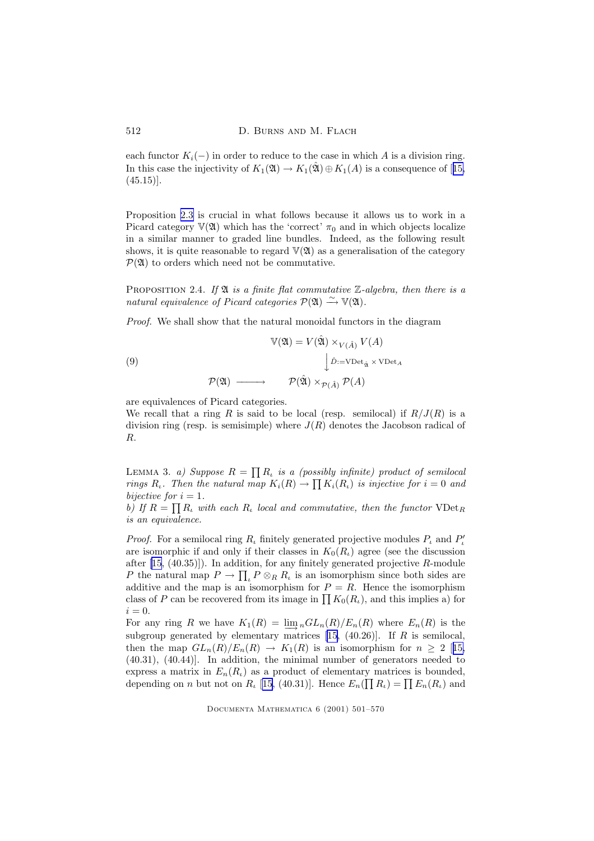<span id="page-11-0"></span>each functor  $K_i(-)$  in order to reduce to the case in which A is a division ring. In this case the injectivity of  $K_1(\mathfrak{A}) \to K_1(\hat{\mathfrak{A}}) \oplus K_1(A)$  is a consequence of [[15,](#page-68-0)  $(45.15)$ ].

Proposition [2.3](#page-10-0) is crucial in what follows because it allows us to work in a Picard category  $V(\mathfrak{A})$  which has the 'correct'  $\pi_0$  and in which objects localize in a similar manner to graded line bundles. Indeed, as the following result shows, it is quite reasonable to regard  $V(2)$  as a generalisation of the category  $\mathcal{P}(\mathfrak{A})$  to orders which need not be commutative.

PROPOSITION 2.4. If  $\mathfrak A$  is a finite flat commutative  $\mathbb Z$ -algebra, then there is a natural equivalence of Picard categories  $\mathcal{P}(\mathfrak{A}) \stackrel{\sim}{\longrightarrow} \mathbb{V}(\mathfrak{A})$ .

Proof. We shall show that the natural monoidal functors in the diagram

(9)  
\n
$$
\mathbb{V}(\mathfrak{A}) = V(\hat{\mathfrak{A}}) \times_{V(\hat{A})} V(A)
$$
\n
$$
\downarrow \hat{D} := \text{VDet}_{\hat{\mathfrak{A}}} \times \text{VDet}_{A}
$$
\n
$$
\mathcal{P}(\mathfrak{A}) \longrightarrow \mathcal{P}(\hat{\mathfrak{A}}) \times_{\mathcal{P}(\hat{A})} \mathcal{P}(A)
$$

are equivalences of Picard categories.

We recall that a ring R is said to be local (resp. semilocal) if  $R/J(R)$  is a division ring (resp. is semisimple) where  $J(R)$  denotes the Jacobson radical of R.

LEMMA 3. a) Suppose  $R = \prod R_i$  is a (possibly infinite) product of semilocal rings  $R_i$ . Then the natural map  $K_i(R) \to \prod K_i(R_i)$  is injective for  $i = 0$  and bijective for  $i = 1$ .

b) If  $R = \prod R_i$  with each  $R_i$  local and commutative, then the functor  $\text{VDet}_R$ is an equivalence.

*Proof.* For a semilocal ring  $R_t$  finitely generated projective modules  $P_t$  and  $P'_t$ are isomorphic if and only if their classes in  $K_0(R_i)$  agree (see the discussion after  $[15, (40.35)]$  $[15, (40.35)]$ . In addition, for any finitely generated projective R-module P the natural map  $P \to \prod_{\iota} P \otimes_R R_{\iota}$  is an isomorphism since both sides are additive and the map is an isomorphism for  $P = R$ . Hence the isomorphism class of P can be recovered from its image in  $\prod K_0(R_\iota)$ , and this implies a) for  $i = 0$ .

For any ring R we have  $K_1(R) = \lim_{n \to \infty} G L_n(R) / E_n(R)$  where  $E_n(R)$  is the subgroup generated by elementary matrices  $[15, (40.26)]$  $[15, (40.26)]$  $[15, (40.26)]$ . If R is semilocal, then the map  $GL_n(R)/E_n(R) \to K_1(R)$  is an isomorphism for  $n \geq 2$  [[15,](#page-68-0) (40.31), (40.44)]. In addition, the minimal number of generators needed to express a matrix in  $E_n(R_i)$  as a product of elementary matrices is bounded, depending on *n* but not on  $R_{\iota}$  [[15,](#page-68-0) (40.31)]. Hence  $E_n(\prod R_{\iota}) = \prod E_n(R_{\iota})$  and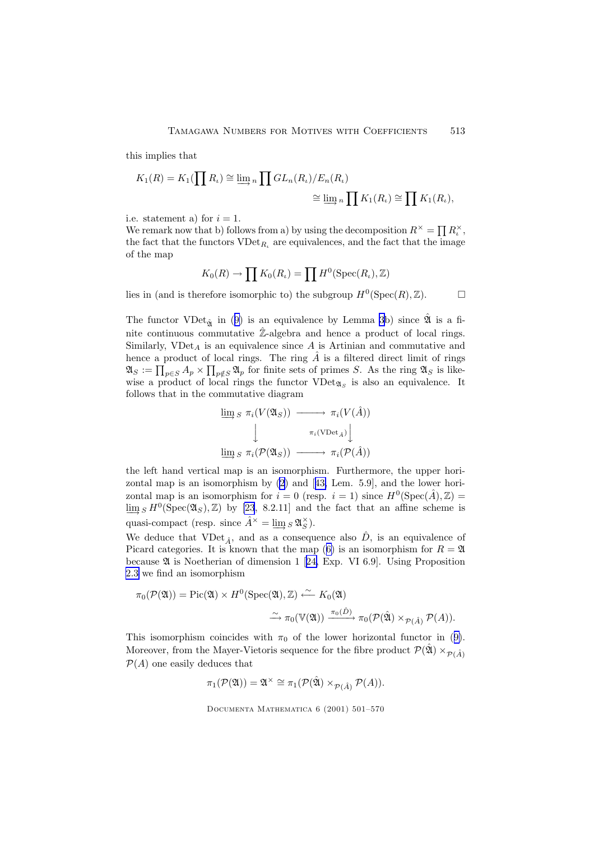this implies that

$$
K_1(R) = K_1(\prod R_\iota) \cong \varinjlim_n \prod GL_n(R_\iota)/E_n(R_\iota)
$$
  

$$
\cong \varinjlim_n \prod K_1(R_\iota) \cong \prod K_1(R_\iota),
$$

i.e. statement a) for  $i = 1$ .

We remark now that b) follows from a) by using the decomposition  $R^{\times} = \prod R_i^{\times}$ , the fact that the functors  $\text{VDet}_{R_{\iota}}$  are equivalences, and the fact that the image of the map

$$
K_0(R) \to \prod K_0(R_\iota) = \prod H^0(\operatorname{Spec}(R_\iota), \mathbb{Z})
$$

lies in (and is therefore isomorphic to) the subgroup  $H^0(\text{Spec}(R), \mathbb{Z})$ .

The functor VDet<sub> $\hat{X}$ </sub> in ([9\)](#page-11-0) is an equivalence by Lemma [3](#page-11-0)b) since  $\hat{X}$  is a finite continuous commutative  $\mathbb{Z}$ -algebra and hence a product of local rings. Similarly,  $VDet_A$  is an equivalence since A is Artinian and commutative and hence a product of local rings. The ring  $\hat{A}$  is a filtered direct limit of rings  $\mathfrak{A}_S := \prod_{p \in S} A_p \times \prod_{p \notin S} \mathfrak{A}_p$  for finite sets of primes S. As the ring  $\mathfrak{A}_S$  is likewise a product of local rings the functor  $\text{VDet}_{\mathfrak{A}_S}$  is also an equivalence. It follows that in the commutative diagram

$$
\varinjlim_{S} \pi_i(V(\mathfrak{A}_S)) \longrightarrow \pi_i(V(\hat{A}))
$$
\n
$$
\downarrow \qquad \qquad \pi_i(\text{VDet}_{\hat{A}}) \downarrow
$$
\n
$$
\varinjlim_{S} \pi_i(\mathcal{P}(\mathfrak{A}_S)) \longrightarrow \pi_i(\mathcal{P}(\hat{A}))
$$

the left hand vertical map is an isomorphism. Furthermore, the upper horizontal map is an isomorphism by [\(2](#page-5-0)) and [[43,](#page-69-0) Lem. 5.9], and the lower horizontal map is an isomorphism for  $i = 0$  (resp.  $i = 1$ ) since  $H^0(\text{Spec}(\hat{A}), \mathbb{Z}) =$  $\varliminf_{S} H^0(\text{Spec}(\mathfrak{A}_S), \mathbb{Z})$  by [\[23](#page-68-0), 8.2.11] and the fact that an affine scheme is quasi-compact (resp. since  $\hat{A}^{\times} = \varinjlim_{S} g \mathfrak{A}_{S}^{\times}$ ).

We deduce that VDet<sub> $\hat{A}$ </sub>, and as a consequence also  $\hat{D}$ , is an equivalence of Picard categories. It is known that the map ([6\)](#page-8-0) is an isomorphism for  $R = \mathfrak{A}$ because A is Noetherian of dimension 1 [[24,](#page-68-0) Exp. VI 6.9]. Using Proposition [2.3](#page-10-0) we find an isomorphism

$$
\pi_0(\mathcal{P}(\mathfrak{A})) = \text{Pic}(\mathfrak{A}) \times H^0(\text{Spec}(\mathfrak{A}), \mathbb{Z}) \xleftarrow{\sim} K_0(\mathfrak{A})
$$

$$
\xrightarrow{\pi_0(\mathbb{V}(\mathfrak{A}))} \pi_0(\mathcal{P}(\hat{\mathfrak{A}}) \times_{\mathcal{P}(\hat{A})} \mathcal{P}(A)).
$$

This isomorphism coincides with  $\pi_0$  of the lower horizontal functor in ([9\)](#page-11-0). Moreover, from the Mayer-Vietoris sequence for the fibre product  $\mathcal{P}(\hat{\mathfrak{A}}) \times_{\mathcal{P}(\hat{A})}$  $P(A)$  one easily deduces that

 $\pi_1(\mathcal{P}(\mathfrak{A})) = \mathfrak{A}^{\times} \cong \pi_1(\mathcal{P}(\hat{\mathfrak{A}}) \times_{\mathcal{P}(\hat{A})} \mathcal{P}(A)).$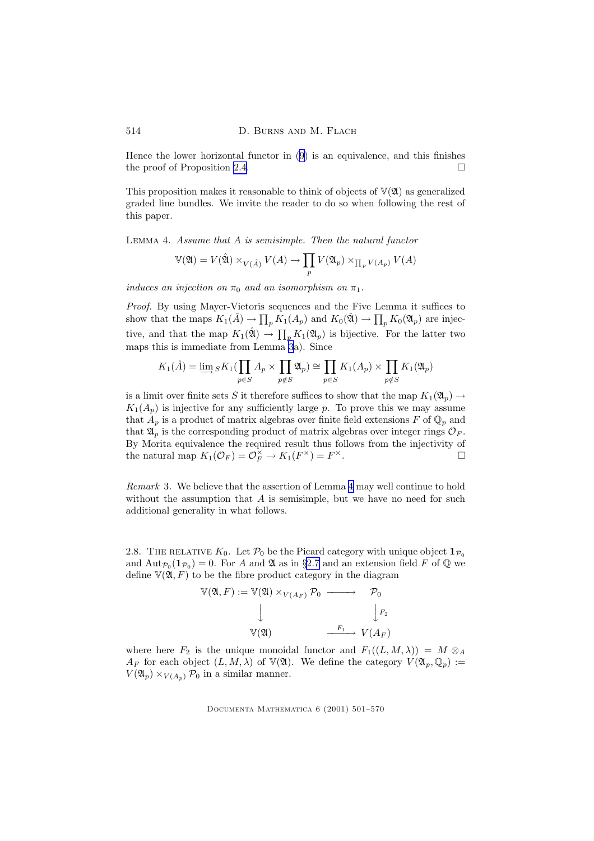<span id="page-13-0"></span>Hence the lower horizontal functor in ([9\)](#page-11-0) is an equivalence, and this finishes the proof of Proposition [2.4.](#page-11-0)  $\Box$ 

This proposition makes it reasonable to think of objects of  $V(\mathfrak{A})$  as generalized graded line bundles. We invite the reader to do so when following the rest of this paper.

Lemma 4. Assume that A is semisimple. Then the natural functor

$$
\mathbb{V}(\mathfrak{A}) = V(\hat{\mathfrak{A}}) \times_{V(\hat{A})} V(A) \to \prod_p V(\mathfrak{A}_p) \times_{\prod_p V(A_p)} V(A)
$$

induces an injection on  $\pi_0$  and an isomorphism on  $\pi_1$ .

Proof. By using Mayer-Vietoris sequences and the Five Lemma it suffices to show that the maps  $K_1(\hat{A}) \to \prod_p K_1(A_p)$  and  $K_0(\hat{\mathfrak{A}}) \to \prod_p K_0(\mathfrak{A}_p)$  are injective, and that the map  $K_1(\hat{\mathfrak{A}}) \to \prod_p K_1(\mathfrak{A}_p)$  is bijective. For the latter two maps this is immediate from Lemma [3](#page-11-0)a). Since

$$
K_1(\hat{A}) = \varinjlim_{p \in S} K_1(\prod_{p \in S} A_p \times \prod_{p \notin S} \mathfrak{A}_p) \cong \prod_{p \in S} K_1(A_p) \times \prod_{p \notin S} K_1(\mathfrak{A}_p)
$$

is a limit over finite sets S it therefore suffices to show that the map  $K_1(\mathfrak{A}_p) \to$  $K_1(A_p)$  is injective for any sufficiently large p. To prove this we may assume that  $A_p$  is a product of matrix algebras over finite field extensions F of  $\mathbb{Q}_p$  and that  $\mathfrak{A}_p$  is the corresponding product of matrix algebras over integer rings  $\mathcal{O}_F$ . By Morita equivalence the required result thus follows from the injectivity of the natural map  $K_1(\mathcal{O}_F) = \mathcal{O}_F^{\times} \to K_1(F^{\times}) = F$  $\times$ .

Remark 3. We believe that the assertion of Lemma 4 may well continue to hold without the assumption that  $A$  is semisimple, but we have no need for such additional generality in what follows.

2.8. THE RELATIVE  $K_0$ . Let  $\mathcal{P}_0$  be the Picard category with unique object  $\mathbf{1}_{\mathcal{P}_0}$ and  $\text{Aut}_{\mathcal{P}_0}(\mathbf{1}_{\mathcal{P}_0}) = 0$ . For A and  $\mathfrak A$  as in §[2.7](#page-9-0) and an extension field F of  $\mathbb Q$  we define  $\mathbb{V}(\mathfrak{A}, F)$  to be the fibre product category in the diagram

$$
\mathbb{V}(\mathfrak{A}, F) := \mathbb{V}(\mathfrak{A}) \times_{V(A_F)} \mathcal{P}_0 \longrightarrow P_0
$$
  
\n
$$
\downarrow \qquad \qquad \downarrow F_2
$$
\n
$$
\mathbb{V}(\mathfrak{A}) \longrightarrow V(A_F)
$$

where here  $F_2$  is the unique monoidal functor and  $F_1((L, M, \lambda)) = M \otimes_A$  $A_F$  for each object  $(L, M, \lambda)$  of  $\mathbb{V}(\mathfrak{A})$ . We define the category  $V(\mathfrak{A}_p, \mathbb{Q}_p) :=$  $V(\mathfrak{A}_p) \times_{V(A_p)} \mathcal{P}_0$  in a similar manner.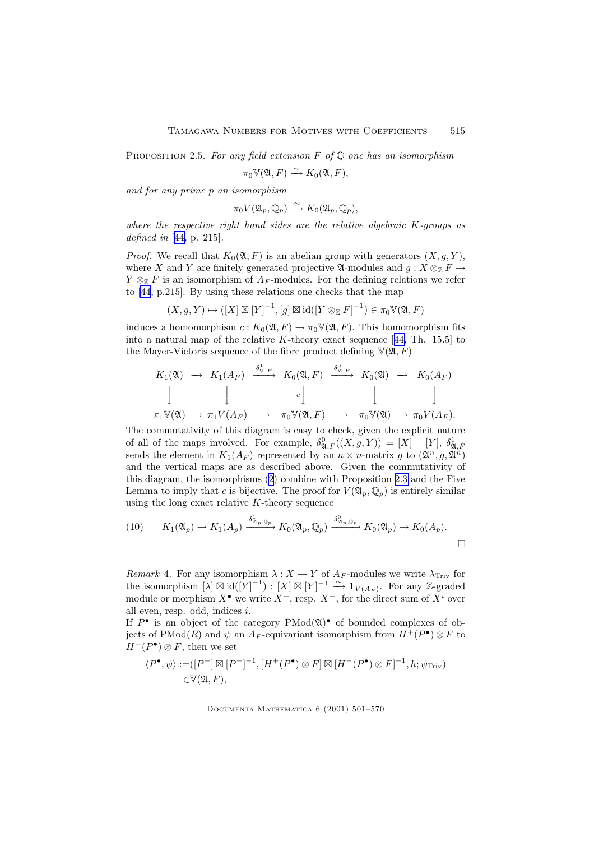<span id="page-14-0"></span>PROPOSITION 2.5. For any field extension F of  $\mathbb Q$  one has an isomorphism

$$
\pi_0 \mathbb{V}(\mathfrak{A}, F) \xrightarrow{\sim} K_0(\mathfrak{A}, F),
$$

and for any prime p an isomorphism

$$
\pi_0 V(\mathfrak{A}_p, \mathbb{Q}_p) \xrightarrow{\sim} K_0(\mathfrak{A}_p, \mathbb{Q}_p),
$$

where the respective right hand sides are the relative algebraic  $K$ -groups as defined in [[44,](#page-69-0) p. 215].

*Proof.* We recall that  $K_0(\mathfrak{A}, F)$  is an abelian group with generators  $(X, g, Y)$ , where X and Y are finitely generated projective  $\mathfrak{A}\text{-modules}$  and  $g: X \otimes_{\mathbb{Z}} F \to$  $Y \otimes_{\mathbb{Z}} F$  is an isomorphism of  $A_F$ -modules. For the defining relations we refer to [\[44](#page-69-0), p.215]. By using these relations one checks that the map

$$
(X,g,Y)\mapsto ([X]\boxtimes[Y]^{-1},[g]\boxtimes\mathrm{id}([Y\otimes_{\mathbb{Z}}F]^{-1})\in\pi_0\mathbb{V}(\mathfrak{A},F)
$$

induces a homomorphism  $c: K_0(\mathfrak{A}, F) \to \pi_0 \mathbb{V}(\mathfrak{A}, F)$ . This homomorphism fits into a natural map of the relative K-theory exact sequence  $[44, Th. 15.5]$  $[44, Th. 15.5]$  $[44, Th. 15.5]$  to the Mayer-Vietoris sequence of the fibre product defining  $\mathbb{V}(\mathfrak{A}, F)$ 

$$
K_1(\mathfrak{A}) \rightarrow K_1(A_F) \xrightarrow{\delta_{\mathfrak{A},F}^1} K_0(\mathfrak{A}, F) \xrightarrow{\delta_{\mathfrak{A},F}^0} K_0(\mathfrak{A}) \rightarrow K_0(A_F)
$$
  

$$
\downarrow \qquad \qquad \downarrow \qquad \qquad \downarrow \qquad \qquad \downarrow
$$
  

$$
\pi_1 \mathbb{V}(\mathfrak{A}) \rightarrow \pi_1 V(A_F) \rightarrow \pi_0 \mathbb{V}(\mathfrak{A}, F) \rightarrow \pi_0 \mathbb{V}(\mathfrak{A}) \rightarrow \pi_0 V(A_F).
$$

The commutativity of this diagram is easy to check, given the explicit nature of all of the maps involved. For example,  $\delta^0_{\mathfrak{A},F}((X,g,Y)) = [X] - [Y], \delta^1_{\mathfrak{A},F}$ sends the element in  $K_1(A_F)$  represented by an  $n \times n$ -matrix g to  $(\mathfrak{A}^n, g, \mathfrak{A}^n)$ and the vertical maps are as described above. Given the commutativity of this diagram, the isomorphisms [\(2](#page-5-0)) combine with Proposition [2.3](#page-10-0) and the Five Lemma to imply that c is bijective. The proof for  $V(\mathfrak{A}_n, \mathbb{Q}_n)$  is entirely similar using the long exact relative  $K$ -theory sequence

(10) 
$$
K_1(\mathfrak{A}_p) \to K_1(A_p) \xrightarrow{\delta_{\mathfrak{A}_p, \mathbb{Q}_p}^1} K_0(\mathfrak{A}_p, \mathbb{Q}_p) \xrightarrow{\delta_{\mathfrak{A}_p, \mathbb{Q}_p}^0} K_0(\mathfrak{A}_p) \to K_0(A_p).
$$

Remark 4. For any isomorphism  $\lambda : X \to Y$  of  $A_F$ -modules we write  $\lambda_{\text{Triv}}$  for the isomorphism  $[\lambda] \boxtimes id([\tilde{Y}]^{-1}) : [X] \boxtimes [Y]^{-1} \stackrel{\sim}{\longrightarrow} \mathbf{1}_{V(A_F)}$ . For any Z-graded module or morphism  $X^{\bullet}$  we write  $X^+$ , resp.  $X^-$ , for the direct sum of  $X^i$  over all even, resp. odd, indices i.

If  $P^{\bullet}$  is an object of the category  $P\text{Mod}(\mathfrak{A})^{\bullet}$  of bounded complexes of objects of PMod(R) and  $\psi$  an A<sub>F</sub>-equivariant isomorphism from  $H^+(P^{\bullet}) \otimes F$  to  $H^-(P^{\bullet}) \otimes F$ , then we set

$$
\langle P^{\bullet}, \psi \rangle := ([P^+] \boxtimes [P^-]^{-1}, [H^+(P^{\bullet}) \otimes F] \boxtimes [H^-(P^{\bullet}) \otimes F]^{-1}, h; \psi_{\text{Triv}})
$$
  

$$
\in V(\mathfrak{A}, F),
$$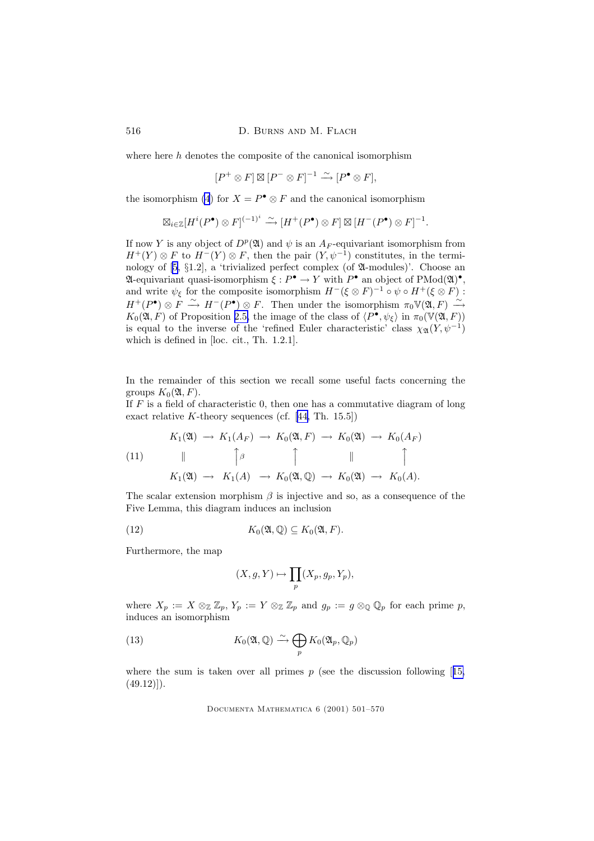where here  $h$  denotes the composite of the canonical isomorphism

$$
[P^+ \otimes F] \boxtimes [P^- \otimes F]^{-1} \xrightarrow{\sim} [P^{\bullet} \otimes F],
$$

the isomorphism [\(4](#page-7-0)) for  $X = P^{\bullet} \otimes F$  and the canonical isomorphism

$$
\boxtimes_{i\in\mathbb{Z}}[H^i(P^\bullet)\otimes F]^{(-1)^i}\xrightarrow{\sim} [H^+(P^\bullet)\otimes F]\boxtimes [H^-(P^\bullet)\otimes F]^{-1}.
$$

If now Y is any object of  $D^p(\mathfrak{A})$  and  $\psi$  is an  $A_F$ -equivariant isomorphism from  $H^+(Y) \otimes F$  to  $H^-(Y) \otimes F$ , then the pair  $(Y, \psi^{-1})$  constitutes, in the terminology of [\[5,](#page-67-0) §1.2], a 'trivialized perfect complex (of A-modules)'. Choose an  $\mathfrak A$ -equivariant quasi-isomorphism  $\xi : P^{\bullet} \to Y$  with  $P^{\bullet}$  an object of PMod $(\mathfrak A)^{\bullet}$ , and write  $\psi_{\xi}$  for the composite isomorphism  $H^{-}(\xi \otimes F)^{-1} \circ \psi \circ H^{+}(\xi \otimes F)$ :  $H^+(P^{\bullet})\otimes F \stackrel{\sim}{\longrightarrow} H^-(P^{\bullet})\otimes F$ . Then under the isomorphism  $\pi_0 \mathbb{V}(\mathfrak{A}, F) \stackrel{\sim}{\longrightarrow}$  $K_0(\mathfrak{A}, F)$  of Proposition [2.5,](#page-13-0) the image of the class of  $\langle P^{\bullet}, \psi_{\xi} \rangle$  in  $\pi_0(\mathbb{V}(\mathfrak{A}, F))$ is equal to the inverse of the 'refined Euler characteristic' class  $\chi_{\mathfrak{A}}(Y, \psi^{-1})$ which is defined in [loc. cit., Th. 1.2.1].

In the remainder of this section we recall some useful facts concerning the groups  $K_0(\mathfrak{A}, F)$ .

If  $F$  is a field of characteristic 0, then one has a commutative diagram of long exact relative K-theory sequences (cf.  $[44, Th. 15.5]$  $[44, Th. 15.5]$ )

(11)  
\n
$$
K_1(\mathfrak{A}) \rightarrow K_1(A_F) \rightarrow K_0(\mathfrak{A}, F) \rightarrow K_0(\mathfrak{A}) \rightarrow K_0(A_F)
$$
\n
$$
\downarrow \qquad \qquad \uparrow \qquad \qquad \downarrow \qquad \qquad \downarrow
$$
\n
$$
K_1(\mathfrak{A}) \rightarrow K_1(A) \rightarrow K_0(\mathfrak{A}, \mathbb{Q}) \rightarrow K_0(\mathfrak{A}) \rightarrow K_0(A).
$$

The scalar extension morphism  $\beta$  is injective and so, as a consequence of the Five Lemma, this diagram induces an inclusion

(12) 
$$
K_0(\mathfrak{A},\mathbb{Q})\subseteq K_0(\mathfrak{A},F).
$$

Furthermore, the map

$$
(X, g, Y) \mapsto \prod_p (X_p, g_p, Y_p),
$$

where  $X_p := X \otimes_{\mathbb{Z}} \mathbb{Z}_p$ ,  $Y_p := Y \otimes_{\mathbb{Z}} \mathbb{Z}_p$  and  $g_p := g \otimes_{\mathbb{Q}} \mathbb{Q}_p$  for each prime p, induces an isomorphism

(13) 
$$
K_0(\mathfrak{A}, \mathbb{Q}) \xrightarrow{\sim} \bigoplus_p K_0(\mathfrak{A}_p, \mathbb{Q}_p)
$$

where the sum is taken over all primes  $p$  (see the discussion following [[15,](#page-68-0)  $(49.12)$ ].

<span id="page-15-0"></span>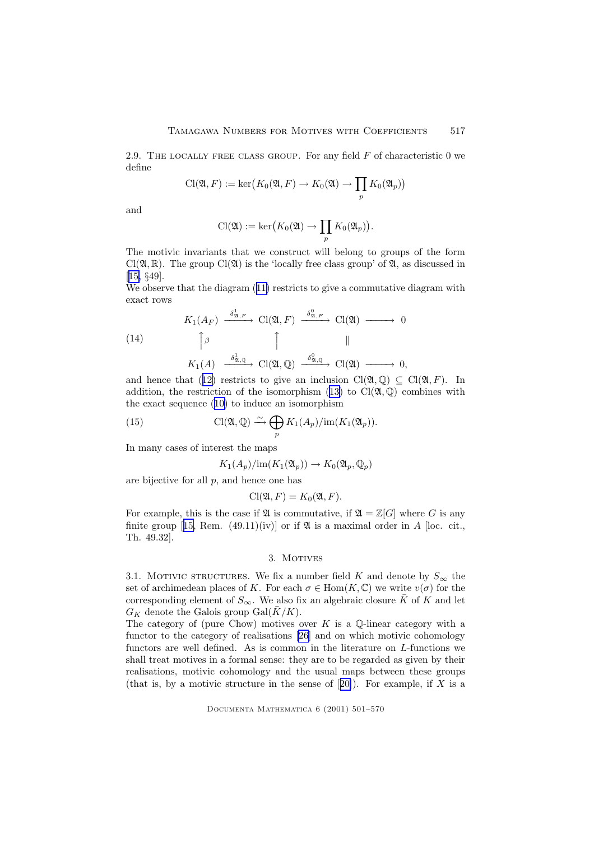<span id="page-16-0"></span>2.9. THE LOCALLY FREE CLASS GROUP. For any field  $F$  of characteristic 0 we define

$$
\mathrm{Cl}(\mathfrak{A}, F) := \ker \bigl(K_0(\mathfrak{A}, F) \to K_0(\mathfrak{A}) \to \prod_p K_0(\mathfrak{A}_p)\bigr)
$$

and

$$
\mathrm{Cl}(\mathfrak{A}) := \ker \bigl( K_0(\mathfrak{A}) \to \prod_p K_0(\mathfrak{A}_p) \bigr).
$$

The motivic invariants that we construct will belong to groups of the form  $Cl(\mathfrak{A}, \mathbb{R})$ . The group  $Cl(\mathfrak{A})$  is the 'locally free class group' of  $\mathfrak{A}$ , as discussed in [[15,](#page-68-0) §49].

We observe that the diagram  $(11)$  $(11)$  restricts to give a commutative diagram with exact rows

(14)  
\n
$$
K_{1}(A_{F}) \xrightarrow{\delta_{\mathfrak{A}, F}^1} \mathrm{Cl}(\mathfrak{A}, F) \xrightarrow{\delta_{\mathfrak{A}, F}^0} \mathrm{Cl}(\mathfrak{A}) \longrightarrow 0
$$
\n
$$
\uparrow \beta \qquad \qquad \uparrow \qquad \qquad \parallel
$$
\n
$$
K_{1}(A) \xrightarrow{\delta_{\mathfrak{A}, \mathbb{Q}}^1} \mathrm{Cl}(\mathfrak{A}, \mathbb{Q}) \xrightarrow{\delta_{\mathfrak{A}, \mathbb{Q}}^0} \mathrm{Cl}(\mathfrak{A}) \longrightarrow 0,
$$

and hence that ([12\)](#page-15-0) restricts to give an inclusion  $Cl(\mathfrak{A}, \mathbb{Q}) \subset Cl(\mathfrak{A}, F)$ . In addition, the restriction of the isomorphism ([13\)](#page-15-0) to  $Cl(\mathfrak{A}, \mathbb{Q})$  combines with the exact sequence ([10\)](#page-14-0) to induce an isomorphism

(15) 
$$
\mathrm{Cl}(\mathfrak{A},\mathbb{Q})\stackrel{\sim}{\longrightarrow}\bigoplus_{p}K_1(A_p)/\mathrm{im}(K_1(\mathfrak{A}_p)).
$$

In many cases of interest the maps

$$
K_1(A_p)/\mathrm{im}(K_1(\mathfrak{A}_p)) \to K_0(\mathfrak{A}_p, \mathbb{Q}_p)
$$

are bijective for all  $p$ , and hence one has

$$
\mathrm{Cl}(\mathfrak{A}, F) = K_0(\mathfrak{A}, F).
$$

For example, this is the case if  $\mathfrak A$  is commutative, if  $\mathfrak A = \mathbb Z[G]$  where G is any finite group [[15,](#page-68-0) Rem.  $(49.11)(iv)$ ] or if  $\mathfrak A$  is a maximal order in A [loc. cit., Th. 49.32].

# 3. MOTIVES

3.1. MOTIVIC STRUCTURES. We fix a number field K and denote by  $S_{\infty}$  the set of archimedean places of K. For each  $\sigma \in \text{Hom}(K, \mathbb{C})$  we write  $v(\sigma)$  for the corresponding element of  $S_{\infty}$ . We also fix an algebraic closure  $\overline{K}$  of K and let  $G_K$  denote the Galois group Gal $(K/K)$ .

The category of (pure Chow) motives over  $K$  is a Q-linear category with a functor to the category of realisations [\[26](#page-68-0)] and on which motivic cohomology functors are well defined. As is common in the literature on L-functions we shall treat motives in a formal sense: they are to be regarded as given by their realisations, motivic cohomology and the usual maps between these groups (that is, by a motivic structure in the sense of  $[20]$  $[20]$ ). For example, if X is a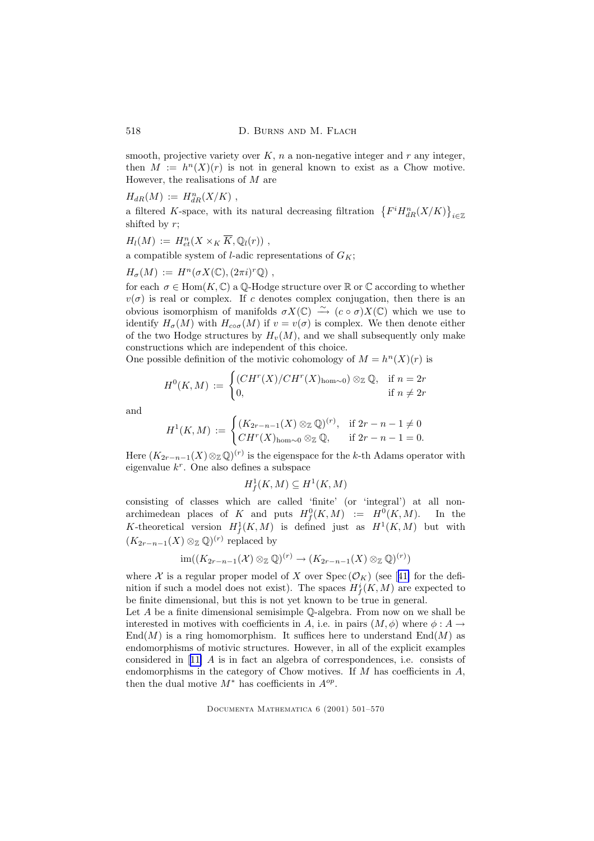smooth, projective variety over  $K$ , n a non-negative integer and r any integer, then  $M := h<sup>n</sup>(X)(r)$  is not in general known to exist as a Chow motive. However, the realisations of  $M$  are

 $H_{dR}(M) := H_{dR}^{n}(X/K)$ ,

a filtered K-space, with its natural decreasing filtration  $\{F^i H^n_{dR}(X/K)\}_{i\in\mathbb{Z}}$ shifted by  $r$ ;

$$
H_l(M) := H^n_{et}(X \times_K \overline{K}, \mathbb{Q}_l(r)),
$$

a compatible system of *l*-adic representations of  $G_K$ ;

$$
H_{\sigma}(M) := H^n(\sigma X(\mathbb{C}), (2\pi i)^r \mathbb{Q}),
$$

for each  $\sigma \in \text{Hom}(K, \mathbb{C})$  a  $\mathbb{Q}$ -Hodge structure over  $\mathbb{R}$  or  $\mathbb{C}$  according to whether  $v(\sigma)$  is real or complex. If c denotes complex conjugation, then there is an obvious isomorphism of manifolds  $\sigma X(\mathbb{C}) \stackrel{\sim}{\longrightarrow} (c \circ \sigma) X(\mathbb{C})$  which we use to identify  $H_{\sigma}(M)$  with  $H_{\infty\sigma}(M)$  if  $v = v(\sigma)$  is complex. We then denote either of the two Hodge structures by  $H<sub>v</sub>(M)$ , and we shall subsequently only make constructions which are independent of this choice.

One possible definition of the motivic cohomology of 
$$
M = hn(X)(r)
$$
 is

$$
H^{0}(K, M) := \begin{cases} (CH^{r}(X)/CH^{r}(X)_{\text{hom}\sim 0}) \otimes_{\mathbb{Z}} \mathbb{Q}, & \text{if } n = 2r \\ 0, & \text{if } n \neq 2r \end{cases}
$$

and

$$
H^1(K,M) := \begin{cases} (K_{2r-n-1}(X) \otimes_{\mathbb{Z}} \mathbb{Q})^{(r)}, & \text{if } 2r-n-1 \neq 0\\ CH^r(X)_{\text{hom}\sim 0} \otimes_{\mathbb{Z}} \mathbb{Q}, & \text{if } 2r-n-1=0. \end{cases}
$$

Here  $(K_{2r-n-1}(X)\otimes_{\mathbb{Z}}\mathbb{Q})^{(r)}$  is the eigenspace for the k-th Adams operator with eigenvalue  $k^r$ . One also defines a subspace

$$
H^1_f(K,M) \subseteq H^1(K,M)
$$

consisting of classes which are called 'finite' (or 'integral') at all nonarchimedean places of K and puts  $H_f^0(K,M) := H^0(K,M)$ . In the K-theoretical version  $H^1_f(K,M)$  is defined just as  $H^1(K,M)$  but with  $(K_{2r-n-1}(X) \otimes_{\mathbb{Z}} \mathbb{Q})^{(r)}$  replaced by

$$
\operatorname{im}((K_{2r-n-1}(\mathcal{X}) \otimes_{\mathbb{Z}} \mathbb{Q})^{(r)} \to (K_{2r-n-1}(X) \otimes_{\mathbb{Z}} \mathbb{Q})^{(r)})
$$

where X is a regular proper model of X over  $Spec(\mathcal{O}_K)$  (see [[41\]](#page-69-0) for the definition if such a model does not exist). The spaces  $H^i_f(K, M)$  are expected to be finite dimensional, but this is not yet known to be true in general.

Let  $A$  be a finite dimensional semisimple  $\mathbb Q$ -algebra. From now on we shall be interested in motives with coefficients in A, i.e. in pairs  $(M, \phi)$  where  $\phi : A \rightarrow$  $\text{End}(M)$  is a ring homomorphism. It suffices here to understand  $\text{End}(M)$  as endomorphisms of motivic structures. However, in all of the explicit examples considered in [[11\]](#page-67-0) A is in fact an algebra of correspondences, i.e. consists of endomorphisms in the category of Chow motives. If  $M$  has coefficients in  $A$ , then the dual motive  $M^*$  has coefficients in  $A^{op}$ .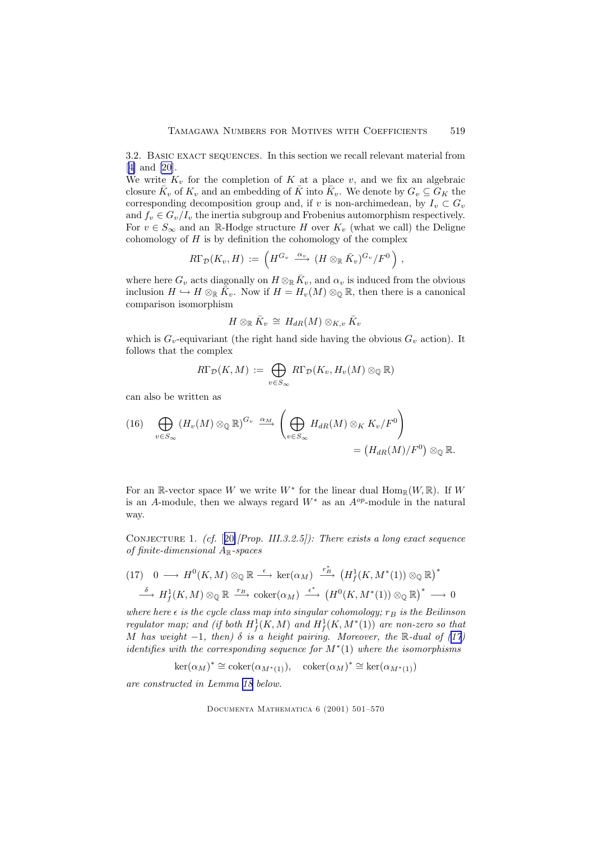<span id="page-18-0"></span>3.2. BASIC EXACT SEQUENCES. In this section we recall relevant material from [[4\]](#page-67-0) and [\[20](#page-68-0)].

We write  $K_v$  for the completion of K at a place v, and we fix an algebraic closure  $\bar{K}_v$  of  $K_v$  and an embedding of  $\bar{K}$  into  $\bar{K}_v$ . We denote by  $G_v \subseteq G_K$  the corresponding decomposition group and, if v is non-archimedean, by  $I_v \subset G_v$ and  $f_v \in G_v/I_v$  the inertia subgroup and Frobenius automorphism respectively. For  $v \in S_{\infty}$  and an R-Hodge structure H over  $K_v$  (what we call) the Deligne cohomology of  $H$  is by definition the cohomology of the complex

$$
R\Gamma_{\mathcal{D}}(K_v, H) := \left( H^{G_v} \xrightarrow{\alpha_v} (H \otimes_{\mathbb{R}} \bar{K}_v)^{G_v}/F^0 \right),
$$

where here  $G_v$  acts diagonally on  $H \otimes_{\mathbb{R}} \bar{K}_v$ , and  $\alpha_v$  is induced from the obvious inclusion  $H \hookrightarrow H \otimes_{\mathbb{R}} \overline{K}_v$ . Now if  $H = H_v(M) \otimes_{\mathbb{Q}} \mathbb{R}$ , then there is a canonical comparison isomorphism

$$
H\otimes_{\mathbb R} \bar{K}_v \,\cong\, H_{dR}(M)\otimes_{K,v} \bar{K}_v
$$

which is  $G_v$ -equivariant (the right hand side having the obvious  $G_v$  action). It follows that the complex

$$
R\Gamma_\mathcal{D}(K,M) := \bigoplus_{v\in S_\infty} R\Gamma_\mathcal{D}(K_v,H_v(M)\otimes_\mathbb{Q}\mathbb{R})
$$

can also be written as

(16) 
$$
\bigoplus_{v \in S_{\infty}} (H_v(M) \otimes_{\mathbb{Q}} \mathbb{R})^{G_v} \xrightarrow{\alpha_M} \left( \bigoplus_{v \in S_{\infty}} H_{dR}(M) \otimes_K K_v/F^0 \right)
$$

$$
= (H_{dR}(M)/F^0) \otimes_{\mathbb{Q}} \mathbb{R}.
$$

For an R-vector space W we write  $W^*$  for the linear dual  $\text{Hom}_{\mathbb{R}}(W,\mathbb{R})$ . If W is an A-module, then we always regard  $W^*$  as an  $A^{op}$ -module in the natural way.

CONJECTURE 1. (cf.  $[20]/Prop$  $[20]/Prop$  $[20]/Prop$ . III.3.2.5]): There exists a long exact sequence of finite-dimensional  $A_{\mathbb{R}}$ -spaces

$$
(17) \quad 0 \longrightarrow H^0(K,M) \otimes_{\mathbb{Q}} \mathbb{R} \stackrel{\epsilon}{\longrightarrow} \ker(\alpha_M) \stackrel{r_B^*}{\longrightarrow} (H^1_f(K,M^*(1)) \otimes_{\mathbb{Q}} \mathbb{R})^*
$$
  

$$
\stackrel{\delta}{\longrightarrow} H^1_f(K,M) \otimes_{\mathbb{Q}} \mathbb{R} \stackrel{r_B}{\longrightarrow} \text{coker}(\alpha_M) \stackrel{\epsilon^*}{\longrightarrow} (H^0(K,M^*(1)) \otimes_{\mathbb{Q}} \mathbb{R})^* \longrightarrow 0
$$

where here  $\epsilon$  is the cycle class map into singular cohomology;  $r_B$  is the Beilinson regulator map; and (if both  $H^1_f(K,M)$  and  $H^1_f(K,M^*(1))$  are non-zero so that M has weight  $-1$ , then)  $\delta$  is a height pairing. Moreover, the R-dual of (17) identifies with the corresponding sequence for  $M^*(1)$  where the isomorphisms

$$
\ker(\alpha_M)^* \cong \operatorname{coker}(\alpha_{M^*(1)}), \quad \operatorname{coker}(\alpha_M)^* \cong \ker(\alpha_{M^*(1)})
$$

are constructed in Lemma [18](#page-58-0) below.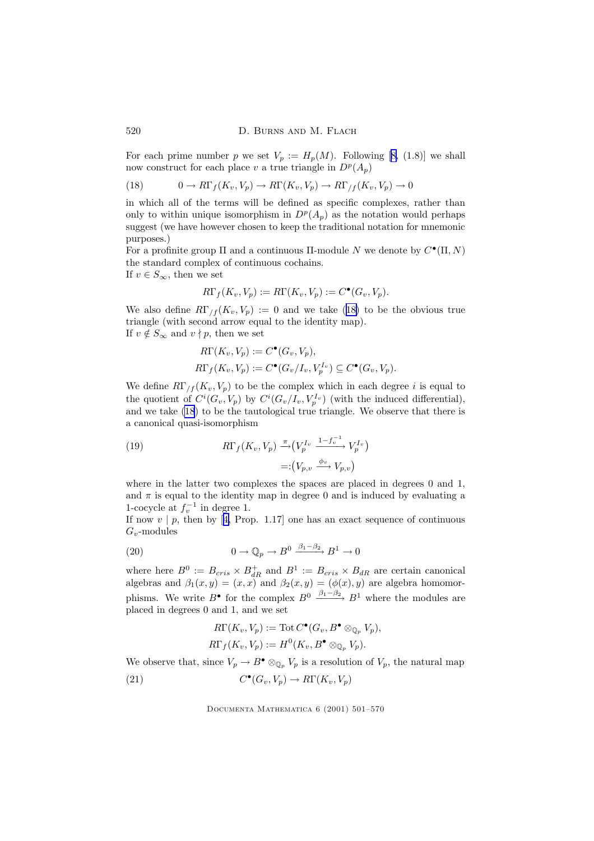For each prime number p we set  $V_p := H_p(M)$ . Following [[8,](#page-67-0) (1.8)] we shall now construct for each place v a true triangle in  $D^p(A_p)$ 

(18) 
$$
0 \to R\Gamma_f(K_v, V_p) \to R\Gamma(K_v, V_p) \to R\Gamma_f(K_v, V_p) \to 0
$$

in which all of the terms will be defined as specific complexes, rather than only to within unique isomorphism in  $D^p(A_p)$  as the notation would perhaps suggest (we have however chosen to keep the traditional notation for mnemonic purposes.)

For a profinite group  $\Pi$  and a continuous  $\Pi$ -module N we denote by  $C^{\bullet}(\Pi, N)$ the standard complex of continuous cochains.

If  $v \in S_{\infty}$ , then we set

$$
R\Gamma_f(K_v, V_p) := R\Gamma(K_v, V_p) := C^{\bullet}(G_v, V_p).
$$

We also define  $R\Gamma_{/f}(K_v, V_p) := 0$  and we take (18) to be the obvious true triangle (with second arrow equal to the identity map). If  $v \notin S_{\infty}$  and  $v \nmid p$ , then we set

$$
R\Gamma(K_v, V_p) := C^{\bullet}(G_v, V_p),
$$
  

$$
R\Gamma_f(K_v, V_p) := C^{\bullet}(G_v/I_v, V_p^{I_v}) \subseteq C^{\bullet}(G_v, V_p).
$$

We define  $R\Gamma_{/f}(K_v, V_p)$  to be the complex which in each degree i is equal to the quotient of  $C^{i}(G_v, V_p)$  by  $C^{i}(G_v/I_v, V_p^{I_v})$  (with the induced differential), and we take (18) to be the tautological true triangle. We observe that there is a canonical quasi-isomorphism

(19) 
$$
R\Gamma_f(K_v, V_p) \xrightarrow{\pi} (V_p^{I_v} \xrightarrow{1-f_v^{-1}} V_p^{I_v})
$$

$$
=:(V_{p,v} \xrightarrow{\phi_v} V_{p,v})
$$

where in the latter two complexes the spaces are placed in degrees 0 and 1, and  $\pi$  is equal to the identity map in degree 0 and is induced by evaluating a 1-cocycle at  $f_v^{-1}$  in degree 1.

If now  $v \mid p$ , then by [[4,](#page-67-0) Prop. 1.17] one has an exact sequence of continuous  $G_v$ -modules

(20) 
$$
0 \to \mathbb{Q}_p \to B^0 \xrightarrow{\beta_1 - \beta_2} B^1 \to 0
$$

where here  $B^0 := B_{cris} \times B_{dR}^+$  and  $B^1 := B_{cris} \times B_{dR}$  are certain canonical algebras and  $\beta_1(x, y) = (x, x)$  and  $\beta_2(x, y) = (\phi(x), y)$  are algebra homomorphisms. We write  $B^{\bullet}$  for the complex  $B^0 \xrightarrow{\beta_1-\beta_2} B^1$  where the modules are placed in degrees 0 and 1, and we set

$$
R\Gamma(K_v, V_p) := \text{Tot } C^{\bullet}(G_v, B^{\bullet} \otimes_{\mathbb{Q}_p} V_p),
$$
  

$$
R\Gamma_f(K_v, V_p) := H^0(K_v, B^{\bullet} \otimes_{\mathbb{Q}_p} V_p).
$$

We observe that, since  $V_p \to B^{\bullet} \otimes_{\mathbb{Q}_p} V_p$  is a resolution of  $V_p$ , the natural map (21)  $C^{\bullet}(G_v, V_p) \to R\Gamma(K_v, V_p)$ 

<span id="page-19-0"></span>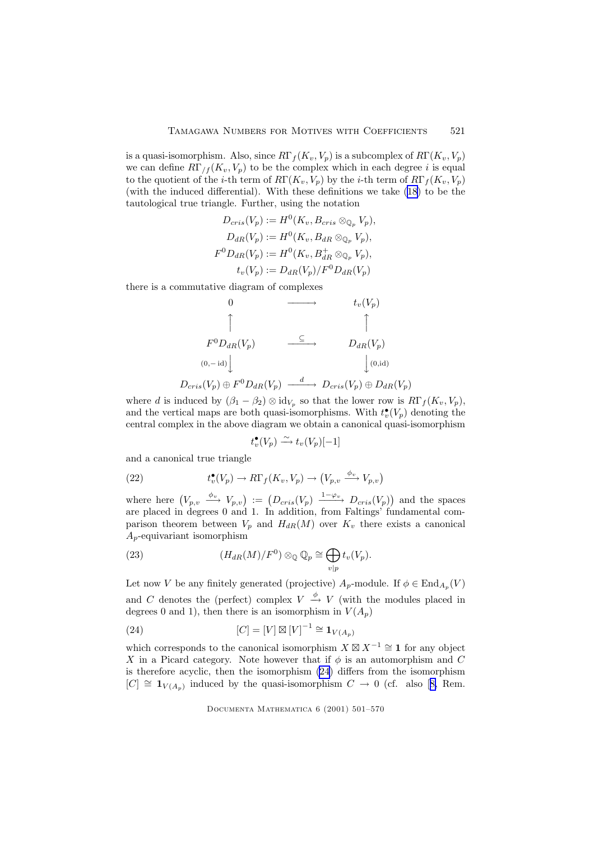<span id="page-20-0"></span>is a quasi-isomorphism. Also, since  $R\Gamma_f(K_v, V_p)$  is a subcomplex of  $R\Gamma(K_v, V_p)$ we can define  $R\Gamma_{/f}(K_v, V_p)$  to be the complex which in each degree i is equal to the quotient of the *i*-th term of  $R\Gamma(K_v, V_p)$  by the *i*-th term of  $R\Gamma_f(K_v, V_p)$ (with the induced differential). With these definitions we take [\(18](#page-19-0)) to be the tautological true triangle. Further, using the notation

$$
D_{cris}(V_p) := H^0(K_v, B_{cris} \otimes_{\mathbb{Q}_p} V_p),
$$
  
\n
$$
D_{dR}(V_p) := H^0(K_v, B_{dR} \otimes_{\mathbb{Q}_p} V_p),
$$
  
\n
$$
F^0 D_{dR}(V_p) := H^0(K_v, B_{dR}^+ \otimes_{\mathbb{Q}_p} V_p),
$$
  
\n
$$
t_v(V_p) := D_{dR}(V_p)/F^0 D_{dR}(V_p)
$$

there is a commutative diagram of complexes

0 −−−−→ tv(Vp) x x F <sup>0</sup>DdR(Vp) ⊆ −−−−→ DdR(Vp) (0,− id) y y(0,id)

$$
D_{cris}(V_p) \oplus F^0 D_{dR}(V_p) \xrightarrow{d} D_{cris}(V_p) \oplus D_{dR}(V_p)
$$

where d is induced by  $(\beta_1 - \beta_2) \otimes id_{V_p}$  so that the lower row is  $R\Gamma_f(K_v, V_p)$ , and the vertical maps are both quasi-isomorphisms. With  $t_v^{\bullet}(V_p)$  denoting the central complex in the above diagram we obtain a canonical quasi-isomorphism

$$
t_v^{\bullet}(V_p) \xrightarrow{\sim} t_v(V_p)[-1]
$$

and a canonical true triangle

(22) 
$$
t_v^{\bullet}(V_p) \to R\Gamma_f(K_v, V_p) \to (V_{p,v} \xrightarrow{\phi_v} V_{p,v})
$$

where here  $(V_{p,\upsilon} \stackrel{\phi_{\upsilon}}{\longrightarrow} V_{p,\upsilon}) := (D_{cris}(V_p) \stackrel{1-\varphi_{\upsilon}}{\longrightarrow} D_{cris}(V_p))$  and the spaces are placed in degrees 0 and 1. In addition, from Faltings' fundamental comparison theorem between  $V_p$  and  $H_{dR}(M)$  over  $K_v$  there exists a canonical  $A_p$ -equivariant isomorphism

(23) 
$$
(H_{dR}(M)/F^0) \otimes_{\mathbb{Q}} \mathbb{Q}_p \cong \bigoplus_{v|p} t_v(V_p).
$$

Let now V be any finitely generated (projective)  $A_p$ -module. If  $\phi \in \text{End}_{A_p}(V)$ and C denotes the (perfect) complex  $V \stackrel{\phi}{\rightarrow} V$  (with the modules placed in degrees 0 and 1), then there is an isomorphism in  $V(A_n)$ 

(24) 
$$
[C] = [V] \boxtimes [V]^{-1} \cong \mathbf{1}_{V(A_p)}
$$

which corresponds to the canonical isomorphism  $X \boxtimes X^{-1} \cong \mathbf{1}$  for any object X in a Picard category. Note however that if  $\phi$  is an automorphism and C is therefore acyclic, then the isomorphism (24) differs from the isomorphism  $[C] \cong \mathbf{1}_{V(A_p)}$  induced by the quasi-isomorphism  $C \to 0$  (cf. also [[8,](#page-67-0) Rem.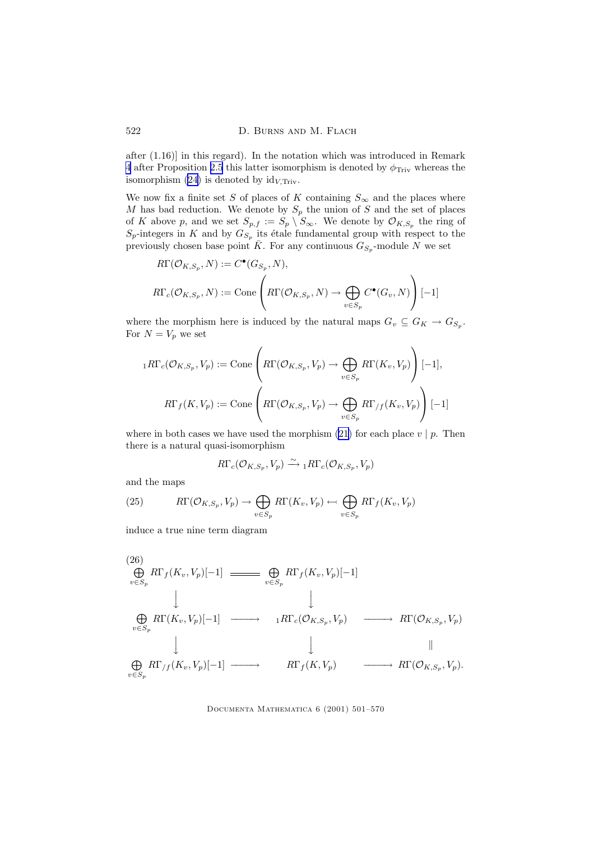<span id="page-21-0"></span>after (1.16)] in this regard). In the notation which was introduced in Remark [4](#page-14-0) after Proposition [2.5](#page-13-0) this latter isomorphism is denoted by  $\phi_{\text{Triv}}$  whereas the isomorphism [\(24](#page-20-0)) is denoted by  $\mathrm{id}_{V,\mathrm{Triv}}$ .

We now fix a finite set S of places of K containing  $S_{\infty}$  and the places where  $M$  has bad reduction. We denote by  $S_p$  the union of  $S$  and the set of places of K above p, and we set  $S_{p,f} := S_p \setminus S_{\infty}$ . We denote by  $\mathcal{O}_{K,S_p}$  the ring of  $S_p$ -integers in K and by  $G_{S_p}$  its étale fundamental group with respect to the previously chosen base point  $\overline{K}$ . For any continuous  $G_{S_p}$ -module N we set

$$
R\Gamma(\mathcal{O}_{K,S_p}, N) := C^{\bullet}(G_{S_p}, N),
$$
  

$$
R\Gamma_c(\mathcal{O}_{K,S_p}, N) := \text{Cone}\left(R\Gamma(\mathcal{O}_{K,S_p}, N) \to \bigoplus_{v \in S_p} C^{\bullet}(G_v, N)\right)[-1]
$$

where the morphism here is induced by the natural maps  $G_v \subseteq G_K \to G_{S_p}$ . For  $N = V_p$  we set

$$
{}_{1}R\Gamma_{c}(\mathcal{O}_{K,S_{p}},V_{p}) := \text{Cone}\left(R\Gamma(\mathcal{O}_{K,S_{p}},V_{p}) \to \bigoplus_{v \in S_{p}}R\Gamma(K_{v},V_{p})\right)[-1],
$$
  

$$
R\Gamma_{f}(K,V_{p}) := \text{Cone}\left(R\Gamma(\mathcal{O}_{K,S_{p}},V_{p}) \to \bigoplus_{v \in S_{p}}R\Gamma_{/f}(K_{v},V_{p})\right)[-1]
$$

where in both cases we have used the morphism [\(21](#page-19-0)) for each place  $v | p$ . Then there is a natural quasi-isomorphism

$$
R\Gamma_c(\mathcal{O}_{K,S_p},V_p)\xrightarrow{\sim} {}_1R\Gamma_c(\mathcal{O}_{K,S_p},V_p)
$$

and the maps

(25) 
$$
R\Gamma(\mathcal{O}_{K,S_p}, V_p) \to \bigoplus_{v \in S_p} R\Gamma(K_v, V_p) \leftarrow \bigoplus_{v \in S_p} R\Gamma_f(K_v, V_p)
$$

induce a true nine term diagram

(26)  
\n
$$
\bigoplus_{v \in S_p} R\Gamma_f(K_v, V_p)[-1] \longrightarrow \bigoplus_{v \in S_p} R\Gamma_f(K_v, V_p)[-1]
$$
\n
$$
\downarrow \qquad \qquad \downarrow
$$
\n
$$
\bigoplus_{v \in S_p} R\Gamma(K_v, V_p)[-1] \longrightarrow \qquad \qquad 1R\Gamma_c(\mathcal{O}_{K,S_p}, V_p) \longrightarrow R\Gamma(\mathcal{O}_{K,S_p}, V_p)
$$
\n
$$
\downarrow \qquad \qquad \downarrow \qquad \qquad \parallel
$$
\n
$$
\bigoplus_{v \in S_p} R\Gamma_{/f}(K_v, V_p)[-1] \longrightarrow R\Gamma_f(K, V_p) \longrightarrow R\Gamma(\mathcal{O}_{K,S_p}, V_p).
$$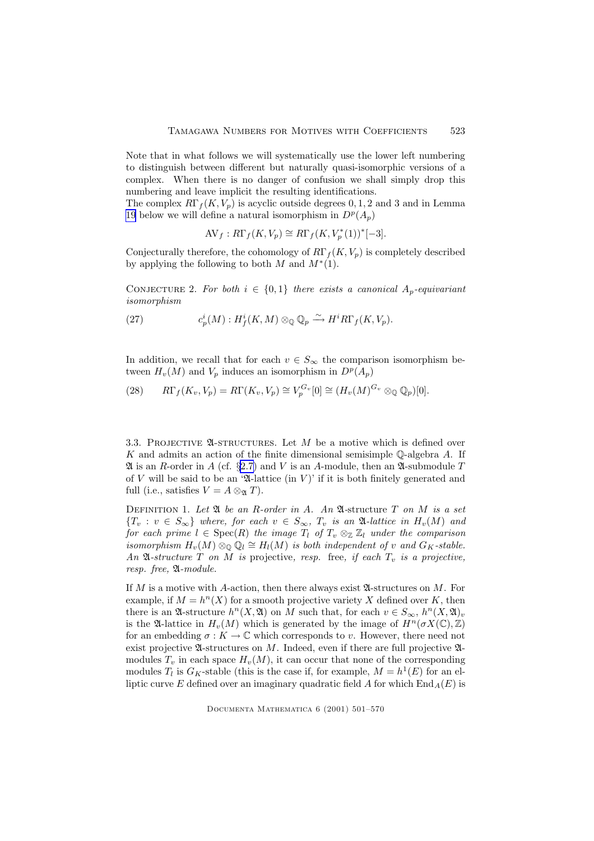<span id="page-22-0"></span>Note that in what follows we will systematically use the lower left numbering to distinguish between different but naturally quasi-isomorphic versions of a complex. When there is no danger of confusion we shall simply drop this numbering and leave implicit the resulting identifications.

The complex  $R\Gamma_f(K, V_p)$  is acyclic outside degrees 0, 1, 2 and 3 and in Lemma [19](#page-63-0) below we will define a natural isomorphism in  $D^p(A_p)$ 

$$
AV_f: R\Gamma_f(K, V_p) \cong R\Gamma_f(K, V_p^*(1))^*[-3].
$$

Conjecturally therefore, the cohomology of  $R\Gamma_f(K, V_p)$  is completely described by applying the following to both  $M$  and  $M^*(1)$ .

CONJECTURE 2. For both  $i \in \{0,1\}$  there exists a canonical  $A_p$ -equivariant isomorphism

(27) 
$$
c_p^i(M): H_f^i(K, M) \otimes_{\mathbb{Q}} \mathbb{Q}_p \xrightarrow{\sim} H^i R \Gamma_f(K, V_p).
$$

In addition, we recall that for each  $v \in S_{\infty}$  the comparison isomorphism between  $H_v(M)$  and  $V_p$  induces an isomorphism in  $D^p(A_p)$ 

(28) 
$$
R\Gamma_f(K_v, V_p) = R\Gamma(K_v, V_p) \cong V_p^{G_v}[0] \cong (H_v(M)^{G_v} \otimes_{\mathbb{Q}} \mathbb{Q}_p)[0].
$$

3.3. PROJECTIVE  $\mathfrak A$ -structures. Let M be a motive which is defined over K and admits an action of the finite dimensional semisimple  $\mathbb{O}$ -algebra A. If  $\mathfrak A$  is an R-order in A (cf. §[2.7\)](#page-9-0) and V is an A-module, then an  $\mathfrak A$ -submodule T of V will be said to be an 'A-lattice (in V)' if it is both finitely generated and full (i.e., satisfies  $V = A \otimes_{\mathfrak{A}} T$ ).

DEFINITION 1. Let  $\mathfrak A$  be an R-order in A. An  $\mathfrak A$ -structure  $T$  on M is a set  ${T_v : v \in S_{\infty}}$  where, for each  $v \in S_{\infty}$ ,  ${T_v}$  is an A-lattice in  $H_v(M)$  and for each prime  $l \in \text{Spec}(R)$  the image  $T_l$  of  $T_v \otimes_{\mathbb{Z}} \mathbb{Z}_l$  under the comparison isomorphism  $H_v(M) \otimes_{\mathbb{Q}} \mathbb{Q}_l \cong H_l(M)$  is both independent of v and  $G_K$ -stable. An  $\mathfrak A$ -structure T on M is projective, resp. free, if each  $T_n$  is a projective, resp. free, A-module.

If M is a motive with A-action, then there always exist  $\mathfrak{A}$ -structures on M. For example, if  $M = h<sup>n</sup>(X)$  for a smooth projective variety X defined over K, then there is an  $\mathfrak{A}$ -structure  $h^n(X, \mathfrak{A})$  on M such that, for each  $v \in S_{\infty}$ ,  $h^n(X, \mathfrak{A})_v$ is the  $\mathfrak{A}$ -lattice in  $H_v(M)$  which is generated by the image of  $H^n(\sigma X(\mathbb{C}), \mathbb{Z})$ for an embedding  $\sigma : K \to \mathbb{C}$  which corresponds to v. However, there need not exist projective  $\mathfrak A$ -structures on M. Indeed, even if there are full projective  $\mathfrak A$ modules  $T_v$  in each space  $H_v(M)$ , it can occur that none of the corresponding modules  $T_l$  is  $G_K$ -stable (this is the case if, for example,  $M = h^1(E)$  for an elliptic curve E defined over an imaginary quadratic field A for which  $\text{End}_A(E)$  is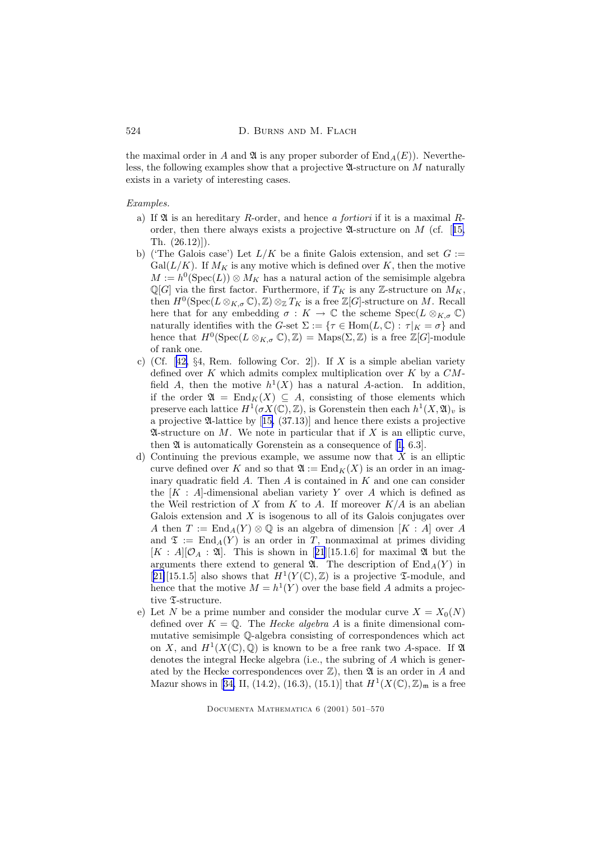the maximal order in A and  $\mathfrak A$  is any proper suborder of  $\text{End}_A(E)$ . Nevertheless, the following examples show that a projective  $\mathfrak A$ -structure on M naturally exists in a variety of interesting cases.

#### Examples.

- a) If  $\mathfrak A$  is an hereditary R-order, and hence a fortiori if it is a maximal Rorder, then there always exists a projective  $\mathfrak{A}\text{-structure on }M$  (cf. [[15,](#page-68-0) Th. (26.12)]).
- b) ('The Galois case') Let  $L/K$  be a finite Galois extension, and set  $G :=$  $Gal(L/K)$ . If  $M_K$  is any motive which is defined over K, then the motive  $M := h^0(\text{Spec}(L)) \otimes M_K$  has a natural action of the semisimple algebra  $\mathbb{Q}[G]$  via the first factor. Furthermore, if  $T_K$  is any Z-structure on  $M_K$ , then  $H^0(\operatorname{Spec}(L \otimes_{K,\sigma} \mathbb{C}), \mathbb{Z}) \otimes_{\mathbb{Z}} T_K$  is a free  $\mathbb{Z}[G]$ -structure on M. Recall here that for any embedding  $\sigma : K \to \mathbb{C}$  the scheme  $Spec(L \otimes_{K,\sigma} \mathbb{C})$ naturally identifies with the G-set  $\Sigma := {\tau \in Hom(L, \mathbb{C}) : \tau|_K = \sigma}$  and hence that  $H^0(\text{Spec}(L \otimes_{K,\sigma} \mathbb{C}), \mathbb{Z}) = \text{Maps}(\Sigma, \mathbb{Z})$  is a free  $\mathbb{Z}[G]$ -module of rank one.
- c) (Cf. [[42,](#page-69-0)  $\S 4$ , Rem. following Cor. 2]). If X is a simple abelian variety defined over K which admits complex multiplication over K by a  $CM$ field A, then the motive  $h^1(X)$  has a natural A-action. In addition, if the order  $\mathfrak{A} = \text{End}_K(X) \subseteq A$ , consisting of those elements which preserve each lattice  $H^1(\sigma X(\mathbb{C}), \mathbb{Z})$ , is Gorenstein then each  $h^1(X, \mathfrak{A})_v$  is a projective A-lattice by [[15,](#page-68-0) (37.13)] and hence there exists a projective  $\mathfrak A$ -structure on M. We note in particular that if X is an elliptic curve, then  $\mathfrak A$  is automatically Gorenstein as a consequence of [[1,](#page-67-0) 6.3].
- d) Continuing the previous example, we assume now that  $X$  is an elliptic curve defined over K and so that  $\mathfrak{A} := \text{End}_K(X)$  is an order in an imaginary quadratic field  $A$ . Then  $A$  is contained in  $K$  and one can consider the  $[K : A]$ -dimensional abelian variety Y over A which is defined as the Weil restriction of X from K to A. If moreover  $K/A$  is an abelian Galois extension and  $X$  is isogenous to all of its Galois conjugates over A then  $T := \text{End}_A(Y) \otimes \mathbb{Q}$  is an algebra of dimension  $[K : A]$  over A and  $\mathfrak{T} := \text{End}_{A}(Y)$  is an order in T, nonmaximal at primes dividing  $[K : A][\mathcal{O}_A : \mathfrak{A}]$ . This is shown in [[21](#page-68-0)][15.1.6] for maximal  $\mathfrak{A}$  but the arguments there extend to general  $\mathfrak{A}$ . The description of End<sub>A</sub>(Y) in [[21\]](#page-68-0)[15.1.5] also shows that  $H^1(Y(\mathbb{C}), \mathbb{Z})$  is a projective *X*-module, and hence that the motive  $M = h^1(Y)$  over the base field A admits a projective  $\Sigma$ -structure.
- e) Let N be a prime number and consider the modular curve  $X = X_0(N)$ defined over  $K = \mathbb{Q}$ . The *Hecke algebra A* is a finite dimensional commutative semisimple Q-algebra consisting of correspondences which act on X, and  $H^1(X(\mathbb{C}), \mathbb{Q})$  is known to be a free rank two A-space. If  $\mathfrak A$ denotes the integral Hecke algebra (i.e., the subring of A which is generated by the Hecke correspondences over  $\mathbb{Z}$ ), then  $\mathfrak A$  is an order in A and Mazur shows in [[34,](#page-69-0) II, (14.2), (16.3), (15.1)] that  $H^1(X(\mathbb{C}), \mathbb{Z})_{\mathfrak{m}}$  is a free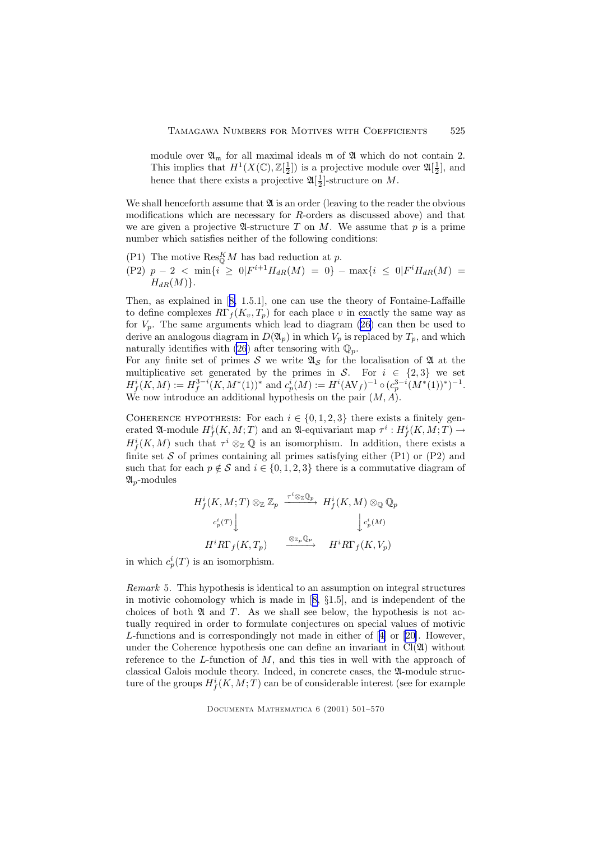module over  $\mathfrak{A}_{\mathfrak{m}}$  for all maximal ideals  $\mathfrak{m}$  of  $\mathfrak A$  which do not contain 2. This implies that  $H^1(X(\mathbb{C}), \mathbb{Z}[\frac{1}{2}])$  is a projective module over  $\mathfrak{A}[\frac{1}{2}]$ , and hence that there exists a projective  $\mathfrak{A}[\frac{1}{2}]$ -structure on M.

We shall henceforth assume that  $\mathfrak A$  is an order (leaving to the reader the obvious modifications which are necessary for R-orders as discussed above) and that we are given a projective  $\mathfrak{A}\text{-structure }T$  on M. We assume that p is a prime number which satisfies neither of the following conditions:

- (P1) The motive  $\operatorname{Res}_{\mathbb{Q}}^K M$  has bad reduction at p.
- $(P2)$   $p 2 < \min\{i \ge 0 | F^{i+1} H_{dR}(M) = 0 \} \max\{i \le 0 | F^{i} H_{dR}(M) = 0 \}$  $H_{dR}(M)$ .

Then, as explained in [[8,](#page-67-0) 1.5.1], one can use the theory of Fontaine-Laffaille to define complexes  $R\Gamma_f(K_v, T_p)$  for each place v in exactly the same way as for  $V_p$ . The same arguments which lead to diagram [\(26\)](#page-21-0) can then be used to derive an analogous diagram in  $D(\mathfrak{A}_p)$  in which  $V_p$  is replaced by  $T_p$ , and which naturally identifies with [\(26](#page-21-0)) after tensoring with  $\mathbb{Q}_p$ .

For any finite set of primes S we write  $\mathfrak{A}_{\mathcal{S}}$  for the localisation of  $\mathfrak A$  at the multiplicative set generated by the primes in S. For  $i \in \{2,3\}$  we set  $H^i_f(K,M) := H^{3-i}_f(K,M^*(1))^*$  and  $c_p^i(M) := H^i(\text{AV}_f)^{-1} \circ (c_p^{3-i}(M^*(1))^*)^{-1}$ . We now introduce an additional hypothesis on the pair  $(M, A)$ .

COHERENCE HYPOTHESIS: For each  $i \in \{0, 1, 2, 3\}$  there exists a finitely generated  $\mathfrak{A}\text{-module } H^i_f(K,M;T)$  and an  $\mathfrak{A}\text{-equivariant map }\tau^i: H^i_f(K,M;T) \to$  $H^i_f(K,M)$  such that  $\tau^i \otimes_{\mathbb{Z}} \mathbb{Q}$  is an isomorphism. In addition, there exists a finite set  $S$  of primes containing all primes satisfying either (P1) or (P2) and such that for each  $p \notin S$  and  $i \in \{0, 1, 2, 3\}$  there is a commutative diagram of  $\mathfrak{A}_p$ -modules

$$
H_f^i(K, M; T) \otimes_{\mathbb{Z}} \mathbb{Z}_p \xrightarrow{\tau^i \otimes_{\mathbb{Z}} \mathbb{Q}_p} H_f^i(K, M) \otimes_{\mathbb{Q}} \mathbb{Q}_p
$$

$$
c_p^i(T) \downarrow \qquad \qquad \downarrow c_p^i(M)
$$

$$
H^i R \Gamma_f(K, T_p) \xrightarrow{\otimes_{\mathbb{Z}_p} \mathbb{Q}_p} H^i R \Gamma_f(K, V_p)
$$

in which  $c_p^i(T)$  is an isomorphism.

Remark 5. This hypothesis is identical to an assumption on integral structures in motivic cohomology which is made in [[8,](#page-67-0) §1.5], and is independent of the choices of both  $\mathfrak A$  and  $T$ . As we shall see below, the hypothesis is not actually required in order to formulate conjectures on special values of motivic L-functions and is correspondingly not made in either of [[4\]](#page-67-0) or [\[20](#page-68-0)]. However, under the Coherence hypothesis one can define an invariant in  $Cl(\mathfrak{A})$  without reference to the  $L$ -function of  $M$ , and this ties in well with the approach of classical Galois module theory. Indeed, in concrete cases, the A-module structure of the groups  $H^i_f(K, M; T)$  can be of considerable interest (see for example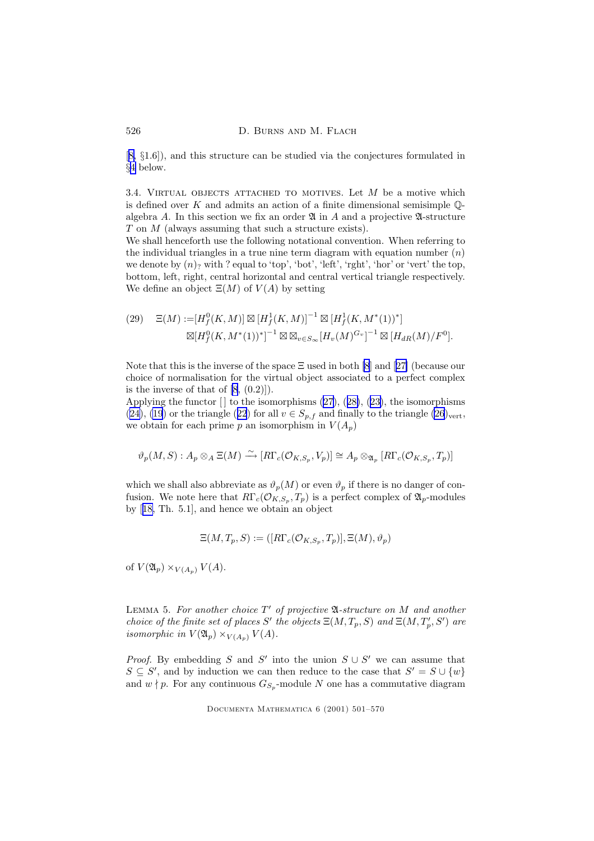<span id="page-25-0"></span>[[8,](#page-67-0) §1.6]), and this structure can be studied via the conjectures formulated in §[4](#page-31-0) below.

3.4. VIRTUAL OBJECTS ATTACHED TO MOTIVES. Let  $M$  be a motive which is defined over K and admits an action of a finite dimensional semisimple  $\mathbb{O}$ algebra A. In this section we fix an order  $\mathfrak A$  in A and a projective  $\mathfrak A$ -structure T on M (always assuming that such a structure exists).

We shall henceforth use the following notational convention. When referring to the individual triangles in a true nine term diagram with equation number  $(n)$ we denote by  $(n)$ ? with ? equal to 'top', 'bot', 'left', 'rght', 'hor' or 'vert' the top, bottom, left, right, central horizontal and central vertical triangle respectively. We define an object  $\Xi(M)$  of  $V(A)$  by setting

$$
(29) \quad \Xi(M) := [H_f^0(K, M)] \boxtimes [H_f^1(K, M)]^{-1} \boxtimes [H_f^1(K, M^*(1))^*]
$$

$$
\boxtimes [H_f^0(K, M^*(1))^*]^{-1} \boxtimes \boxtimes_{v \in S_{\infty}} [H_v(M)^{G_v}]^{-1} \boxtimes [H_{dR}(M)/F^0].
$$

Note that this is the inverse of the space  $\Xi$  used in both [\[8](#page-67-0)] and [[27\]](#page-68-0) (because our choice of normalisation for the virtual object associated to a perfect complex is the inverse of that of  $[8, (0.2)]$  $[8, (0.2)]$ .

Applying the functor  $[]$  to the isomorphisms  $(27), (28), (23),$  $(27), (28), (23),$  $(27), (28), (23),$  $(27), (28), (23),$  $(27), (28), (23),$  $(27), (28), (23),$  $(27), (28), (23),$  the isomorphisms [\(24\)](#page-20-0), [\(19](#page-19-0)) or the triangle ([22](#page-20-0)) for all  $v \in S_{p,f}$  and finally to the triangle [\(26](#page-21-0))<sub>vert</sub>, we obtain for each prime p an isomorphism in  $V(A_p)$ 

$$
\vartheta_p(M,S): A_p \otimes_A \Xi(M) \xrightarrow{\sim} [R\Gamma_c(\mathcal{O}_{K,S_p}, V_p)] \cong A_p \otimes_{\mathfrak{A}_p} [R\Gamma_c(\mathcal{O}_{K,S_p}, T_p)]
$$

which we shall also abbreviate as  $\vartheta_p(M)$  or even  $\vartheta_p$  if there is no danger of confusion. We note here that  $R\Gamma_c(\mathcal{O}_{K,S_p}, T_p)$  is a perfect complex of  $\mathfrak{A}_p$ -modules by [[18,](#page-68-0) Th. 5.1], and hence we obtain an object

$$
\Xi(M,T_p,S):=([R\Gamma_c(\mathcal{O}_{K,S_p},T_p)],\Xi(M),\vartheta_p)
$$

of  $V(\mathfrak{A}_p)\times_{V(A_p)}V(A)$ .

LEMMA 5. For another choice  $T'$  of projective  $\mathfrak A$ -structure on M and another choice of the finite set of places S' the objects  $\Xi(M, T_p, S)$  and  $\Xi(M, T'_p, S')$  are isomorphic in  $V(\mathfrak{A}_p)\times_{V(A_p)} V(A)$ .

*Proof.* By embedding S and S' into the union  $S \cup S'$  we can assume that  $S \subseteq S'$ , and by induction we can then reduce to the case that  $S' = S \cup \{w\}$ and  $w \nmid p$ . For any continuous  $G_{S_p}$ -module N one has a commutative diagram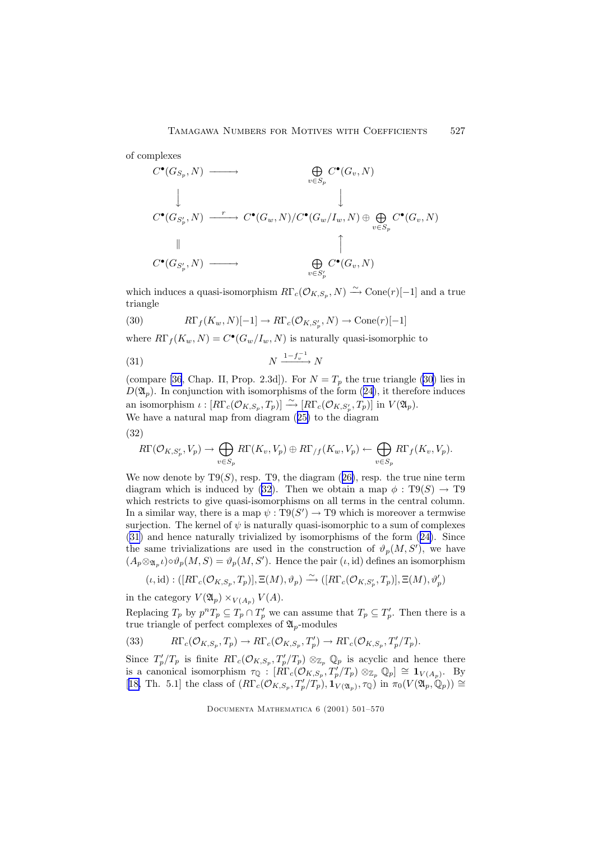<span id="page-26-0"></span>of complexes

$$
C^{\bullet}(G_{S_p}, N) \longrightarrow \bigoplus_{v \in S_p} C^{\bullet}(G_v, N)
$$
  
\n
$$
\downarrow \qquad \qquad \downarrow
$$
  
\n
$$
C^{\bullet}(G_{S'_p}, N) \longrightarrow C^{\bullet}(G_w, N) / C^{\bullet}(G_w/I_w, N) \oplus \bigoplus_{v \in S_p} C^{\bullet}(G_v, N)
$$
  
\n
$$
\uparrow
$$
  
\n
$$
C^{\bullet}(G_{S'_p}, N) \longrightarrow \bigoplus_{v \in S'_p} C^{\bullet}(G_v, N)
$$

which induces a quasi-isomorphism  $R\Gamma_c(\mathcal{O}_{K,S_p}, N) \xrightarrow{\sim} \text{Cone}(r)[-1]$  and a true triangle

(30) 
$$
R\Gamma_f(K_w, N)[-1] \to R\Gamma_c(\mathcal{O}_{K,S'_p}, N) \to \text{Cone}(r)[-1]
$$

where  $R\Gamma_f(K_w, N) = C^{\bullet}(G_w/I_w, N)$  is naturally quasi-isomorphic to

$$
N \xrightarrow{1 - f_v^{-1}} N
$$

(compare [\[36](#page-69-0), Chap. II, Prop. 2.3d]). For  $N = T_p$  the true triangle (30) lies in  $D(\mathfrak{A}_p)$ . In conjunction with isomorphisms of the form ([24\)](#page-20-0), it therefore induces an isomorphism  $\iota : [R\Gamma_c(\mathcal{O}_{K,S_p}, T_p)] \xrightarrow{\sim} [R\Gamma_c(\mathcal{O}_{K,S'_p}, T_p)]$  in  $V(\mathfrak{A}_p)$ . We have a natural map from diagram ([25\)](#page-21-0) to the diagram

(32)

$$
R\Gamma(\mathcal{O}_{K,S'_p}, V_p) \to \bigoplus_{v \in S_p} R\Gamma(K_v, V_p) \oplus R\Gamma_{/f}(K_w, V_p) \leftarrow \bigoplus_{v \in S_p} R\Gamma_f(K_v, V_p).
$$

We now denote by  $T9(S)$ , resp. T9, the diagram ([26\)](#page-21-0), resp. the true nine term diagram which is induced by (32). Then we obtain a map  $\phi : T9(S) \rightarrow T9$ which restricts to give quasi-isomorphisms on all terms in the central column. In a similar way, there is a map  $\psi : T9(S') \to T9$  which is moreover a termwise surjection. The kernel of  $\psi$  is naturally quasi-isomorphic to a sum of complexes (31) and hence naturally trivialized by isomorphisms of the form ([24\)](#page-20-0). Since the same trivializations are used in the construction of  $\vartheta_p(M, S')$ , we have  $(A_p \otimes_{\mathfrak{A}_p} \iota) \circ \vartheta_p(M, S) = \vartheta_p(M, S')$ . Hence the pair  $(\iota, id)$  defines an isomorphism

$$
(\iota, \mathrm{id}): ([R\Gamma_c(\mathcal{O}_{K,S_p}, T_p)], \Xi(M), \vartheta_p) \xrightarrow{\sim} ([R\Gamma_c(\mathcal{O}_{K,S'_p}, T_p)], \Xi(M), \vartheta'_p)
$$

in the category  $V(\mathfrak{A}_p) \times_{V(A_p)} V(A)$ .

Replacing  $T_p$  by  $p^n T_p \subseteq T_p \cap T'_p$  we can assume that  $T_p \subseteq T'_p$ . Then there is a true triangle of perfect complexes of  $\mathfrak{A}_p$ -modules

(33) 
$$
R\Gamma_c(\mathcal{O}_{K,S_p},T_p) \to R\Gamma_c(\mathcal{O}_{K,S_p},T_p') \to R\Gamma_c(\mathcal{O}_{K,S_p},T_p'/T_p).
$$

Since  $T_p'/T_p$  is finite  $R\Gamma_c(\mathcal{O}_{K,S_p}, T_p'/T_p) \otimes_{\mathbb{Z}_p} \mathbb{Q}_p$  is acyclic and hence there is a canonical isomorphism  $\tau_{\mathbb{Q}}$ :  $[R\Gamma_c(\mathcal{O}_{K,S_p}, T_p'/T_p) \otimes_{\mathbb{Z}_p} \mathbb{Q}_p] \cong \mathbf{1}_{V(A_p)}$ . By [[18,](#page-68-0) Th. 5.1] the class of  $(R\Gamma_c(\mathcal{O}_{K,S_p}, T_p'/T_p), \mathbf{1}_{V(\mathfrak{A}_p)}, \tau_{\mathbb{Q}})$  in  $\pi_0(V(\mathfrak{A}_p, \mathbb{Q}_p)) \cong$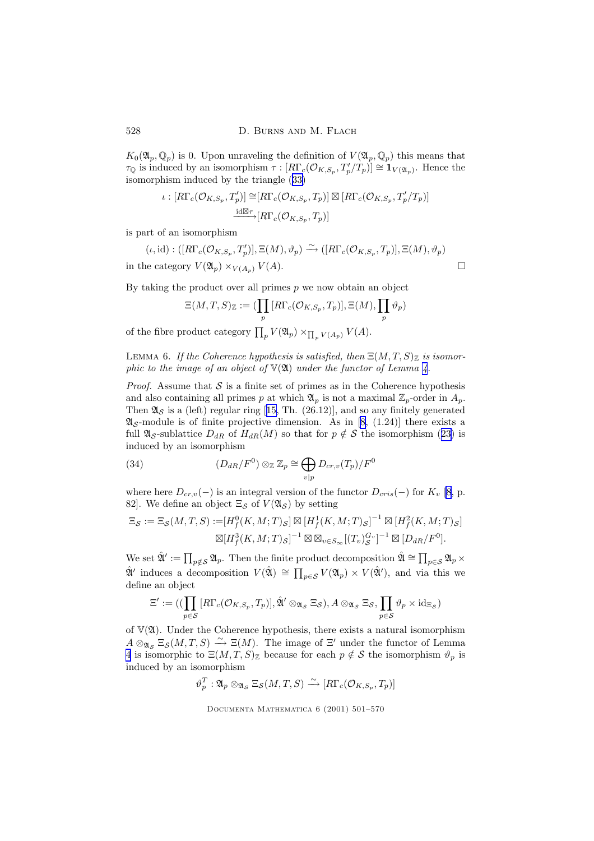<span id="page-27-0"></span> $K_0(\mathfrak{A}_p,\mathbb{Q}_p)$  is 0. Upon unraveling the definition of  $V(\mathfrak{A}_p,\mathbb{Q}_p)$  this means that  $\tau_{\mathbb{Q}}$  is induced by an isomorphism  $\tau: [R\Gamma_c(\mathcal{O}_{K,S_p}, T_p'/T_p)] \cong \mathbf{1}_{V(\mathfrak{A}_p)}$ . Hence the isomorphism induced by the triangle ([33\)](#page-26-0)

$$
\iota : [R\Gamma_c(\mathcal{O}_{K,S_p}, T'_p)] \cong [R\Gamma_c(\mathcal{O}_{K,S_p}, T_p)] \boxtimes [R\Gamma_c(\mathcal{O}_{K,S_p}, T'_p/T_p)]
$$
  

$$
\xrightarrow{\text{id}\boxtimes\tau} [R\Gamma_c(\mathcal{O}_{K,S_p}, T_p)]
$$

is part of an isomorphism

$$
(\iota, id) : ([R\Gamma_c(\mathcal{O}_{K,S_p}, T'_p)], \Xi(M), \vartheta_p) \xrightarrow{\sim} ([R\Gamma_c(\mathcal{O}_{K,S_p}, T_p)], \Xi(M), \vartheta_p)
$$
  
in the category  $V(\mathfrak{A}_p) \times_{V(A_p)} V(A)$ .

By taking the product over all primes  $p$  we now obtain an object

$$
\Xi(M,T,S)_{\mathbb{Z}} := (\prod_{p} [R\Gamma_c(\mathcal{O}_{K,S_p}, T_p)], \Xi(M), \prod_{p} \vartheta_p)
$$

of the fibre product category  $\prod_p V(\mathfrak{A}_p) \times_{\prod_p V(A_p)} V(A)$ .

LEMMA 6. If the Coherence hypothesis is satisfied, then  $\Xi(M,T,S)_{\mathbb{Z}}$  is isomorphic to the image of an object of  $V(2\mathfrak{l})$  under the functor of Lemma [4](#page-13-0).

*Proof.* Assume that  $S$  is a finite set of primes as in the Coherence hypothesis and also containing all primes p at which  $\mathfrak{A}_p$  is not a maximal  $\mathbb{Z}_p$ -order in  $A_p$ . Then  $\mathfrak{A}_{\mathcal{S}}$  is a (left) regular ring [[15,](#page-68-0) Th. (26.12)], and so any finitely generated  $\mathfrak{A}_{\mathcal{S}}$ -module is of finite projective dimension. As in [\[8](#page-67-0), (1.24)] there exists a full  $\mathfrak{A}_{\mathcal{S}}$ -sublattice  $D_{dR}$  of  $H_{dR}(M)$  so that for  $p \notin \mathcal{S}$  the isomorphism ([23\)](#page-20-0) is induced by an isomorphism

(34) 
$$
(D_{dR}/F^0) \otimes_{\mathbb{Z}} \mathbb{Z}_p \cong \bigoplus_{v|p} D_{cr,v}(T_p)/F^0
$$

where here  $D_{cr,v}(-)$  is an integral version of the functor  $D_{cris}(-)$  for  $K_v$  [\[8](#page-67-0), p. 82. We define an object  $\Xi_{\mathcal{S}}$  of  $V(\mathfrak{A}_{\mathcal{S}})$  by setting

$$
\Xi_{\mathcal{S}} := \Xi_{\mathcal{S}}(M,T,S) := [H_f^0(K,M;T)_{\mathcal{S}}] \boxtimes [H_f^1(K,M;T)_{\mathcal{S}}]^{-1} \boxtimes [H_f^2(K,M;T)_{\mathcal{S}}]
$$

$$
\boxtimes [H_f^3(K,M;T)_{\mathcal{S}}]^{-1} \boxtimes \boxtimes_{v \in S_{\infty}} [(T_v)_{\mathcal{S}}^{G_v}]^{-1} \boxtimes [D_{dR}/F^0].
$$

We set  $\hat{\mathfrak{A}}' := \prod_{p \notin \mathcal{S}} \mathfrak{A}_p$ . Then the finite product decomposition  $\hat{\mathfrak{A}} \cong \prod_{p \in \mathcal{S}} \mathfrak{A}_p \times$  $\hat{\mathfrak{A}}'$  induces a decomposition  $V(\hat{\mathfrak{A}}) \cong \prod_{p \in \mathcal{S}} V(\mathfrak{A}_p) \times V(\hat{\mathfrak{A}}')$ , and via this we define an object

$$
\Xi':=((\prod_{p\in\mathcal{S}}[R\Gamma_c(\mathcal{O}_{K,S_p},T_p)],\hat{\mathfrak{A}}'\otimes_{\mathfrak{A}_{\mathcal{S}}}\Xi_{\mathcal{S}}),A\otimes_{\mathfrak{A}_{\mathcal{S}}}\Xi_{\mathcal{S}},\prod_{p\in\mathcal{S}}\vartheta_p\times\mathrm{id}_{\Xi_{\mathcal{S}}})
$$

of  $V(\mathfrak{A})$ . Under the Coherence hypothesis, there exists a natural isomorphism  $A \otimes_{\mathfrak{A}_{\mathcal{S}}} \Xi_{\mathcal{S}}(M,T,S) \stackrel{\sim}{\longrightarrow} \Xi(M)$ . The image of  $\Xi'$  under the functor of Lemma [4](#page-13-0) is isomorphic to  $\Xi(M,T,S)_{\mathbb{Z}}$  because for each  $p \notin S$  the isomorphism  $\vartheta_p$  is induced by an isomorphism

 $\vartheta_p^T : \mathfrak{A}_p \otimes_{\mathfrak{A}_\mathcal{S}} \Xi_\mathcal{S}(M,T,S) \xrightarrow{\sim} [R\Gamma_c(\mathcal{O}_{K,S_p},T_p)]$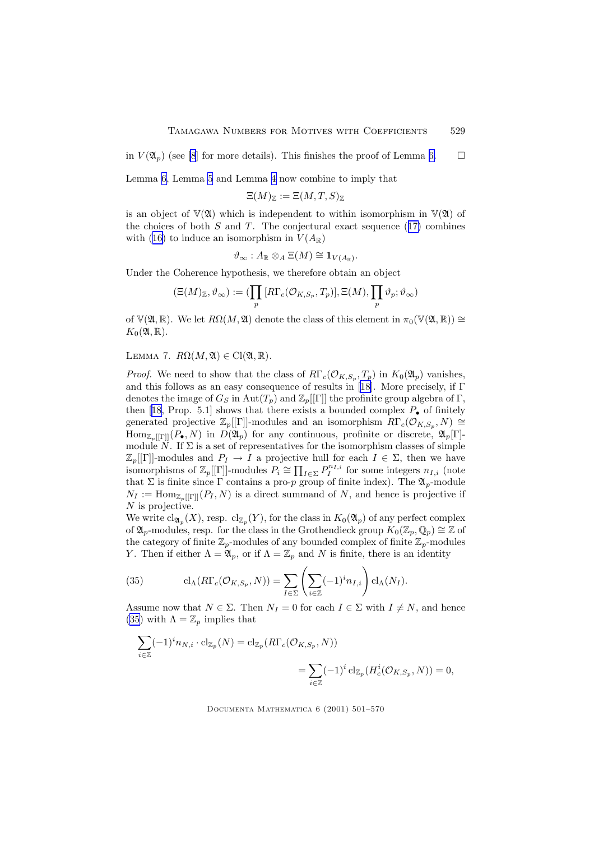<span id="page-28-0"></span>in  $V(\mathfrak{A}_n)$  (see [\[8](#page-67-0)] for more details). This finishes the proof of Lemma [6.](#page-27-0)  $\Box$ 

Lemma [6,](#page-27-0) Lemma [5](#page-25-0) and Lemma [4](#page-13-0) now combine to imply that

$$
\Xi(M)_{\mathbb{Z}}:=\Xi(M,T,S)_{\mathbb{Z}}
$$

is an object of  $V(2\mathfrak{l})$  which is independent to within isomorphism in  $V(2\mathfrak{l})$  of the choices of both  $S$  and  $T$ . The conjectural exact sequence ([17\)](#page-18-0) combines with ([16\)](#page-18-0) to induce an isomorphism in  $V(A_{\mathbb{R}})$ 

$$
\vartheta_{\infty}: A_{\mathbb{R}} \otimes_{A} \Xi(M) \cong \mathbf{1}_{V(A_{\mathbb{R}})}.
$$

Under the Coherence hypothesis, we therefore obtain an object

$$
(\Xi(M)_{\mathbb{Z}},\vartheta_{\infty}):=(\prod_p\, [R\Gamma_c({\mathcal{O}}_{K,S_p},T_p)], \Xi(M), \prod_p \vartheta_p; \vartheta_{\infty})
$$

of  $\mathbb{V}(\mathfrak{A}, \mathbb{R})$ . We let  $R\Omega(M, \mathfrak{A})$  denote the class of this element in  $\pi_0(\mathbb{V}(\mathfrak{A}, \mathbb{R})) \cong$  $K_0(\mathfrak{A}, \mathbb{R}).$ 

LEMMA 7.  $R\Omega(M, \mathfrak{A}) \in \mathrm{Cl}(\mathfrak{A}, \mathbb{R}).$ 

*Proof.* We need to show that the class of  $R\Gamma_c(\mathcal{O}_{K,S_p}, T_p)$  in  $K_0(\mathfrak{A}_p)$  vanishes, and this follows as an easy consequence of results in [\[18](#page-68-0)]. More precisely, if Γ denotes the image of  $G_S$  in  $Aut(T_p)$  and  $\mathbb{Z}_p[[\Gamma]]$  the profinite group algebra of  $\Gamma$ , then [[18,](#page-68-0) Prop. 5.1] shows that there exists a bounded complex  $P_{\bullet}$  of finitely generated projective  $\mathbb{Z}_p[[\Gamma]]$ -modules and an isomorphism  $R\Gamma_c(\mathcal{O}_{K,S_p}, N) \cong$  $\text{Hom}_{\mathbb{Z}_p[[\Gamma]]}(P_{\bullet}, N)$  in  $D(\mathfrak{A}_p)$  for any continuous, profinite or discrete,  $\mathfrak{A}_p[\Gamma]$ module  $\tilde{N}$ . If  $\Sigma$  is a set of representatives for the isomorphism classes of simple  $\mathbb{Z}_p[[\Gamma]]$ -modules and  $P_I \to I$  a projective hull for each  $I \in \Sigma$ , then we have isomorphisms of  $\mathbb{Z}_p[[\Gamma]]$ -modules  $P_i \cong \prod_{I \in \Sigma} P_I^{n_{I,i}}$  for some integers  $n_{I,i}$  (note that  $\Sigma$  is finite since  $\Gamma$  contains a pro-p group of finite index). The  $\mathfrak{A}_p$ -module  $N_I := \text{Hom}_{\mathbb{Z}_p[[\Gamma]]}(P_I, N)$  is a direct summand of N, and hence is projective if  $N$  is projective.

We write  $\text{cl}_{\mathfrak{A}_p}(X)$ , resp.  $\text{cl}_{\mathbb{Z}_p}(Y)$ , for the class in  $K_0(\mathfrak{A}_p)$  of any perfect complex of  $\mathfrak{A}_p$ -modules, resp. for the class in the Grothendieck group  $K_0(\mathbb{Z}_p, \mathbb{Q}_p) \cong \mathbb{Z}$  of the category of finite  $\mathbb{Z}_p$ -modules of any bounded complex of finite  $\mathbb{Z}_p$ -modules Y. Then if either  $\Lambda = \mathfrak{A}_p$ , or if  $\Lambda = \mathbb{Z}_p$  and N is finite, there is an identity

(35) 
$$
\mathrm{cl}_{\Lambda}(R\Gamma_c(\mathcal{O}_{K,S_p}, N)) = \sum_{I \in \Sigma} \left( \sum_{i \in \mathbb{Z}} (-1)^i n_{I,i} \right) \mathrm{cl}_{\Lambda}(N_I).
$$

Assume now that  $N \in \Sigma$ . Then  $N_I = 0$  for each  $I \in \Sigma$  with  $I \neq N$ , and hence (35) with  $\Lambda = \mathbb{Z}_p$  implies that

$$
\sum_{i\in\mathbb{Z}}(-1)^{i}n_{N,i}\cdot\operatorname{cl}_{\mathbb{Z}_p}(N)=\operatorname{cl}_{\mathbb{Z}_p}(R\Gamma_c(\mathcal{O}_{K,S_p},N))
$$
  

$$
=\sum_{i\in\mathbb{Z}}(-1)^{i}\operatorname{cl}_{\mathbb{Z}_p}(H_c^i(\mathcal{O}_{K,S_p},N))=0,
$$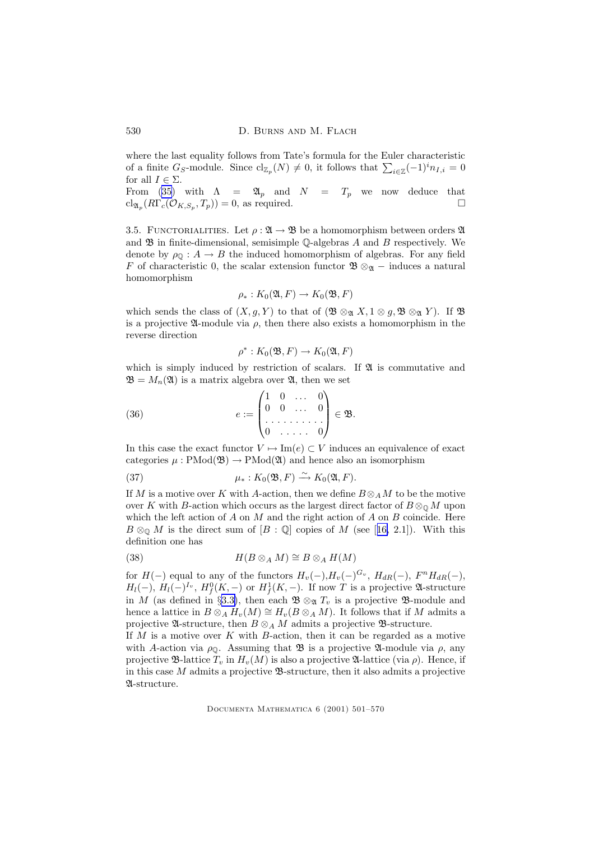<span id="page-29-0"></span>530 D. BURNS AND M. FLACH

where the last equality follows from Tate's formula for the Euler characteristic of a finite  $G_S$ -module. Since  $\text{cl}_{\mathbb{Z}_p}(N) \neq 0$ , it follows that  $\sum_{i \in \mathbb{Z}} (-1)^i n_{I,i} = 0$ for all  $I \in \Sigma$ .

From [\(35](#page-28-0)) with  $\Lambda = \mathfrak{A}_p$  and  $N = T_p$  we now deduce that  $\text{cl}_{\mathfrak{A}_p}(R\Gamma_c(\mathcal{O}_{K,S_p}, T_p)) = 0$ , as required.

3.5. FUNCTORIALITIES. Let  $\rho : \mathfrak{A} \to \mathfrak{B}$  be a homomorphism between orders  $\mathfrak{A}$ and  $\mathfrak B$  in finite-dimensional, semisimple Q-algebras A and B respectively. We denote by  $\rho_{\mathbb{Q}} : A \to B$  the induced homomorphism of algebras. For any field F of characteristic 0, the scalar extension functor  $\mathfrak{B} \otimes_{\mathfrak{A}}$  – induces a natural homomorphism

$$
\rho_*: K_0(\mathfrak{A}, F) \to K_0(\mathfrak{B}, F)
$$

which sends the class of  $(X, g, Y)$  to that of  $(\mathfrak{B} \otimes_{\mathfrak{A}} X, 1 \otimes g, \mathfrak{B} \otimes_{\mathfrak{A}} Y)$ . If  $\mathfrak{B}$ is a projective  $\mathfrak A$ -module via  $\rho$ , then there also exists a homomorphism in the reverse direction

$$
\rho^*: K_0(\mathfrak{B}, F) \to K_0(\mathfrak{A}, F)
$$

which is simply induced by restriction of scalars. If  $\mathfrak A$  is commutative and  $\mathfrak{B} = M_n(\mathfrak{A})$  is a matrix algebra over  $\mathfrak{A}$ , then we set

(36) 
$$
e := \begin{pmatrix} 1 & 0 & \dots & 0 \\ 0 & 0 & \dots & 0 \\ \vdots & \vdots & \ddots & \vdots \\ 0 & \dots & \vdots & 0 \end{pmatrix} \in \mathfrak{B}.
$$

In this case the exact functor  $V \mapsto \text{Im}(e) \subset V$  induces an equivalence of exact categories  $\mu$ : PMod( $\mathfrak{B}$ ) → PMod( $\mathfrak{A}$ ) and hence also an isomorphism

(37) 
$$
\mu_*: K_0(\mathfrak{B}, F) \xrightarrow{\sim} K_0(\mathfrak{A}, F).
$$

If M is a motive over K with A-action, then we define  $B \otimes_A M$  to be the motive over K with B-action which occurs as the largest direct factor of  $B \otimes_{\mathbb{Q}} M$  upon which the left action of  $A$  on  $M$  and the right action of  $A$  on  $B$  coincide. Here  $B \otimes_{\mathbb{Q}} M$  is the direct sum of  $[B : \mathbb{Q}]$  copies of M (see [[16,](#page-68-0) 2.1]). With this definition one has

(38) 
$$
H(B\otimes_A M)\cong B\otimes_A H(M)
$$

for  $H(-)$  equal to any of the functors  $H_v(-)$ ,  $H_v(-)^{G_v}$ ,  $H_{dR}(-)$ ,  $F^n H_{dR}(-)$ ,  $H_l(-)$ ,  $H_l(-)^{I_v}$ ,  $H_f^0(K, -)$  or  $H_f^1(K, -)$ . If now T is a projective  $\mathfrak{A}$ -structure in M (as defined in §[3.3\)](#page-22-0), then each  $\mathfrak{B} \otimes_{\mathfrak{A}} T_v$  is a projective  $\mathfrak{B}\text{-module}$  and hence a lattice in  $B \otimes_A H_v(M) \cong H_v(B \otimes_A M)$ . It follows that if M admits a projective  $\mathfrak{A}\text{-structure}$ , then  $B\otimes_A M$  admits a projective  $\mathfrak{B}\text{-structure}$ .

If  $M$  is a motive over  $K$  with  $B$ -action, then it can be regarded as a motive with A-action via  $\rho_{\mathbb{Q}}$ . Assuming that **B** is a projective **A**-module via  $\rho$ , any projective  $\mathfrak{B}$ -lattice  $T_v$  in  $H_v(M)$  is also a projective  $\mathfrak{A}$ -lattice (via  $\rho$ ). Hence, if in this case  $M$  admits a projective  $\mathfrak{B}\text{-structure}$ , then it also admits a projective A-structure.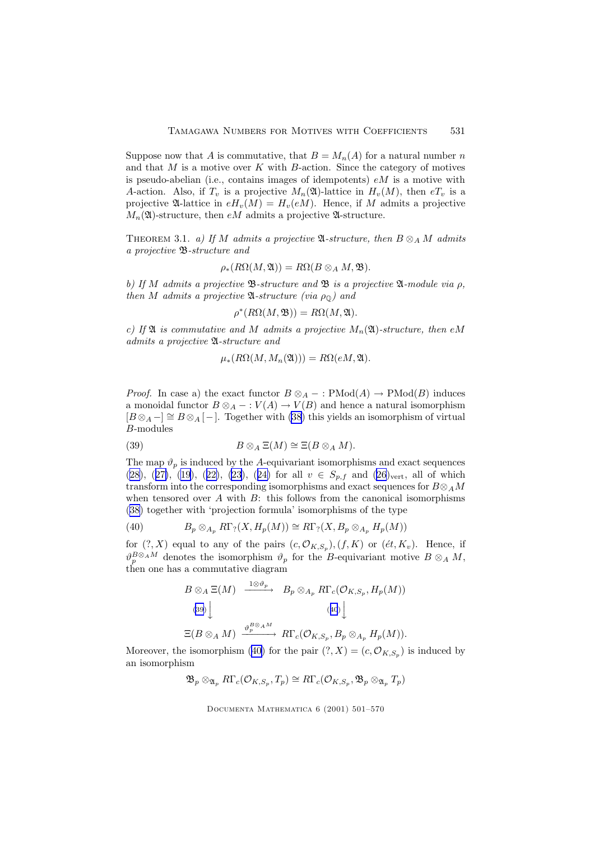<span id="page-30-0"></span>Suppose now that A is commutative, that  $B = M_n(A)$  for a natural number n and that  $M$  is a motive over  $K$  with  $B$ -action. Since the category of motives is pseudo-abelian (i.e., contains images of idempotents)  $eM$  is a motive with A-action. Also, if  $T_v$  is a projective  $M_n(\mathfrak{A})$ -lattice in  $H_v(M)$ , then  $eT_v$  is a projective  $\mathfrak{A}$ -lattice in  $eH_v(M) = H_v(eM)$ . Hence, if M admits a projective  $M_n(\mathfrak{A})$ -structure, then eM admits a projective  $\mathfrak{A}$ -structure.

THEOREM 3.1. a) If M admits a projective  $\mathfrak{A}\text{-}structure$ , then  $B \otimes_A M$  admits a projective B-structure and

$$
\rho_*(R\Omega(M,\mathfrak{A}))=R\Omega(B\otimes_A M,\mathfrak{B}).
$$

b) If M admits a projective  $\mathfrak{B}\text{-}structure$  and  $\mathfrak{B}$  is a projective  $\mathfrak{A}\text{-}module$  via  $\rho$ , then M admits a projective  $\mathfrak{A}$ -structure (via  $\rho_{\mathbb{Q}}$ ) and

$$
\rho^*(R\Omega(M, \mathfrak{B})) = R\Omega(M, \mathfrak{A}).
$$

c) If  $\mathfrak A$  is commutative and M admits a projective  $M_n(\mathfrak A)$ -structure, then eM admits a projective A-structure and

$$
\mu_*(R\Omega(M,M_n(\mathfrak{A}))) = R\Omega(eM,\mathfrak{A}).
$$

*Proof.* In case a) the exact functor  $B \otimes_A - : \text{PMod}(A) \to \text{PMod}(B)$  induces a monoidal functor  $B \otimes_A - : V(A) \to V(B)$  and hence a natural isomorphism  $[B \otimes_A -] \cong B \otimes_A [-]$ . Together with [\(38](#page-29-0)) this yields an isomorphism of virtual B-modules

(39) 
$$
B \otimes_A \Xi(M) \cong \Xi(B \otimes_A M).
$$

The map  $\vartheta_p$  is induced by the A-equivariant isomorphisms and exact sequences [\(28\)](#page-22-0), ([27\)](#page-22-0), [\(19\)](#page-19-0), ([22\)](#page-20-0), [\(23](#page-20-0)), ([24\)](#page-20-0) for all  $v \in S_{p,f}$  and [\(26](#page-21-0))<sub>vert</sub>, all of which transform into the corresponding isomorphisms and exact sequences for  $B \otimes_A M$ when tensored over A with  $B$ : this follows from the canonical isomorphisms [\(38\)](#page-29-0) together with 'projection formula' isomorphisms of the type

(40) 
$$
B_p \otimes_{A_p} R\Gamma_? (X, H_p(M)) \cong R\Gamma_? (X, B_p \otimes_{A_p} H_p(M))
$$

for  $(?, X)$  equal to any of the pairs  $(c, \mathcal{O}_{K,S_p}), (f, K)$  or  $(\acute{e}t, K_v)$ . Hence, if  $\vartheta_p^{B\otimes_A M}$  denotes the isomorphism  $\vartheta_p$  for the B-equivariant motive  $B\otimes_A M$ , then one has a commutative diagram

$$
B \otimes_A \Xi(M) \xrightarrow{\ 1 \otimes \vartheta_p \ \ } B_p \otimes_{A_p} R\Gamma_c(\mathcal{O}_{K,S_p}, H_p(M))
$$
  
\n(39)\n
$$
\downarrow \qquad (40)\downarrow
$$
  
\n
$$
\Xi(B \otimes_A M) \xrightarrow{\vartheta_p^B \otimes_A M} R\Gamma_c(\mathcal{O}_{K,S_p}, B_p \otimes_{A_p} H_p(M)).
$$

Moreover, the isomorphism (40) for the pair  $(?, X) = (c, \mathcal{O}_{K,S_p})$  is induced by an isomorphism

$$
\mathfrak{B}_{p} \otimes_{\mathfrak{A}_{p}} R\Gamma_{c}(\mathcal{O}_{K,S_{p}}, T_{p}) \cong R\Gamma_{c}(\mathcal{O}_{K,S_{p}}, \mathfrak{B}_{p} \otimes_{\mathfrak{A}_{p}} T_{p})
$$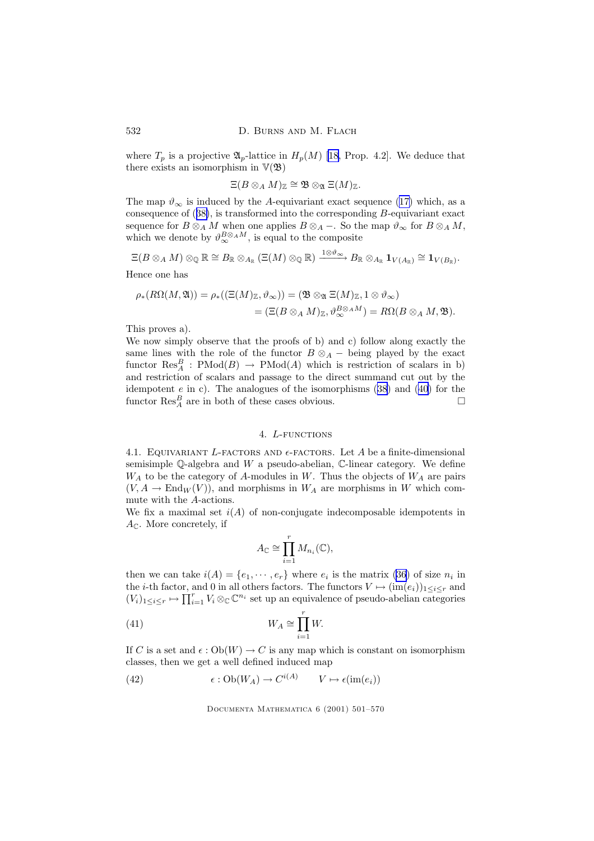where  $T_p$  is a projective  $\mathfrak{A}_p$ -lattice in  $H_p(M)$  [\[18](#page-68-0), Prop. 4.2]. We deduce that there exists an isomorphism in  $V(\mathfrak{B})$ 

$$
\Xi(B\otimes_A M)_\mathbb{Z}\cong \mathfrak{B}\otimes_\mathfrak{A} \Xi(M)_\mathbb{Z}.
$$

The map  $\vartheta_{\infty}$  is induced by the A-equivariant exact sequence ([17\)](#page-18-0) which, as a consequence of ([38\)](#page-29-0), is transformed into the corresponding B-equivariant exact sequence for  $B \otimes_A M$  when one applies  $B \otimes_A -$ . So the map  $\vartheta_{\infty}$  for  $B \otimes_A M$ , which we denote by  $\vartheta_{\infty}^{B\otimes_A M}$ , is equal to the composite

$$
\Xi(B\otimes_AM)\otimes_\mathbb{Q}\mathbb{R}\cong B_\mathbb{R}\otimes_{A_\mathbb{R}} (\Xi(M)\otimes_\mathbb{Q}\mathbb{R})\xrightarrow{1\otimes\vartheta_\infty} B_\mathbb{R}\otimes_{A_\mathbb{R}}\mathbf{1}_{V(A_\mathbb{R})}\cong \mathbf{1}_{V(B_\mathbb{R})}.
$$

Hence one has

$$
\rho_*(R\Omega(M, \mathfrak{A})) = \rho_*((\Xi(M)_{\mathbb{Z}}, \vartheta_{\infty})) = (\mathfrak{B} \otimes_{\mathfrak{A}} \Xi(M)_{\mathbb{Z}}, 1 \otimes \vartheta_{\infty})
$$
  
= (\Xi(B \otimes\_A M)\_{\mathbb{Z}}, \vartheta\_{\infty}^{B \otimes\_A M}) = R\Omega(B \otimes\_A M, \mathfrak{B}).

This proves a).

We now simply observe that the proofs of b) and c) follow along exactly the same lines with the role of the functor  $B \otimes_A -$  being played by the exact functor  $\text{Res}_{A}^{B}$ :  $\text{PMod}(B) \rightarrow \text{PMod}(A)$  which is restriction of scalars in b) and restriction of scalars and passage to the direct summand cut out by the idempotent  $e$  in c). The analogues of the isomorphisms  $(38)$  $(38)$  and  $(40)$  for the functor  $\text{Res}_{A}^{B}$  are in both of these cases obvious.  $\square$ 

### 4. L-FUNCTIONS

4.1. EQUIVARIANT L-FACTORS AND  $\epsilon$ -FACTORS. Let A be a finite-dimensional semisimple  $\mathbb Q$ -algebra and W a pseudo-abelian,  $\mathbb C$ -linear category. We define  $W_A$  to be the category of A-modules in W. Thus the objects of  $W_A$  are pairs  $(V, A \to \text{End}_W(V))$ , and morphisms in  $W_A$  are morphisms in W which commute with the A-actions.

We fix a maximal set  $i(A)$  of non-conjugate indecomposable idempotents in  $A_{\mathbb{C}}$ . More concretely, if

$$
A_{\mathbb{C}} \cong \prod_{i=1}^r M_{n_i}(\mathbb{C}),
$$

then we can take  $i(A) = \{e_1, \dots, e_r\}$  where  $e_i$  is the matrix [\(36\)](#page-29-0) of size  $n_i$  in the *i*-th factor, and 0 in all others factors. The functors  $V \mapsto (\text{im}(e_i))_{1 \leq i \leq r}$  and  $(V_i)_{1 \leq i \leq r} \mapsto \prod_{i=1}^r V_i \otimes_{\mathbb{C}} \mathbb{C}^{n_i}$  set up an equivalence of pseudo-abelian categories

$$
(41) \t\t W_A \cong \prod_{i=1}^r W.
$$

If C is a set and  $\epsilon$  : Ob(W)  $\rightarrow$  C is any map which is constant on isomorphism classes, then we get a well defined induced map

(42) 
$$
\epsilon : Ob(W_A) \to C^{i(A)} \qquad V \mapsto \epsilon(\text{im}(e_i))
$$

<span id="page-31-0"></span>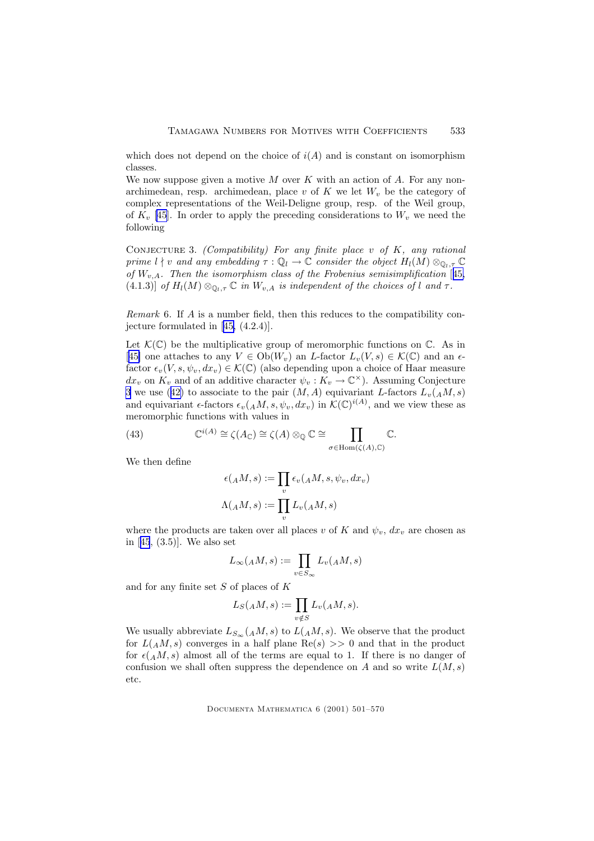<span id="page-32-0"></span>which does not depend on the choice of  $i(A)$  and is constant on isomorphism classes.

We now suppose given a motive  $M$  over  $K$  with an action of  $A$ . For any nonarchimedean, resp. archimedean, place v of  $K$  we let  $W_v$  be the category of complex representations of the Weil-Deligne group, resp. of the Weil group, of  $K_v$  [\[45](#page-69-0)]. In order to apply the preceding considerations to  $W_v$  we need the following

CONJECTURE 3. (Compatibility) For any finite place v of  $K$ , any rational prime  $l \nmid v$  and any embedding  $\tau : \mathbb{Q}_l \to \mathbb{C}$  consider the object  $H_l(M) \otimes_{\mathbb{Q}_{l},\tau} \mathbb{C}$ of  $W_{v,A}$ . Then the isomorphism class of the Frobenius semisimplification [[45,](#page-69-0) (4.1.3)] of  $H_l(M) \otimes_{\mathbb{Q}_l,\tau} \mathbb{C}$  in  $W_{v,A}$  is independent of the choices of l and  $\tau$ .

Remark 6. If A is a number field, then this reduces to the compatibility conjecture formulated in [[45,](#page-69-0) (4.2.4)].

Let  $\mathcal{K}(\mathbb{C})$  be the multiplicative group of meromorphic functions on  $\mathbb{C}$ . As in [[45\]](#page-69-0) one attaches to any  $V \in Ob(W_v)$  an L-factor  $L_v(V, s) \in \mathcal{K}(\mathbb{C})$  and an  $\epsilon$ factor  $\epsilon_v(V, s, \psi_v, dx_v) \in \mathcal{K}(\mathbb{C})$  (also depending upon a choice of Haar measure  $dx_v$  on  $K_v$  and of an additive character  $\psi_v : K_v \to \mathbb{C}^\times$ ). Assuming Conjecture 3 we use ([42\)](#page-31-0) to associate to the pair  $(M, A)$  equivariant L-factors  $L_v(A, M, s)$ and equivariant  $\epsilon$ -factors  $\epsilon_v(AM, s, \psi_v, dx_v)$  in  $\mathcal{K}(\mathbb{C})^{i(A)}$ , and we view these as meromorphic functions with values in

(43) 
$$
\mathbb{C}^{i(A)} \cong \zeta(A_{\mathbb{C}}) \cong \zeta(A) \otimes_{\mathbb{Q}} \mathbb{C} \cong \prod_{\sigma \in \text{Hom}(\zeta(A), \mathbb{C})} \mathbb{C}.
$$

We then define

$$
\epsilon(AM, s) := \prod_v \epsilon_v(AM, s, \psi_v, dx_v)
$$

$$
\Lambda(AM, s) := \prod_v L_v(AM, s)
$$

where the products are taken over all places v of K and  $\psi_v$ ,  $dx_v$  are chosen as in [[45](#page-69-0), (3.5)]. We also set

$$
L_{\infty}(AM, s) := \prod_{v \in S_{\infty}} L_v(AM, s)
$$

and for any finite set S of places of K

$$
L_S({}_AM,s) := \prod_{v \notin S} L_v({}_AM,s).
$$

We usually abbreviate  $L_{S_{\infty}}(AM, s)$  to  $L(AM, s)$ . We observe that the product for  $L(A,M,s)$  converges in a half plane  $\text{Re}(s) >> 0$  and that in the product for  $\epsilon(A,M,s)$  almost all of the terms are equal to 1. If there is no danger of confusion we shall often suppress the dependence on A and so write  $L(M, s)$ etc.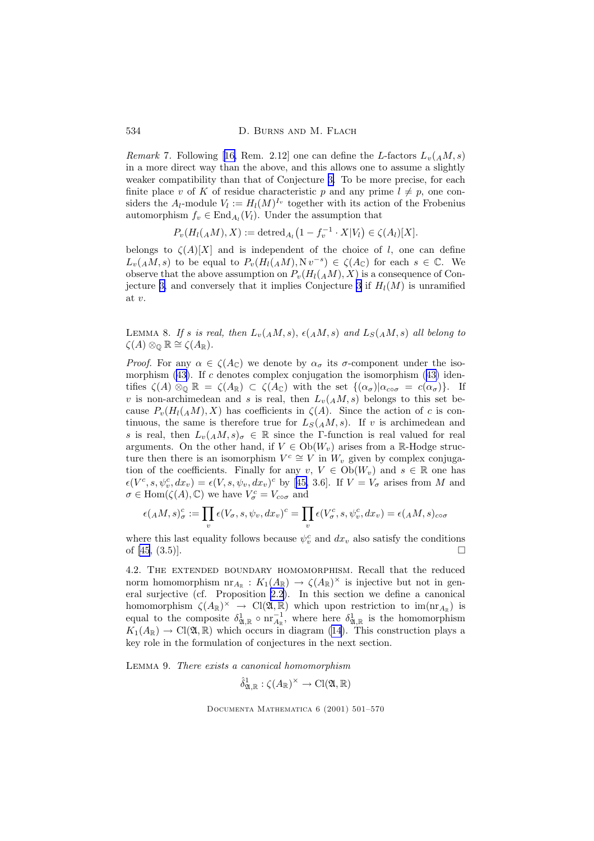Remark 7. Following [[16,](#page-68-0) Rem. 2.12] one can define the L-factors  $L_v(A, M, s)$ in a more direct way than the above, and this allows one to assume a slightly weaker compatibility than that of Conjecture [3.](#page-32-0) To be more precise, for each finite place v of K of residue characteristic p and any prime  $l \neq p$ , one considers the  $A_l$ -module  $V_l := H_l(M)^{I_v}$  together with its action of the Frobenius automorphism  $f_v \in \text{End}_{A_l}(V_l)$ . Under the assumption that

$$
P_v(H_l(AM),X) := \det \mathrm{red}_{A_l}(1 - f_v^{-1} \cdot X|V_l) \in \zeta(A_l)[X].
$$

belongs to  $\zeta(A)[X]$  and is independent of the choice of l, one can define  $L_v(A M, s)$  to be equal to  $P_v(H_l(A M), N v^{-s}) \in \zeta(A_{\mathbb{C}})$  for each  $s \in \mathbb{C}$ . We observe that the above assumption on  $P_{v}(H_{l}(AM), X)$  is a consequence of Con-jecture [3,](#page-32-0) and conversely that it implies Conjecture [3](#page-32-0) if  $H_l(M)$  is unramified at v.

LEMMA 8. If s is real, then  $L_v(AM, s)$ ,  $\epsilon(AM, s)$  and  $L_S(AM, s)$  all belong to  $\zeta(A) \otimes_{\mathbb{O}} \mathbb{R} \cong \zeta(A_{\mathbb{R}}).$ 

*Proof.* For any  $\alpha \in \zeta(A_{\mathbb{C}})$  we denote by  $\alpha_{\sigma}$  its  $\sigma$ -component under the isomorphism  $(43)$  $(43)$ . If c denotes complex conjugation the isomorphism  $(43)$  identifies  $\zeta(A) \otimes_{\mathbb{Q}} \mathbb{R} = \zeta(A_{\mathbb{R}}) \subset \zeta(A_{\mathbb{C}})$  with the set  $\{(\alpha_{\sigma}) | \alpha_{c \circ \sigma} = c(\alpha_{\sigma})\}$ . If v is non-archimedean and s is real, then  $L_v(A,M,s)$  belongs to this set because  $P_v(H_l(AM), X)$  has coefficients in  $\zeta(A)$ . Since the action of c is continuous, the same is therefore true for  $L_S(A,M,s)$ . If v is archimedean and s is real, then  $L_v(A,M,s)_{\sigma} \in \mathbb{R}$  since the Γ-function is real valued for real arguments. On the other hand, if  $V \in Ob(W_v)$  arises from a R-Hodge structure then there is an isomorphism  $V^c \cong V$  in  $W_v$  given by complex conjugation of the coefficients. Finally for any  $v, V \in Ob(W_v)$  and  $s \in \mathbb{R}$  one has  $\epsilon(V^c, s, \psi_v^c, dx_v) = \epsilon(V, s, \psi_v, dx_v)^c$  by [[45,](#page-69-0) 3.6]. If  $V = V_\sigma$  arises from M and  $\sigma \in \text{Hom}(\zeta(A), \mathbb{C})$  we have  $V^c_{\sigma} = V_{c \circ \sigma}$  and

$$
\epsilon(AM, s)_{\sigma}^{c} := \prod_{v} \epsilon(V_{\sigma}, s, \psi_{v}, dx_{v})^{c} = \prod_{v} \epsilon(V_{\sigma}^{c}, s, \psi_{v}^{c}, dx_{v}) = \epsilon(AM, s)_{c \circ \sigma}
$$

where this last equality follows because  $\psi_v^c$  and  $dx_v$  also satisfy the conditions of [\[45](#page-69-0),  $(3.5)$ ].

4.2. The extended boundary homomorphism. Recall that the reduced norm homomorphism  $nr_{A_{\mathbb{R}}} : K_1(A_{\mathbb{R}}) \to \zeta(A_{\mathbb{R}})^{\times}$  is injective but not in general surjective (cf. Proposition [2.2](#page-8-0)). In this section we define a canonical homomorphism  $\zeta(A_{\mathbb{R}})^{\times} \to \text{Cl}(\mathfrak{A}, \mathbb{R})$  which upon restriction to  $\text{im}(\text{nr}_{A_{\mathbb{R}}})$  is equal to the composite  $\delta^1_{\mathfrak{A}, \mathbb{R}} \circ \text{nr}^{-1}_{A_{\mathbb{R}}},$  where here  $\delta^1_{\mathfrak{A}, \mathbb{R}}$  is the homomorphism  $K_1(A_{\mathbb{R}}) \to \text{Cl}(\mathfrak{A}, \mathbb{R})$  which occurs in diagram [\(14](#page-16-0)). This construction plays a key role in the formulation of conjectures in the next section.

Lemma 9. There exists a canonical homomorphism

$$
\hat{\delta}_{\mathfrak{A},\mathbb{R}}^1:\zeta(A_\mathbb{R})^\times\to\mathrm{Cl}(\mathfrak{A},\mathbb{R})
$$

<span id="page-33-0"></span>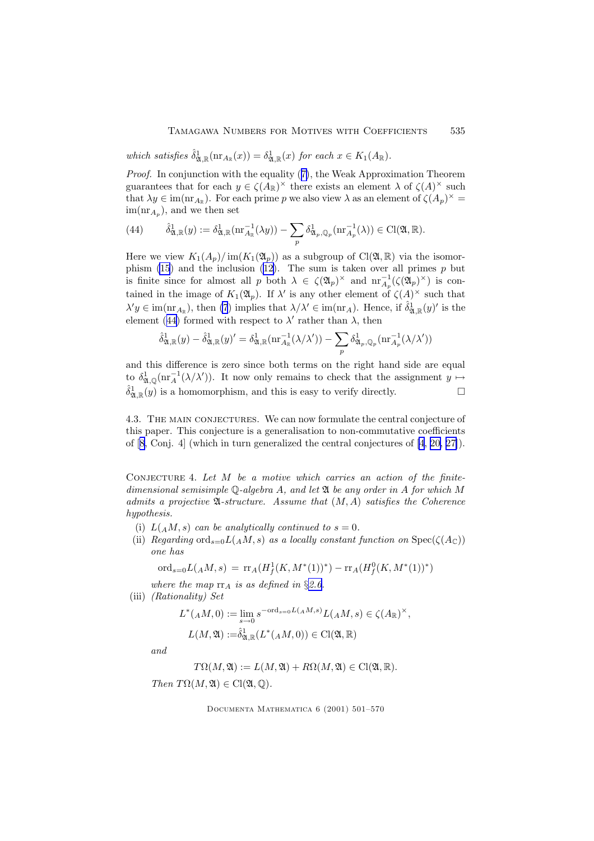<span id="page-34-0"></span>which satisfies  $\hat{\delta}_{\mathfrak{A},\mathbb{R}}^{1}(\text{nr}_{A_{\mathbb{R}}}(x)) = \delta_{\mathfrak{A},\mathbb{R}}^{1}(x)$  for each  $x \in K_1(A_{\mathbb{R}})$ .

Proof. In conjunction with the equality ([7\)](#page-8-0), the Weak Approximation Theorem guarantees that for each  $y \in \zeta(A_{\mathbb{R}})^{\times}$  there exists an element  $\lambda$  of  $\zeta(A)^{\times}$  such that  $\lambda y \in \text{im}(\text{nr}_{A_{\mathbb{R}}})$ . For each prime p we also view  $\lambda$  as an element of  $\zeta(A_p)^{\times} =$  $\text{im}(\text{nr}_{A_p})$ , and we then set

(44) 
$$
\hat{\delta}_{\mathfrak{A},\mathbb{R}}^1(y) := \delta_{\mathfrak{A},\mathbb{R}}^1(\text{nr}_{A_{\mathbb{R}}}^{-1}(\lambda y)) - \sum_p \delta_{\mathfrak{A}_p,\mathbb{Q}_p}^1(\text{nr}_{A_p}^{-1}(\lambda)) \in \text{Cl}(\mathfrak{A},\mathbb{R}).
$$

Here we view  $K_1(A_p)/\text{im}(K_1(\mathfrak{A}_p))$  as a subgroup of  $Cl(\mathfrak{A}, \mathbb{R})$  via the isomor-phism [\(15](#page-16-0)) and the inclusion ([12\)](#page-15-0). The sum is taken over all primes  $p$  but is finite since for almost all p both  $\lambda \in \zeta(\mathfrak{A}_p)^\times$  and  $\mathrm{nr}_{A_p}^{-1}(\zeta(\mathfrak{A}_p)^\times)$  is contained in the image of  $K_1(\mathfrak{A}_p)$ . If  $\lambda'$  is any other element of  $\zeta(A)^\times$  such that  $\lambda' y \in \text{im}(\text{nr}_{A_{\mathbb{R}}})$ , then [\(7](#page-8-0)) implies that  $\lambda/\lambda' \in \text{im}(\text{nr}_A)$ . Hence, if  $\hat{\delta}_{\mathfrak{A},\mathbb{R}}^1(y)'$  is the element (44) formed with respect to  $\lambda'$  rather than  $\lambda$ , then

$$
\hat{\delta}_{\mathfrak{A},\mathbb{R}}^{1}(y)-\hat{\delta}_{\mathfrak{A},\mathbb{R}}^{1}(y)'=\delta_{\mathfrak{A},\mathbb{R}}^{1}(\text{nr}_{A_{\mathbb{R}}}^{-1}(\lambda/\lambda'))-\sum_{p}\delta_{\mathfrak{A}_{p},\mathbb{Q}_{p}}^{1}(\text{nr}_{A_{p}}^{-1}(\lambda/\lambda'))
$$

and this difference is zero since both terms on the right hand side are equal to  $\delta^1_{\mathfrak{A},\mathbb{Q}}(\text{nr}_A^{-1}(\lambda/\lambda'))$ . It now only remains to check that the assignment  $y \mapsto$  $\hat{\delta}_{\mathfrak{A},\mathbb{R}}^1(y)$  is a homomorphism, and this is easy to verify directly.

4.3. The main conjectures. We can now formulate the central conjecture of this paper. This conjecture is a generalisation to non-commutative coefficients of [[8,](#page-67-0) Conj. 4] (which in turn generalized the central conjectures of [\[4](#page-67-0), [20,](#page-68-0) [27\]](#page-68-0)).

CONJECTURE 4. Let  $M$  be a motive which carries an action of the finitedimensional semisimple  $\mathbb Q$ -algebra A, and let  $\mathfrak A$  be any order in A for which M admits a projective  $\mathfrak{A}$ -structure. Assume that  $(M, A)$  satisfies the Coherence hypothesis.

- (i)  $L(AM, s)$  can be analytically continued to  $s = 0$ .
- (ii) Regarding ord<sub>s=0</sub>L( $_A$ M, s) as a locally constant function on Spec( $\zeta(A_{\mathbb{C}})$ ) one has

$$
\text{ord}_{s=0}L(A M,s) = \text{rr}_A(H^1_f(K, M^*(1))^*) - \text{rr}_A(H^0_f(K, M^*(1))^*)
$$

where the map  $rr_A$  is as defined in §[2.6](#page-8-0).

(iii) (Rationality) Set

$$
L^*(AM,0) := \lim_{s \to 0} s^{-\text{ord}_{s=0}L(AM,s)} L(AM,s) \in \zeta(A_{\mathbb{R}})^{\times},
$$
  

$$
L(M,\mathfrak{A}) := \hat{\delta}_{\mathfrak{A},\mathbb{R}}^1(L^*(AM,0)) \in \text{Cl}(\mathfrak{A},\mathbb{R})
$$

and

$$
T\Omega(M, \mathfrak{A}) := L(M, \mathfrak{A}) + R\Omega(M, \mathfrak{A}) \in \mathrm{Cl}(\mathfrak{A}, \mathbb{R}).
$$

Then  $T\Omega(M, \mathfrak{A}) \in \mathrm{Cl}(\mathfrak{A}, \mathbb{O}).$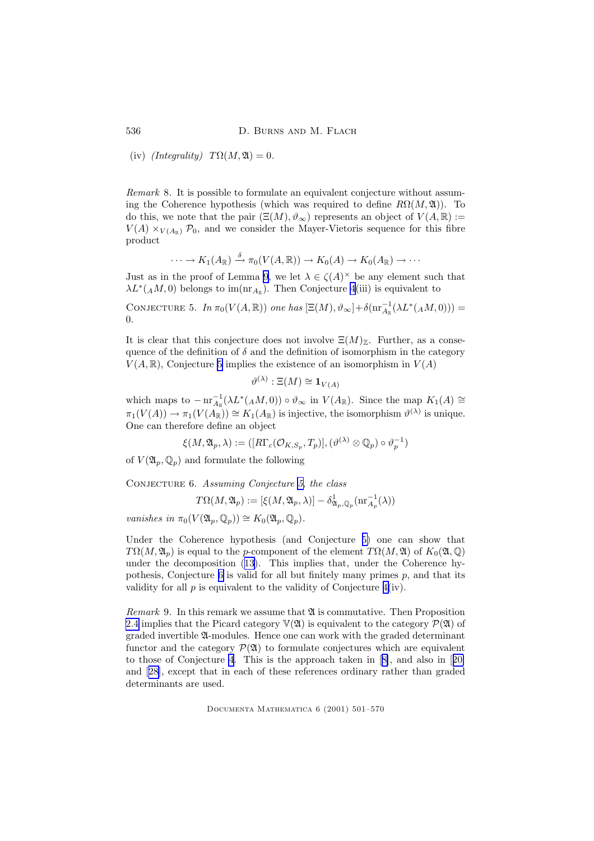536 D. BURNS AND M. FLACH

(iv)  $(Integrality)$   $T\Omega(M, \mathfrak{A}) = 0.$ 

Remark 8. It is possible to formulate an equivalent conjecture without assuming the Coherence hypothesis (which was required to define  $R\Omega(M, \mathfrak{A})$ ). To do this, we note that the pair  $(\Xi(M), \vartheta_\infty)$  represents an object of  $V(A, \mathbb{R}) :=$  $V(A) \times_{V(A_{\mathbb{P}})} \mathcal{P}_0$ , and we consider the Mayer-Vietoris sequence for this fibre product

$$
\cdots \to K_1(A_{\mathbb{R}}) \stackrel{\delta}{\to} \pi_0(V(A, \mathbb{R})) \to K_0(A) \to K_0(A_{\mathbb{R}}) \to \cdots
$$

Just as in the proof of Lemma [9](#page-33-0), we let  $\lambda \in \zeta(A)^{\times}$  be any element such that  $\lambda L^*(A M, 0)$  belongs to im $(\text{nr}_{A_{\mathbb{R}}})$ . Then Conjecture [4](#page-34-0)(iii) is equivalent to

CONJECTURE 5. In  $\pi_0(V(A,\mathbb{R}))$  one has  $[\Xi(M), \vartheta_\infty]+\delta(\text{nr}_{A_\mathbb{R}}^{-1}(\lambda L^*(AM,0)))$  = 0.

It is clear that this conjecture does not involve  $\Xi(M)_{\mathbb{Z}}$ . Further, as a consequence of the definition of  $\delta$  and the definition of isomorphism in the category  $V(A, \mathbb{R})$ , Conjecture 5 implies the existence of an isomorphism in  $V(A)$ 

$$
\vartheta^{(\lambda)} : \Xi(M) \cong \mathbf{1}_{V(A)}
$$

which maps to  $-\operatorname{nr}_{A_{\mathbb{R}}}^{-1}(\lambda L^*(A M, 0)) \circ \vartheta_{\infty}$  in  $V(A_{\mathbb{R}})$ . Since the map  $K_1(A) \cong$  $\pi_1(V(A)) \to \pi_1(V(A_{\mathbb{R}})) \cong K_1(A_{\mathbb{R}})$  is injective, the isomorphism  $\vartheta^{(\lambda)}$  is unique. One can therefore define an object

$$
\xi(M, \mathfrak{A}_p, \lambda) := ([R\Gamma_c(\mathcal{O}_{K,S_p}, T_p)], (\vartheta^{(\lambda)} \otimes \mathbb{Q}_p) \circ \vartheta_p^{-1})
$$

of  $V(\mathfrak{A}_p, \mathbb{Q}_p)$  and formulate the following

Conjecture 6. Assuming Conjecture 5, the class

$$
T\Omega(M, \mathfrak{A}_p) := [\xi(M, \mathfrak{A}_p, \lambda)] - \delta_{\mathfrak{A}_p, \mathbb{Q}_p}^1(\text{nr}_{A_p}^{-1}(\lambda))
$$

vanishes in  $\pi_0(V(\mathfrak{A}_p, \mathbb{Q}_p)) \cong K_0(\mathfrak{A}_n, \mathbb{Q}_p).$ 

Under the Coherence hypothesis (and Conjecture 5) one can show that  $T\Omega(M, \mathfrak{A}_p)$  is equal to the p-component of the element  $T\Omega(M, \mathfrak{A})$  of  $K_0(\mathfrak{A}, \mathbb{Q})$ under the decomposition ([13\)](#page-15-0). This implies that, under the Coherence hypothesis, Conjecture  $6$  is valid for all but finitely many primes  $p$ , and that its validity for all  $p$  is equivalent to the validity of Conjecture  $4(iv)$  $4(iv)$ .

*Remark* 9. In this remark we assume that  $\mathfrak A$  is commutative. Then Proposition [2.4](#page-11-0) implies that the Picard category  $\mathbb{V}(\mathfrak{A})$  is equivalent to the category  $\mathcal{P}(\mathfrak{A})$  of graded invertible A-modules. Hence one can work with the graded determinant functor and the category  $\mathcal{P}(\mathfrak{A})$  to formulate conjectures which are equivalent to those of Conjecture [4](#page-34-0). This is the approach taken in [[8\]](#page-67-0), and also in [[20\]](#page-68-0) and [[28\]](#page-68-0), except that in each of these references ordinary rather than graded determinants are used.

<span id="page-35-0"></span>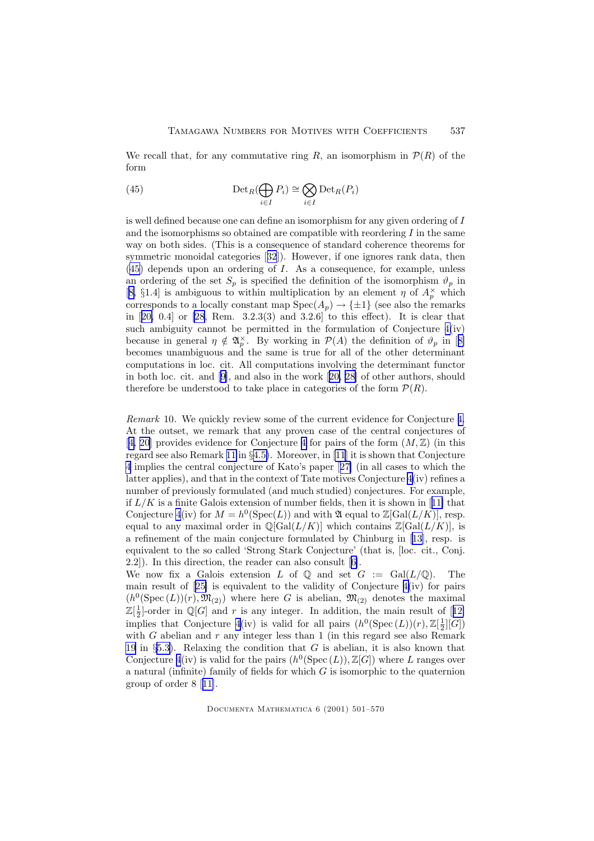<span id="page-36-0"></span>We recall that, for any commutative ring R, an isomorphism in  $\mathcal{P}(R)$  of the form

(45) 
$$
\operatorname{Det}_R(\bigoplus_{i \in I} P_i) \cong \bigotimes_{i \in I} \operatorname{Det}_R(P_i)
$$

is well defined because one can define an isomorphism for any given ordering of I and the isomorphisms so obtained are compatible with reordering  $I$  in the same way on both sides. (This is a consequence of standard coherence theorems for symmetric monoidal categories [[32](#page-68-0)]). However, if one ignores rank data, then  $(45)$  depends upon an ordering of I. As a consequence, for example, unless an ordering of the set  $S_p$  is specified the definition of the isomorphism  $\vartheta_p$  in [[8,](#page-67-0) §1.4] is ambiguous to within multiplication by an element  $\eta$  of  $A_p^{\times}$  which corresponds to a locally constant map  $Spec(A_p) \to {\pm 1}$  (see also the remarks in [[20,](#page-68-0) 0.4] or [\[28,](#page-68-0) Rem. 3.2.3(3) and 3.2.6] to this effect). It is clear that such ambiguity cannot be permitted in the formulation of Conjecture [4\(](#page-34-0)iv) because in general  $\eta \notin \mathfrak{A}_p^{\times}$ . By working in  $\mathcal{P}(A)$  the definition of  $\vartheta_p$  in [[8\]](#page-67-0) becomes unambiguous and the same is true for all of the other determinant computations in loc. cit. All computations involving the determinant functor in both loc. cit. and [\[9](#page-67-0)], and also in the work [[20,](#page-68-0) [28\]](#page-68-0) of other authors, should therefore be understood to take place in categories of the form  $\mathcal{P}(R)$ .

Remark 10. We quickly review some of the current evidence for Conjecture [4.](#page-34-0) At the outset, we remark that any proven case of the central conjectures of [[4,](#page-67-0) [20\]](#page-68-0) provides evidence for Conjecture [4](#page-34-0) for pairs of the form  $(M, \mathbb{Z})$  (in this regard see also Remark [11](#page-40-0) in §[4.5\)](#page-39-0). Moreover, in [\[11](#page-67-0)] it is shown that Conjecture [4](#page-34-0) implies the central conjecture of Kato's paper [[27\]](#page-68-0) (in all cases to which the latter applies), and that in the context of Tate motives Conjecture  $4(iv)$  $4(iv)$  refines a number of previously formulated (and much studied) conjectures. For example, if  $L/K$  is a finite Galois extension of number fields, then it is shown in [[11\]](#page-67-0) that Conjecture [4](#page-34-0)(iv) for  $M = h^0(\text{Spec}(L))$  and with  $\mathfrak{A}$  equal to  $\mathbb{Z}[\text{Gal}(L/K)]$ , resp. equal to any maximal order in  $\mathbb{Q}[\text{Gal}(L/K)]$  which contains  $\mathbb{Z}[\text{Gal}(L/K)]$ , is a refinement of the main conjecture formulated by Chinburg in [\[13\]](#page-67-0), resp. is equivalent to the so called 'Strong Stark Conjecture' (that is, [loc. cit., Conj. 2.2]). In this direction, the reader can also consult [[6\]](#page-67-0).

We now fix a Galois extension L of  $\mathbb Q$  and set  $G := \text{Gal}(L/\mathbb Q)$ . The main result of [[25\]](#page-68-0) is equivalent to the validity of Conjecture [4\(](#page-34-0)iv) for pairs  $(h^0(\text{Spec}(L))(r), \mathfrak{M}_{(2)})$  where here G is abelian,  $\mathfrak{M}_{(2)}$  denotes the maximal  $\mathbb{Z}[\frac{1}{2}]$ -order in  $\mathbb{Q}[G]$  and r is any integer. In addition, the main result of [[12\]](#page-67-0) implies that Conjecture [4\(](#page-34-0)iv) is valid for all pairs  $(h^0(\text{Spec}(L))(r), \mathbb{Z}[\frac{1}{2}][G])$ with  $G$  abelian and  $r$  any integer less than 1 (in this regard see also Remark [19](#page-67-0) in §[5.3\)](#page-55-0). Relaxing the condition that  $G$  is abelian, it is also known that Conjecture [4](#page-34-0)(iv) is valid for the pairs  $(h^0(\text{Spec}(L)), \mathbb{Z}[G])$  where L ranges over a natural (infinite) family of fields for which  $G$  is isomorphic to the quaternion group of order 8 [[11\]](#page-67-0).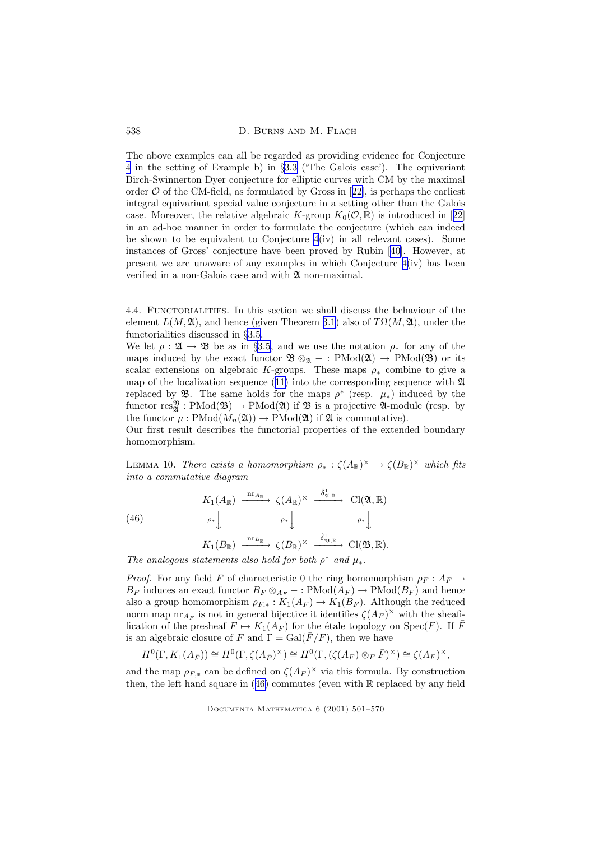<span id="page-37-0"></span>538 D. BURNS AND M. FLACH

The above examples can all be regarded as providing evidence for Conjecture [4](#page-34-0) in the setting of Example b) in §[3.3](#page-22-0) ('The Galois case'). The equivariant Birch-Swinnerton Dyer conjecture for elliptic curves with CM by the maximal order  $\mathcal O$  of the CM-field, as formulated by Gross in [[22\]](#page-68-0), is perhaps the earliest integral equivariant special value conjecture in a setting other than the Galois case. Moreover, the relative algebraic K-group  $K_0(\mathcal{O}, \mathbb{R})$  is introduced in [[22\]](#page-68-0) in an ad-hoc manner in order to formulate the conjecture (which can indeed be shown to be equivalent to Conjecture  $4(iv)$  $4(iv)$  in all relevant cases). Some instances of Gross' conjecture have been proved by Rubin [\[40](#page-69-0)]. However, at present we are unaware of any examples in which Conjecture  $4(iv)$  $4(iv)$  has been verified in a non-Galois case and with  $\mathfrak A$  non-maximal.

4.4. FUNCTORIALITIES. In this section we shall discuss the behaviour of the element  $L(M, \mathfrak{A})$ , and hence (given Theorem [3.1](#page-30-0)) also of  $T\Omega(M, \mathfrak{A})$ , under the functorialities discussed in §[3.5](#page-29-0).

We let  $\rho : \mathfrak{A} \to \mathfrak{B}$  be as in §[3.5,](#page-29-0) and we use the notation  $\rho_*$  for any of the maps induced by the exact functor  $\mathfrak{B} \otimes_{\mathfrak{A}} - : \mathrm{PMod}(\mathfrak{A}) \to \mathrm{PMod}(\mathfrak{B})$  or its scalar extensions on algebraic K-groups. These maps  $\rho_*$  combine to give a map of the localization sequence ([11\)](#page-15-0) into the corresponding sequence with  $\mathfrak{A}$ replaced by **3**. The same holds for the maps  $\rho^*$  (resp.  $\mu_*$ ) induced by the functor  $res^{\mathfrak{B}}_{\mathfrak{A}}: \mathrm{PMod}(\mathfrak{B}) \to \mathrm{PMod}(\mathfrak{A})$  if  $\mathfrak{B}$  is a projective  $\mathfrak{A}\text{-module (resp. by }$ the functor  $\mu : \text{PMod}(M_n(\mathfrak{A})) \to \text{PMod}(\mathfrak{A})$  if  $\mathfrak{A}$  is commutative).

Our first result describes the functorial properties of the extended boundary homomorphism.

LEMMA 10. There exists a homomorphism  $\rho_* : \zeta(A_{\mathbb{R}})^{\times} \to \zeta(B_{\mathbb{R}})^{\times}$  which fits into a commutative diagram

 $\lambda_1$ 

(46) 
$$
K_1(A_{\mathbb{R}}) \xrightarrow{\operatorname{nr}_{A_{\mathbb{R}}}} \zeta(A_{\mathbb{R}})^{\times} \xrightarrow{\delta_{\mathfrak{A}, \mathbb{R}}^{\star}} \operatorname{Cl}(\mathfrak{A}, \mathbb{R})
$$
\n
$$
\rho_* \downarrow \qquad \rho_* \downarrow \qquad \rho_* \downarrow
$$
\n
$$
\operatorname{nr}_{A_{\mathbb{R}}^{\star}} \qquad \varphi_* \downarrow \qquad \delta_{\mathfrak{B}, \mathbb{R}}^{\star} \qquad \operatorname{gr}(\mathfrak{A}, \mathbb{R})
$$

$$
K_1(B_{\mathbb{R}}) \xrightarrow{\text{nr}_{B_{\mathbb{R}}}} \zeta(B_{\mathbb{R}})^{\times} \xrightarrow{\delta_{\mathfrak{B}, \mathbb{R}}^{\mathfrak{h}}} \text{Cl}(\mathfrak{B}, \mathbb{R}).
$$

The analogous statements also hold for both  $\rho^*$  and  $\mu_*$ .

*Proof.* For any field F of characteristic 0 the ring homomorphism  $\rho_F : A_F \to$  $B_F$  induces an exact functor  $B_F \otimes_{A_F} -$ : PMod $(A_F) \to \text{PMod}(B_F)$  and hence also a group homomorphism  $\rho_{F,*}: K_1(A_F) \to K_1(B_F)$ . Although the reduced norm map  $\operatorname{nr}_{A_F}$  is not in general bijective it identifies  $\zeta(A_F)^\times$  with the sheaffication of the presheaf  $F \mapsto K_1(A_F)$  for the étale topology on  $Spec(F)$ . If  $\overline{F}$ is an algebraic closure of F and  $\Gamma = \text{Gal}(\overline{F}/F)$ , then we have

$$
H^0(\Gamma, K_1(A_{\overline{F}})) \cong H^0(\Gamma, \zeta(A_{\overline{F}})^{\times}) \cong H^0(\Gamma, (\zeta(A_F) \otimes_F \overline{F})^{\times}) \cong \zeta(A_F)^{\times},
$$

and the map  $\rho_{F,*}$  can be defined on  $\zeta(A_F)^\times$  via this formula. By construction then, the left hand square in  $(46)$  commutes (even with R replaced by any field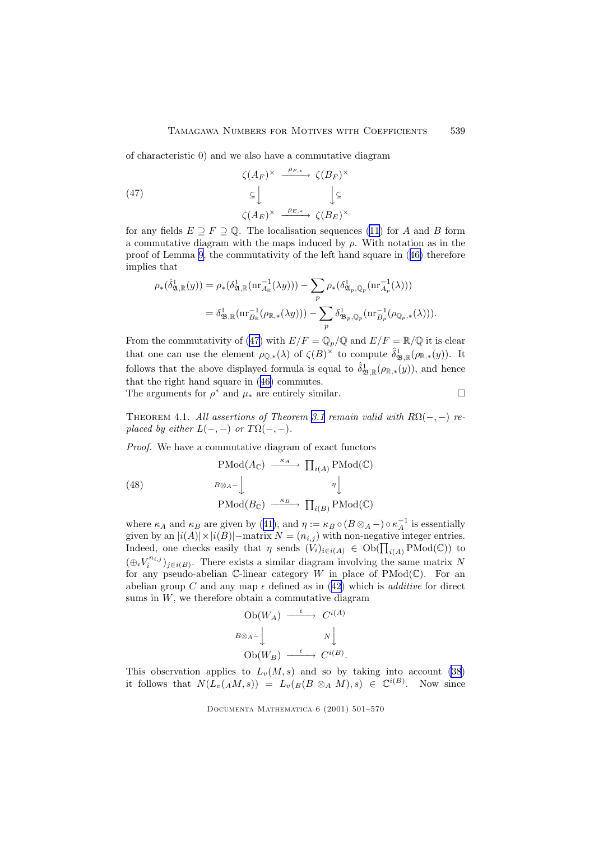<span id="page-38-0"></span>of characteristic 0) and we also have a commutative diagram

(47) 
$$
\zeta(A_F)^\times \xrightarrow{\rho_{F,*}} \zeta(B_F)^\times
$$

$$
\subseteq \bigcup_{\zeta(A_E)^\times} \bigcup_{\rho_{E,*}} \zeta(B_F)^\times
$$

for any fields  $E \supseteq F \supseteq \mathbb{Q}$ . The localisation sequences [\(11](#page-15-0)) for A and B form a commutative diagram with the maps induced by  $\rho$ . With notation as in the proof of Lemma [9,](#page-33-0) the commutativity of the left hand square in ([46\)](#page-37-0) therefore implies that

$$
\rho_{*}(\hat{\delta}_{\mathfrak{A},\mathbb{R}}^{1}(y)) = \rho_{*}(\delta_{\mathfrak{A},\mathbb{R}}^{1}(\text{nr}_{A_{\mathbb{R}}}^{-1}(\lambda y))) - \sum_{p} \rho_{*}(\delta_{\mathfrak{A}_{p},\mathbb{Q}_{p}}^{1}(\text{nr}_{A_{p}}^{-1}(\lambda)))
$$
  

$$
= \delta_{\mathfrak{B},\mathbb{R}}^{1}(\text{nr}_{B_{\mathbb{R}}}^{-1}(\rho_{\mathbb{R},*}(\lambda y))) - \sum_{p} \delta_{\mathfrak{B}_{p},\mathbb{Q}_{p}}^{1}(\text{nr}_{B_{p}}^{-1}(\rho_{\mathbb{Q}_{p},*}(\lambda))).
$$

From the commutativity of (47) with  $E/F = \mathbb{Q}_p/\mathbb{Q}$  and  $E/F = \mathbb{R}/\mathbb{Q}$  it is clear that one can use the element  $\rho_{\mathbb{Q},*}(\lambda)$  of  $\zeta(B)^{\times}$  to compute  $\hat{\delta}_{\mathfrak{B},\mathbb{R}}^1(\rho_{\mathbb{R},*}(y))$ . It follows that the above displayed formula is equal to  $\hat{\delta}_{\mathfrak{B},\mathbb{R}}^1(\rho_{\mathbb{R},*}(y))$ , and hence that the right hand square in ([46\)](#page-37-0) commutes.

The arguments for  $\rho^*$  and  $\mu_*$  are entirely similar.  $\Box$ 

THEOREM 4.1. All assertions of Theorem [3.1](#page-30-0) remain valid with  $R\Omega(-, -)$  replaced by either  $L(-, -)$  or  $T\Omega(-, -)$ .

Proof. We have a commutative diagram of exact functors

(48) 
$$
\text{PMod}(A_{\mathbb{C}}) \xrightarrow{\kappa_A} \prod_{i(A)} \text{PMod}(\mathbb{C})
$$

$$
B \otimes_{A} - \downarrow \qquad \eta \downarrow
$$

$$
\text{PMod}(B_{\mathbb{C}}) \xrightarrow{\kappa_B} \prod_{i(B)} \text{PMod}(\mathbb{C})
$$

where  $\kappa_A$  and  $\kappa_B$  are given by ([41\)](#page-31-0), and  $\eta := \kappa_B \circ (B \otimes_A -) \circ \kappa_A^{-1}$  is essentially given by an  $|i(A)| \times |i(B)|$  – matrix  $N = (n_{i,j})$  with non-negative integer entries. Indeed, one checks easily that  $\eta$  sends  $(V_i)_{i \in i(A)} \in Ob(\prod_{i(A)} \text{PMod}(\mathbb{C}))$  to  $(\bigoplus_i V_i^{n_{i,j}})_{j \in i(B)}$ . There exists a similar diagram involving the same matrix N for any pseudo-abelian C-linear category W in place of  $\text{PMod}(\mathbb{C})$ . For an abelian group C and any map  $\epsilon$  defined as in ([42\)](#page-31-0) which is *additive* for direct sums in  $W$ , we therefore obtain a commutative diagram

Ob
$$
(W_A)
$$
  $\xrightarrow{\epsilon}$   $C^{i(A)}$   
\n $B \otimes_A - \bigcup_{N \atop \text{Ob}(W_B)} \xrightarrow{\epsilon}$   $N \bigcup_{N \atop \text{Ob}(W_B)} \xrightarrow{\epsilon}$   $C^{i(B)}$ .

This observation applies to  $L_v(M, s)$  and so by taking into account [\(38](#page-29-0)) it follows that  $N(L_v(A M, s)) = L_v(B ( \otimes_A M), s) \in \mathbb{C}^{i(B)}$ . Now since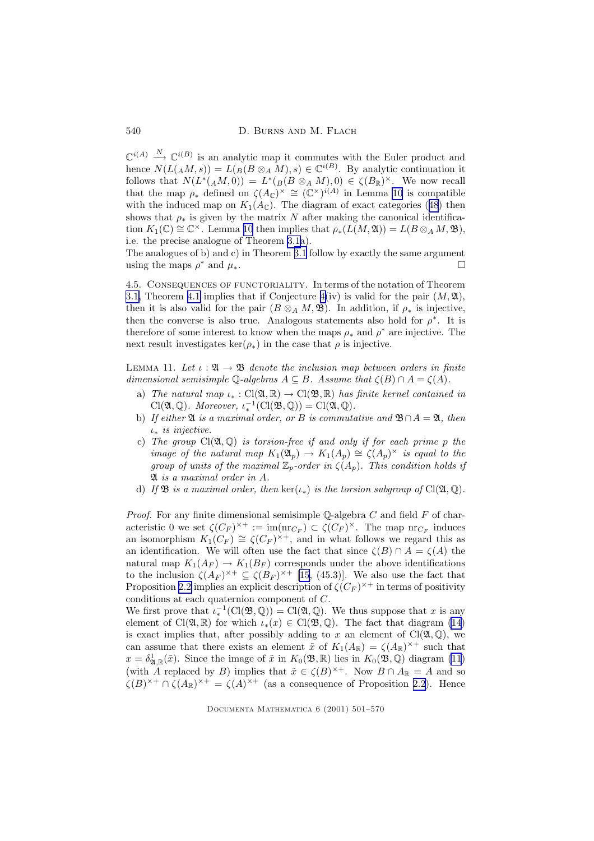<span id="page-39-0"></span>540 D. BURNS AND M. FLACH

 $\mathbb{C}^{i(A)} \stackrel{N}{\longrightarrow} \mathbb{C}^{i(B)}$  is an analytic map it commutes with the Euler product and hence  $N(L(A,M,s)) = L(B(B \otimes_A M), s) \in \mathbb{C}^{i(B)}$ . By analytic continuation it follows that  $N(L^*(AM, 0)) = L^*(B \otimes_A M), 0) \in \zeta(B_\mathbb{R})^\times$ . We now recall that the map  $\rho_*$  defined on  $\zeta(A_{\mathbb{C}})^{\times} \cong (\mathbb{C}^{\times})^{i(A)}$  in Lemma [10](#page-37-0) is compatible with the induced map on  $K_1(A_{\mathbb{C}})$ . The diagram of exact categories ([48](#page-38-0)) then shows that  $\rho_*$  is given by the matrix N after making the canonical identification  $K_1(\mathbb{C}) \cong \mathbb{C}^{\times}$ . Lemma [10](#page-37-0) then implies that  $\rho_*(L(M,\mathfrak{A})) = L(B \otimes_A M, \mathfrak{B}),$ i.e. the precise analogue of Theorem [3.1a](#page-30-0)).

The analogues of b) and c) in Theorem [3.1](#page-30-0) follow by exactly the same argument using the maps  $\rho^*$  and  $\mu_*$ .

4.5. Consequences of functoriality. In terms of the notation of Theorem [3.1,](#page-30-0) Theorem [4.1](#page-38-0) implies that if Conjecture  $4(iv)$  $4(iv)$  is valid for the pair  $(M, \mathfrak{A}),$ then it is also valid for the pair  $(B \otimes_A M, \mathfrak{B})$ . In addition, if  $\rho_*$  is injective, then the converse is also true. Analogous statements also hold for  $\rho^*$ . It is therefore of some interest to know when the maps  $\rho_*$  and  $\rho^*$  are injective. The next result investigates ker( $\rho_*$ ) in the case that  $\rho$  is injective.

LEMMA 11. Let  $\iota : \mathfrak{A} \to \mathfrak{B}$  denote the inclusion map between orders in finite dimensional semisimple  $\mathbb Q$ -algebras  $A \subseteq B$ . Assume that  $\zeta(B) \cap A = \zeta(A)$ .

- a) The natural map  $\iota_* : Cl(\mathfrak{A}, \mathbb{R}) \to Cl(\mathfrak{B}, \mathbb{R})$  has finite kernel contained in  $Cl(\mathfrak{A}, \mathbb{Q})$ . Moreover,  $\iota_*^{-1}(Cl(\mathfrak{B}, \mathbb{Q})) = Cl(\mathfrak{A}, \mathbb{Q})$ .
- b) If either  $\mathfrak A$  is a maximal order, or B is commutative and  $\mathfrak B \cap A = \mathfrak A$ , then  $\iota_*$  is injective.
- c) The group  $Cl(\mathfrak{A}, \mathbb{Q})$  is torsion-free if and only if for each prime p the image of the natural map  $K_1(\mathfrak{A}_p) \to K_1(A_p) \cong \zeta(A_p)^\times$  is equal to the group of units of the maximal  $\mathbb{Z}_p$ -order in  $\zeta(A_p)$ . This condition holds if A is a maximal order in A.
- d) If **B** is a maximal order, then  $\ker(\iota_*)$  is the torsion subgroup of Cl( $\mathfrak{A}, \mathbb{Q}$ ).

*Proof.* For any finite dimensional semisimple  $\mathbb{Q}$ -algebra C and field F of characteristic 0 we set  $\zeta(C_F)^{\times+} := \text{im}(\text{nr}_{C_F}) \subset \zeta(C_F)^{\times}$ . The map  $\text{nr}_{C_F}$  induces an isomorphism  $K_1(C_F) \cong \zeta(C_F)^{\times +}$ , and in what follows we regard this as an identification. We will often use the fact that since  $\zeta(B) \cap A = \zeta(A)$  the natural map  $K_1(A_F) \to K_1(B_F)$  corresponds under the above identifications to the inclusion  $\zeta(A_F)^{\times+} \subseteq \zeta(B_F)^{\times+}$  [\[15](#page-68-0), (45.3)]. We also use the fact that Proposition [2.2](#page-8-0) implies an explicit description of  $\zeta(C_F)^{\times +}$  in terms of positivity conditions at each quaternion component of C.

We first prove that  $\iota_*^{-1}(\text{Cl}(\mathfrak{B},\mathbb{Q})) = \text{Cl}(\mathfrak{A},\mathbb{Q})$ . We thus suppose that x is any element of Cl( $\mathfrak{A}, \mathbb{R}$ ) for which  $\iota_*(x) \in \text{Cl}(\mathfrak{B}, \mathbb{Q})$ . The fact that diagram [\(14](#page-16-0)) is exact implies that, after possibly adding to x an element of  $Cl(\mathfrak{A}, \mathbb{Q})$ , we can assume that there exists an element  $\tilde{x}$  of  $K_1(A_{\mathbb{R}}) = \zeta(A_{\mathbb{R}})^{\times +}$  such that  $x = \delta^1_{\mathfrak{A}, \mathbb{R}}(\tilde{x})$ . Since the image of  $\tilde{x}$  in  $K_0(\mathfrak{B}, \mathbb{R})$  lies in  $K_0(\mathfrak{B}, \mathbb{Q})$  diagram [\(11](#page-15-0)) (with A replaced by B) implies that  $\tilde{x} \in \zeta(B)^{\times +}$ . Now  $B \cap A_{\mathbb{R}} = A$  and so  $\zeta(B)^{\times+} \cap \zeta(A_{\mathbb{R}})^{\times+} = \zeta(A)^{\times+}$  (as a consequence of Proposition [2.2](#page-8-0)). Hence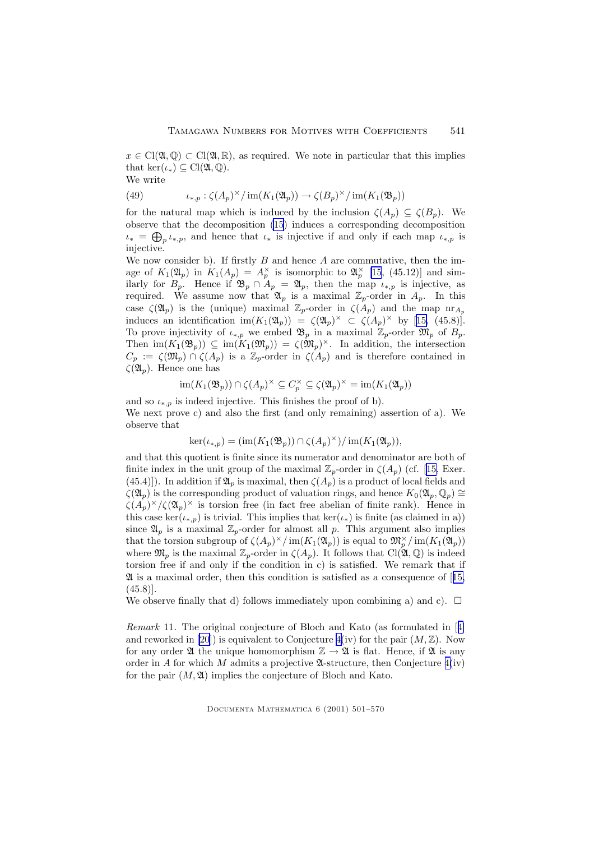<span id="page-40-0"></span> $x \in \text{Cl}(\mathfrak{A}, \mathbb{Q}) \subset \text{Cl}(\mathfrak{A}, \mathbb{R})$ , as required. We note in particular that this implies that ker( $\iota_*\$ )  $\subseteq$  Cl( $\mathfrak{A}, \mathbb{Q}$ ).

We write

(49) 
$$
\iota_{*,p} : \zeta(A_p)^\times / \operatorname{im}(K_1(\mathfrak{A}_p)) \to \zeta(B_p)^\times / \operatorname{im}(K_1(\mathfrak{B}_p))
$$

for the natural map which is induced by the inclusion  $\zeta(A_p) \subseteq \zeta(B_p)$ . We observe that the decomposition [\(15](#page-16-0)) induces a corresponding decomposition  $u_* = \bigoplus_{p} \iota_{*,p}$ , and hence that  $\iota_*$  is injective if and only if each map  $\iota_{*,p}$  is injective.

We now consider b). If firstly  $B$  and hence  $A$  are commutative, then the image of  $K_1(\mathfrak{A}_p)$  in  $K_1(A_p) = A_p^{\times}$  is isomorphic to  $\mathfrak{A}_p^{\times}$  [\[15](#page-68-0), (45.12)] and similarly for  $B_p$ . Hence if  $\mathfrak{B}_p \cap A_p = \mathfrak{A}_p$ , then the map  $\iota_{*,p}$  is injective, as required. We assume now that  $\mathfrak{A}_p$  is a maximal  $\mathbb{Z}_p$ -order in  $A_p$ . In this case  $\zeta(\mathfrak{A}_p)$  is the (unique) maximal  $\mathbb{Z}_p$ -order in  $\zeta(A_p)$  and the map  $n r_{A_p}$ induces an identification  $\text{im}(K_1(\mathfrak{A}_p)) = \zeta(\mathfrak{A}_p)^\times \subset \zeta(A_p)^\times$  by [\[15,](#page-68-0) (45.8)]. To prove injectivity of  $\iota_{*,p}$  we embed  $\mathfrak{B}_p$  in a maximal  $\mathbb{Z}_p$ -order  $\mathfrak{M}_p$  of  $B_p$ . Then  $\text{im}(K_1(\mathfrak{B}_p)) \subseteq \text{im}(K_1(\mathfrak{M}_p)) = \zeta(\mathfrak{M}_p)^{\times}$ . In addition, the intersection  $C_p := \zeta(\mathfrak{M}_p) \cap \zeta(A_p)$  is a  $\mathbb{Z}_p$ -order in  $\zeta(A_p)$  and is therefore contained in  $\zeta(\mathfrak{A}_p)$ . Hence one has

$$
\operatorname{im}(K_1(\mathfrak{B}_p)) \cap \zeta(A_p)^{\times} \subseteq C_p^{\times} \subseteq \zeta(\mathfrak{A}_p)^{\times} = \operatorname{im}(K_1(\mathfrak{A}_p))
$$

and so  $\iota_{*,p}$  is indeed injective. This finishes the proof of b). We next prove c) and also the first (and only remaining) assertion of a). We observe that

$$
\ker(\iota_{*,p}) = (\operatorname{im}(K_1(\mathfrak{B}_p)) \cap \zeta(A_p)^\times) / \operatorname{im}(K_1(\mathfrak{A}_p)),
$$

and that this quotient is finite since its numerator and denominator are both of finite index in the unit group of the maximal  $\mathbb{Z}_p$ -order in  $\zeta(A_p)$  (cf. [\[15](#page-68-0), Exer. (45.4)]). In addition if  $\mathfrak{A}_p$  is maximal, then  $\zeta(A_p)$  is a product of local fields and  $\zeta(\mathfrak{A}_p)$  is the corresponding product of valuation rings, and hence  $K_0(\mathfrak{A}_p, \mathbb{Q}_p) \cong$  $\zeta(A_p)^\times/\zeta(\mathfrak{A}_p)^\times$  is torsion free (in fact free abelian of finite rank). Hence in this case ker( $\iota_{*,p}$ ) is trivial. This implies that ker( $\iota_{*}$ ) is finite (as claimed in a)) since  $\mathfrak{A}_p$  is a maximal  $\mathbb{Z}_p$ -order for almost all p. This argument also implies that the torsion subgroup of  $\zeta(A_p)^{\times}/\text{im}(K_1(\mathfrak{A}_p))$  is equal to  $\mathfrak{M}_p^{\times}/\text{im}(K_1(\mathfrak{A}_p))$ where  $\mathfrak{M}_p$  is the maximal  $\mathbb{Z}_p$ -order in  $\zeta(A_p)$ . It follows that  $\text{Cl}(\mathfrak{A},\mathbb{Q})$  is indeed torsion free if and only if the condition in c) is satisfied. We remark that if  $\mathfrak A$  is a maximal order, then this condition is satisfied as a consequence of [[15,](#page-68-0)  $(45.8)$ ].

We observe finally that d) follows immediately upon combining a) and c).  $\Box$ 

Remark 11. The original conjecture of Bloch and Kato (as formulated in [[4\]](#page-67-0) and reworked in [\[20](#page-68-0)]) is equivalent to Conjecture  $4(iv)$  $4(iv)$  for the pair  $(M,\mathbb{Z})$ . Now for any order  $\mathfrak A$  the unique homomorphism  $\mathbb Z \to \mathfrak A$  is flat. Hence, if  $\mathfrak A$  is any order in A for which M admits a projective  $\mathfrak{A}$ -structure, then Conjecture  $4(iv)$  $4(iv)$ for the pair  $(M, \mathfrak{A})$  implies the conjecture of Bloch and Kato.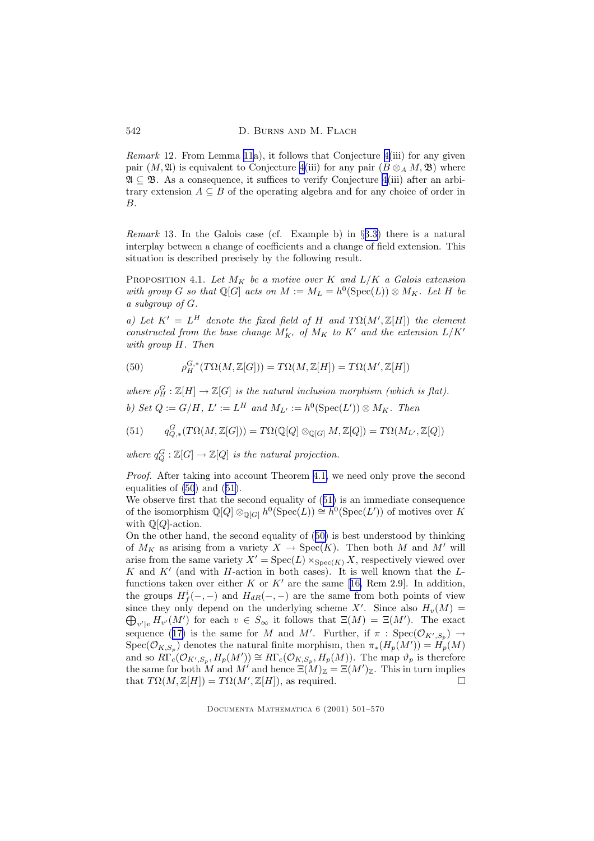*Remark* 12. From Lemma [11](#page-39-0)a), it follows that Conjecture  $4(iii)$  $4(iii)$  for any given pair  $(M, \mathfrak{A})$  is equivalent to Conjecture [4\(](#page-34-0)iii) for any pair  $(B \otimes_A M, \mathfrak{B})$  where  $\mathfrak{A} \subseteq \mathfrak{B}$ . As a consequence, it suffices to verify Conjecture [4\(](#page-34-0)iii) after an arbitrary extension  $A \subseteq B$  of the operating algebra and for any choice of order in B.

Remark 13. In the Galois case (cf. Example b) in §[3.3](#page-22-0)) there is a natural interplay between a change of coefficients and a change of field extension. This situation is described precisely by the following result.

PROPOSITION 4.1. Let  $M_K$  be a motive over K and  $L/K$  a Galois extension with group G so that  $\mathbb{Q}[G]$  acts on  $M := M_L = h^0(\text{Spec}(L)) \otimes M_K$ . Let H be a subgroup of G.

a) Let  $K' = L^H$  denote the fixed field of H and  $T\Omega(M', \mathbb{Z}[H])$  the element constructed from the base change  $M'_{K'}$  of  $M_K$  to  $K'$  and the extension  $L/K'$ with group H. Then

(50) 
$$
\rho_H^{G,*}(T\Omega(M,\mathbb{Z}[G])) = T\Omega(M,\mathbb{Z}[H]) = T\Omega(M',\mathbb{Z}[H])
$$

where  $\rho_H^G : \mathbb{Z}[H] \to \mathbb{Z}[G]$  is the natural inclusion morphism (which is flat). b) Set  $Q := G/H$ ,  $L' := L^H$  and  $M_{L'} := h^0(\text{Spec}(L')) \otimes M_K$ . Then

(51)  $q_{Q,*}^G(T\Omega(M,\mathbb{Z}[G])) = T\Omega(\mathbb{Q}[Q] \otimes_{\mathbb{Q}[G]} M,\mathbb{Z}[Q]) = T\Omega(M_{L'},\mathbb{Z}[Q])$ 

where  $q_Q^G : \mathbb{Z}[G] \to \mathbb{Z}[Q]$  is the natural projection.

Proof. After taking into account Theorem [4.1,](#page-38-0) we need only prove the second equalities of (50) and (51).

We observe first that the second equality of (51) is an immediate consequence of the isomorphism  $\mathbb{Q}[Q] \otimes_{\mathbb{Q}[G]} h^0(\text{Spec}(L)) \cong h^0(\text{Spec}(L'))$  of motives over K with  $\mathbb{Q}[Q]$ -action.

On the other hand, the second equality of (50) is best understood by thinking of  $M_K$  as arising from a variety  $X \to \text{Spec}(K)$ . Then both M and M' will arise from the same variety  $X' = \text{Spec}(L) \times_{\text{Spec}(K)} X$ , respectively viewed over K and  $K'$  (and with H-action in both cases). It is well known that the L-functions taken over either K or K' are the same [[16,](#page-68-0) Rem 2.9]. In addition, the groups  $H_f^i(-,-)$  and  $H_{dR}(-,-)$  are the same from both points of view since they only depend on the underlying scheme X'. Since also  $H_v(M)$  = since they only depend on the underlying scheme X'. Since also  $H_v(M) = \bigoplus_{v'|v} H_{v'}(M')$  for each  $v \in S_{\infty}$  it follows that  $\Xi(M) = \Xi(M')$ . The exact sequence ([17\)](#page-18-0) is the same for M and M'. Further, if  $\pi$ : Spec $(\mathcal{O}_{K',S_p}) \to$  $Spec(\mathcal{O}_{K,S_p})$  denotes the natural finite morphism, then  $\pi_*(H_p(M')) = H_p(M)$ and so  $R\Gamma_c(\mathcal{O}_{K',S_p}, H_p(M')) \cong R\Gamma_c(\mathcal{O}_{K,S_p}, H_p(M)).$  The map  $\vartheta_p$  is therefore the same for both M and M' and hence  $\Xi(M)_{\mathbb{Z}} = \Xi(M')_{\mathbb{Z}}$ . This in turn implies that  $T\Omega(M,\mathbb{Z}[H]) = T\Omega(M',\mathbb{Z}[H]),$  as required.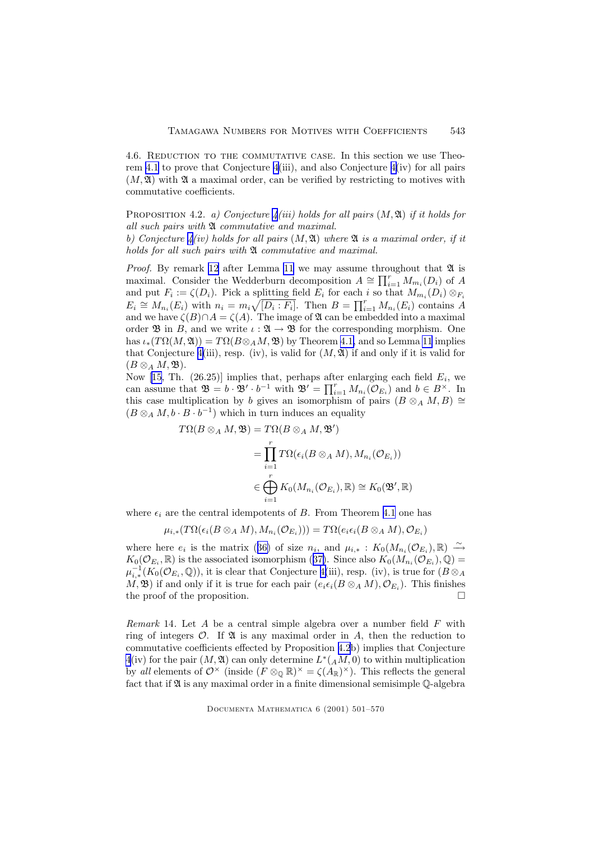<span id="page-42-0"></span>4.6. Reduction to the commutative case. In this section we use Theorem [4.1](#page-38-0) to prove that Conjecture [4\(](#page-34-0)iii), and also Conjecture [4\(](#page-34-0)iv) for all pairs  $(M, \mathfrak{A})$  with  $\mathfrak{A}$  a maximal order, can be verified by restricting to motives with commutative coefficients.

PROPOSITION [4](#page-34-0).2. a) Conjecture  $\chi(iii)$  holds for all pairs  $(M, \mathfrak{A})$  if it holds for all such pairs with  $\mathfrak A$  commutative and maximal.

b) Conjecture  $\mathcal{L}(iv)$  holds for all pairs  $(M, \mathfrak{A})$  where  $\mathfrak{A}$  is a maximal order, if it holds for all such pairs with  $\mathfrak A$  commutative and maximal.

*Proof.* By remark [12](#page-40-0) after Lemma [11](#page-39-0) we may assume throughout that  $\mathfrak A$  is maximal. Consider the Wedderburn decomposition  $A \cong \prod_{i=1}^r M_{m_i}(D_i)$  of A and put  $F_i := \zeta(D_i)$ . Pick a splitting field  $E_i$  for each i so that  $M_{m_i}(D_i) \otimes_{F_i}$  $E_i \cong M_{n_i}(E_i)$  with  $n_i = m_i \sqrt{[D_i : F_i]}$ . Then  $B = \prod_{i=1}^r M_{n_i}(E_i)$  contains A and we have  $\zeta(B) \cap A = \zeta(A)$ . The image of  $\mathfrak A$  can be embedded into a maximal order  $\mathfrak{B}$  in B, and we write  $\iota : \mathfrak{A} \to \mathfrak{B}$  for the corresponding morphism. One has  $\iota_*(T\Omega(M, \mathfrak{A})) = T\Omega(B\otimes_A M, \mathfrak{B})$  by Theorem [4.1,](#page-38-0) and so Lemma [11](#page-39-0) implies that Conjecture [4\(](#page-34-0)iii), resp. (iv), is valid for  $(M, \mathfrak{A})$  if and only if it is valid for  $(B\otimes_A M,\mathfrak{B}).$ 

Now [\[15](#page-68-0), Th.  $(26.25)$ ] implies that, perhaps after enlarging each field  $E_i$ , we can assume that  $\mathfrak{B} = b \cdot \mathfrak{B}' \cdot b^{-1}$  with  $\mathfrak{B}' = \prod_{i=1}^r M_{n_i}(\mathcal{O}_{E_i})$  and  $b \in B^{\times}$ . In this case multiplication by b gives an isomorphism of pairs  $(B \otimes_A M, B) \cong$  $(B \otimes_A M, b \cdot B \cdot b^{-1})$  which in turn induces an equality

$$
T\Omega(B \otimes_A M, \mathfrak{B}) = T\Omega(B \otimes_A M, \mathfrak{B}')
$$
  
= 
$$
\prod_{i=1}^r T\Omega(\epsilon_i(B \otimes_A M), M_{n_i}(\mathcal{O}_{E_i}))
$$
  

$$
\in \bigoplus_{i=1}^r K_0(M_{n_i}(\mathcal{O}_{E_i}), \mathbb{R}) \cong K_0(\mathfrak{B}', \mathbb{R})
$$

where  $\epsilon_i$  are the central idempotents of B. From Theorem [4.1](#page-38-0) one has

$$
\mu_{i,*}(T\Omega(\epsilon_i(B\otimes_A M),M_{n_i}(\mathcal{O}_{E_i})))=T\Omega(e_i\epsilon_i(B\otimes_A M),\mathcal{O}_{E_i})
$$

where here  $e_i$  is the matrix ([36\)](#page-29-0) of size  $n_i$ , and  $\mu_{i,*} : K_0(M_{n_i}(\mathcal{O}_{E_i}), \mathbb{R}) \stackrel{\sim}{\rightarrow}$  $K_0(\mathcal{O}_{E_i}, \mathbb{R})$  is the associated isomorphism ([37\)](#page-29-0). Since also  $K_0(M_{n_i}(\mathcal{O}_{E_i}), \mathbb{Q}) =$  $\mu_{i,*}^{-1}(K_0(\mathcal{O}_{E_i},\mathbb{Q}))$ , it is clear that Conjecture [4\(](#page-34-0)iii), resp. (iv), is true for  $(B\otimes_A)$  $(M, \mathfrak{B})$  if and only if it is true for each pair  $(e_i \epsilon_i (B \otimes_A M), \mathcal{O}_{E_i})$ . This finishes the proof of the proposition.  $\Box$ 

*Remark* 14. Let A be a central simple algebra over a number field  $F$  with ring of integers  $\mathcal{O}$ . If  $\mathfrak A$  is any maximal order in A, then the reduction to commutative coefficients effected by Proposition 4.2b) implies that Conjecture  $4(iv)$  $4(iv)$  for the pair  $(M, \mathfrak{A})$  can only determine  $L^*(A, M, 0)$  to within multiplication by all elements of  $\mathcal{O}^\times$  (inside  $(F \otimes_{\mathbb{Q}} \mathbb{R})^\times = \zeta(A_\mathbb{R})^\times$ ). This reflects the general fact that if  $\mathfrak A$  is any maximal order in a finite dimensional semisimple  $\mathbb O$ -algebra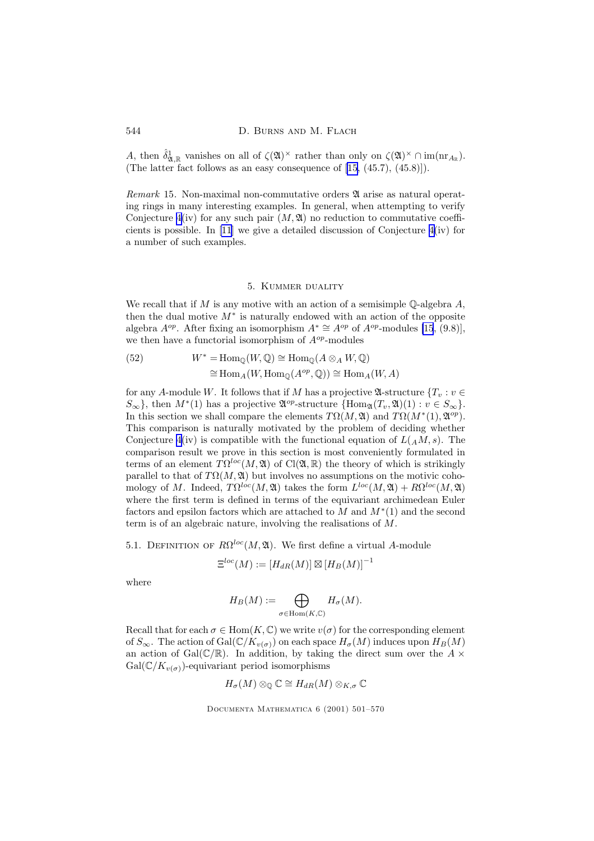A, then  $\hat{\delta}_{\mathfrak{A},\mathbb{R}}^1$  vanishes on all of  $\zeta(\mathfrak{A})^\times$  rather than only on  $\zeta(\mathfrak{A})^\times \cap \text{im}(\text{nr}_{A_{\mathbb{R}}}).$ (The latter fact follows as an easy consequence of [\[15](#page-68-0), (45.7), (45.8)]).

Remark 15. Non-maximal non-commutative orders  $\mathfrak A$  arise as natural operating rings in many interesting examples. In general, when attempting to verify Conjecture  $4(iv)$  $4(iv)$  for any such pair  $(M, \mathfrak{A})$  no reduction to commutative coefficients is possible. In [\[11](#page-67-0)] we give a detailed discussion of Conjecture [4\(](#page-34-0)iv) for a number of such examples.

## 5. Kummer duality

We recall that if  $M$  is any motive with an action of a semisimple  $\mathbb Q$ -algebra  $A$ , then the dual motive  $M^*$  is naturally endowed with an action of the opposite algebra  $A^{op}$ . After fixing an isomorphism  $A^* \cong A^{op}$  of  $A^{op}$ -modules [\[15](#page-68-0), (9.8)], we then have a functorial isomorphism of  $A^{op}$ -modules

(52) 
$$
W^* = \text{Hom}_{\mathbb{Q}}(W, \mathbb{Q}) \cong \text{Hom}_{\mathbb{Q}}(A \otimes_A W, \mathbb{Q})
$$

$$
\cong \text{Hom}_A(W, \text{Hom}_{\mathbb{Q}}(A^{op}, \mathbb{Q})) \cong \text{Hom}_A(W, A)
$$

for any A-module W. It follows that if M has a projective  $\mathfrak{A}\text{-structure }{T_v : v \in}$  $S_{\infty}$ , then  $M^*(1)$  has a projective  $\mathfrak{A}^{op}\text{-}structure \{Hom_{\mathfrak{A}}(T_v, \mathfrak{A})(1) : v \in S_{\infty}\}.$ In this section we shall compare the elements  $T\Omega(M, \mathfrak{A})$  and  $T\Omega(M^*(1), \mathfrak{A}^{op}).$ This comparison is naturally motivated by the problem of deciding whether Conjecture [4\(](#page-34-0)iv) is compatible with the functional equation of  $L(A, M, s)$ . The comparison result we prove in this section is most conveniently formulated in terms of an element  $T\Omega^{loc}(M, \mathfrak{A})$  of Cl( $\mathfrak{A}, \mathbb{R}$ ) the theory of which is strikingly parallel to that of  $T\Omega(M, \mathfrak{A})$  but involves no assumptions on the motivic cohomology of M. Indeed,  $T\Omega^{loc}(M, \mathfrak{A})$  takes the form  $L^{loc}(M, \mathfrak{A}) + R\Omega^{loc}(M, \mathfrak{A})$ where the first term is defined in terms of the equivariant archimedean Euler factors and epsilon factors which are attached to  $M$  and  $M^*(1)$  and the second term is of an algebraic nature, involving the realisations of M.

5.1. DEFINITION OF  $R\Omega^{loc}(M, \mathfrak{A})$ . We first define a virtual A-module

$$
\Xi^{loc}(M) := [H_{dR}(M)] \boxtimes [H_B(M)]^{-1}
$$

where

$$
H_B(M) := \bigoplus_{\sigma \in \text{Hom}(K,\mathbb{C})} H_{\sigma}(M).
$$

Recall that for each  $\sigma \in \text{Hom}(K, \mathbb{C})$  we write  $v(\sigma)$  for the corresponding element of  $S_{\infty}$ . The action of Gal( $\mathbb{C}/K_{v(\sigma)}$ ) on each space  $H_{\sigma}(M)$  induces upon  $H_B(M)$ an action of Gal $(\mathbb{C}/\mathbb{R})$ . In addition, by taking the direct sum over the A  $\times$  $Gal(\mathbb{C}/K_{v(\sigma)})$ -equivariant period isomorphisms

$$
H_{\sigma}(M)\otimes_{\mathbb{Q}}\mathbb{C}\cong H_{dR}(M)\otimes_{K,\sigma}\mathbb{C}
$$

<span id="page-43-0"></span>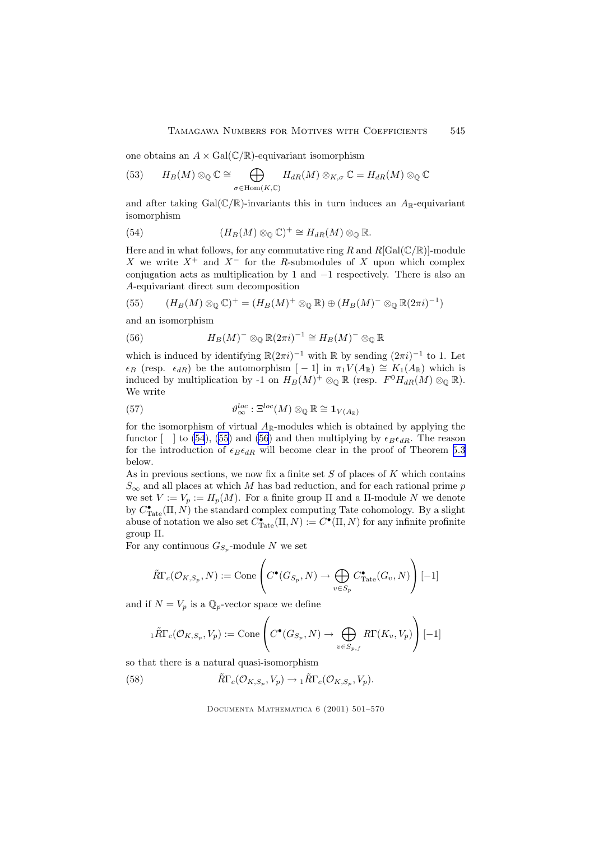<span id="page-44-0"></span>one obtains an  $A \times \text{Gal}(\mathbb{C}/\mathbb{R})$ -equivariant isomorphism

(53) 
$$
H_B(M) \otimes_{\mathbb{Q}} \mathbb{C} \cong \bigoplus_{\sigma \in \text{Hom}(K, \mathbb{C})} H_{dR}(M) \otimes_{K, \sigma} \mathbb{C} = H_{dR}(M) \otimes_{\mathbb{Q}} \mathbb{C}
$$

and after taking Gal $(\mathbb{C}/\mathbb{R})$ -invariants this in turn induces an  $A_{\mathbb{R}}$ -equivariant isomorphism

(54) 
$$
(H_B(M) \otimes_{\mathbb{Q}} \mathbb{C})^+ \cong H_{dR}(M) \otimes_{\mathbb{Q}} \mathbb{R}.
$$

Here and in what follows, for any commutative ring R and  $R[\text{Gal}(\mathbb{C}/\mathbb{R})]$ -module X we write  $X^+$  and  $X^-$  for the R-submodules of X upon which complex conjugation acts as multiplication by 1 and −1 respectively. There is also an A-equivariant direct sum decomposition

(55) 
$$
(H_B(M) \otimes_{\mathbb{Q}} \mathbb{C})^+ = (H_B(M)^+ \otimes_{\mathbb{Q}} \mathbb{R}) \oplus (H_B(M)^- \otimes_{\mathbb{Q}} \mathbb{R}(2\pi i)^{-1})
$$

and an isomorphism

(56) 
$$
H_B(M)^{-} \otimes_{\mathbb{Q}} \mathbb{R}(2\pi i)^{-1} \cong H_B(M)^{-} \otimes_{\mathbb{Q}} \mathbb{R}
$$

which is induced by identifying  $\mathbb{R}(2\pi i)^{-1}$  with  $\mathbb R$  by sending  $(2\pi i)^{-1}$  to 1. Let  $\epsilon_B$  (resp.  $\epsilon_{dR}$ ) be the automorphism [ − 1] in  $\pi_1 V(A_{\mathbb{R}}) \cong K_1(A_{\mathbb{R}})$  which is induced by multiplication by -1 on  $H_B(M)^+ \otimes_{\mathbb{Q}} \mathbb{R}$  (resp.  $F^0H_{dR}(M) \otimes_{\mathbb{Q}} \mathbb{R}$ ). We write

(57) 
$$
\vartheta_{\infty}^{loc} : \Xi^{loc}(M) \otimes_{\mathbb{Q}} \mathbb{R} \cong \mathbf{1}_{V(A_{\mathbb{R}})}
$$

for the isomorphism of virtual  $A_{\mathbb{R}}$ -modules which is obtained by applying the functor  $\lceil \ \ \rceil$  to (54), (55) and (56) and then multiplying by  $\epsilon_B \epsilon_{dR}$ . The reason for the introduction of  $\epsilon_B \epsilon_{dR}$  will become clear in the proof of Theorem [5.3](#page-55-0) below.

As in previous sections, we now fix a finite set  $S$  of places of  $K$  which contains  $S_{\infty}$  and all places at which M has bad reduction, and for each rational prime p we set  $V := V_p := H_p(M)$ . For a finite group  $\Pi$  and a  $\Pi$ -module N we denote by  $C_{\text{Tate}}^{\bullet}(\Pi, N)$  the standard complex computing Tate cohomology. By a slight abuse of notation we also set  $C^{\bullet}_{\text{Tate}}(\Pi, N) := C^{\bullet}(\Pi, N)$  for any infinite profinite group Π.

For any continuous  $G_{S_p}$ -module N we set

$$
\tilde{R}\Gamma_c(\mathcal{O}_{K,S_p}, N) := \text{Cone}\left(C^\bullet(G_{S_p}, N) \to \bigoplus_{v \in S_p} C^\bullet_{\text{Tate}}(G_v, N)\right)[-1]
$$

and if  $N = V_p$  is a  $\mathbb{Q}_p$ -vector space we define

$$
{}_{1}\tilde{R}\Gamma_{c}(\mathcal{O}_{K,S_p}, V_p) := \text{Cone}\left(C^{\bullet}(G_{S_p}, N) \to \bigoplus_{v \in S_{p,f}} R\Gamma(K_v, V_p)\right)[-1]
$$

so that there is a natural quasi-isomorphism

(58) 
$$
\tilde{R}\Gamma_c(\mathcal{O}_{K,S_p}, V_p) \to {}_1\tilde{R}\Gamma_c(\mathcal{O}_{K,S_p}, V_p).
$$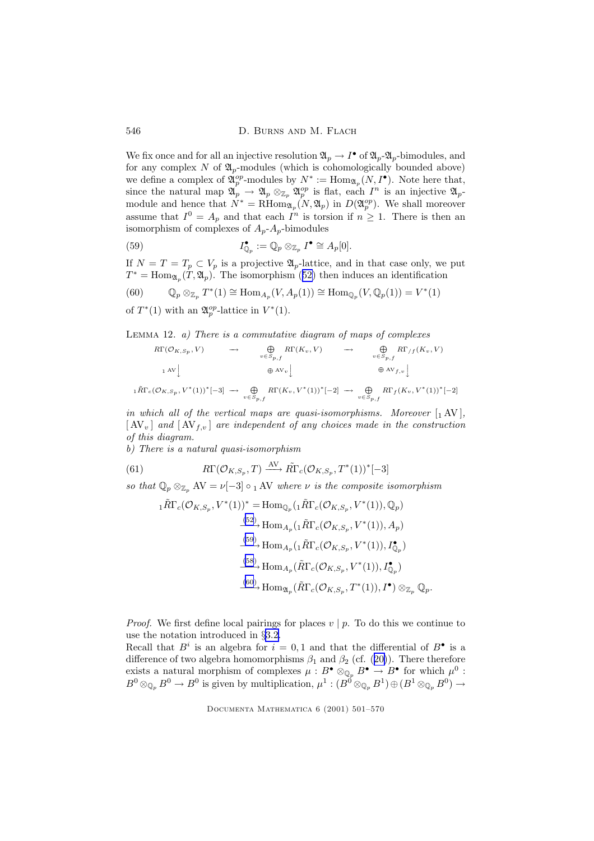<span id="page-45-0"></span>546 D. BURNS AND M. FLACH

We fix once and for all an injective resolution  $\mathfrak{A}_p \to I^{\bullet}$  of  $\mathfrak{A}_p$ - $\mathfrak{A}_p$ -bimodules, and for any complex  $N$  of  $\mathfrak{A}_p$ -modules (which is cohomologically bounded above) we define a complex of  $\mathfrak{A}_p^{op}$ -modules by  $N^* := \text{Hom}_{\mathfrak{A}_p}(N, I^{\bullet})$ . Note here that, since the natural map  $\mathfrak{A}_p \to \mathfrak{A}_p \otimes_{\mathbb{Z}_p} \mathfrak{A}_p^{op}$  is flat, each  $I^n$  is an injective  $\mathfrak{A}_p$ module and hence that  $N^* = \text{RHom}_{\mathfrak{A}_p}(N, \mathfrak{A}_p)$  in  $D(\mathfrak{A}_p^{op})$ . We shall moreover assume that  $I^0 = A_p$  and that each  $I^n$  is torsion if  $n \geq 1$ . There is then an isomorphism of complexes of  $A_p - A_p$ -bimodules

(59) 
$$
I_{\mathbb{Q}_p}^{\bullet} := \mathbb{Q}_p \otimes_{\mathbb{Z}_p} I^{\bullet} \cong A_p[0].
$$

If  $N = T = T_p \subset V_p$  is a projective  $\mathfrak{A}_p$ -lattice, and in that case only, we put  $T^* = \text{Hom}_{\mathfrak{A}_p}(T, \mathfrak{A}_p)$ . The isomorphism ([52\)](#page-43-0) then induces an identification

(60) 
$$
\mathbb{Q}_p \otimes_{\mathbb{Z}_p} T^*(1) \cong \text{Hom}_{A_p}(V, A_p(1)) \cong \text{Hom}_{\mathbb{Q}_p}(V, \mathbb{Q}_p(1)) = V^*(1)
$$

of  $T^*(1)$  with an  $\mathfrak{A}_p^{op}$ -lattice in  $V^*(1)$ .

LEMMA 12. a) There is a commutative diagram of maps of complexes

$$
R\Gamma(\mathcal{O}_{K,S_p}, V) \longrightarrow \bigoplus_{v \in S_{p,f}} R\Gamma(K_v, V) \longrightarrow \bigoplus_{v \in S_{p,f}} R\Gamma/f(K_v, V)
$$
  
\n
$$
\downarrow \text{AV}_{v}
$$
\n
$$
\downarrow \text{R}\Gamma_c(\mathcal{O}_{K,S_p}, V^*(1))^*[-3] \longrightarrow \bigoplus_{v \in S_{p,f}} R\Gamma(K_v, V^*(1))^*[-2] \longrightarrow \bigoplus_{v \in S_{p,f}} R\Gamma f(K_v, V^*(1))^*[-2]
$$

in which all of the vertical maps are quasi-isomorphisms. Moreover  $[1 \text{ AV}]$ ,  $[N_v]$  and  $[N_{f,v}]$  are independent of any choices made in the construction of this diagram.

b) There is a natural quasi-isomorphism

(61) 
$$
R\Gamma(\mathcal{O}_{K,S_p},T) \xrightarrow{\text{AV}} \tilde{R}\Gamma_c(\mathcal{O}_{K,S_p},T^*(1))^*[-3]
$$

so that  $\mathbb{Q}_p \otimes_{\mathbb{Z}_p} \mathrm{AV} = \nu[-3] \circ {}_1 \mathrm{AV}$  where  $\nu$  is the composite isomorphism

$$
{}_{1}\tilde{R}\Gamma_{c}(\mathcal{O}_{K,S_{p}},V^{*}(1))^{*} = \text{Hom}_{\mathbb{Q}_{p}}({}_{1}\tilde{R}\Gamma_{c}(\mathcal{O}_{K,S_{p}},V^{*}(1)),\mathbb{Q}_{p})
$$
\n
$$
\xrightarrow{\text{(52)}} \text{Hom}_{A_{p}}({}_{1}\tilde{R}\Gamma_{c}(\mathcal{O}_{K,S_{p}},V^{*}(1)), A_{p})
$$
\n
$$
\xrightarrow{\text{(59)}} \text{Hom}_{A_{p}}({}_{1}\tilde{R}\Gamma_{c}(\mathcal{O}_{K,S_{p}},V^{*}(1)), I_{\mathbb{Q}_{p}}^{\bullet})
$$
\n
$$
\xrightarrow{\text{(58)}} \text{Hom}_{A_{p}}(\tilde{R}\Gamma_{c}(\mathcal{O}_{K,S_{p}},V^{*}(1)), I_{\mathbb{Q}_{p}}^{\bullet})
$$
\n
$$
\xrightarrow{\text{(60)}} \text{Hom}_{\mathfrak{A}_{p}}(\tilde{R}\Gamma_{c}(\mathcal{O}_{K,S_{p}},T^{*}(1)), I^{\bullet}) \otimes_{\mathbb{Z}_{p}} \mathbb{Q}_{p}.
$$

*Proof.* We first define local pairings for places  $v \mid p$ . To do this we continue to use the notation introduced in §[3.2.](#page-18-0)

Recall that  $B^i$  is an algebra for  $i = 0, 1$  and that the differential of  $B^{\bullet}$  is a difference of two algebra homomorphisms  $\beta_1$  and  $\beta_2$  (cf. ([20\)](#page-19-0)). There therefore exists a natural morphism of complexes  $\mu : B^{\bullet} \otimes_{\mathbb{Q}_p} B^{\bullet} \to B^{\bullet}$  for which  $\mu^0$ :  $B^0\otimes_{\mathbb{Q}_p} B^0 \to B^0$  is given by multiplication,  $\mu^1:(B^0\otimes_{\mathbb{Q}_p} B^1) \oplus (B^1\otimes_{\mathbb{Q}_p} B^0) \to$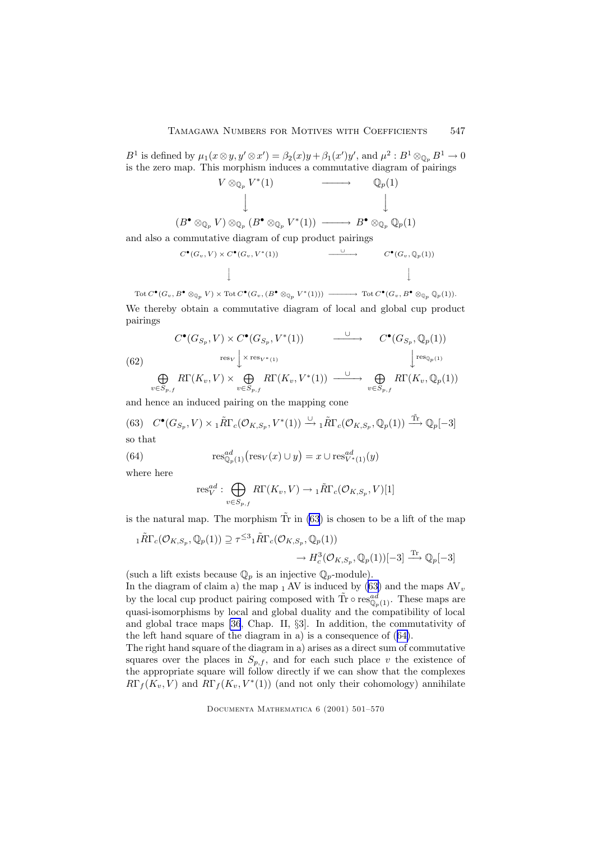<span id="page-46-0"></span> $B^1$  is defined by  $\mu_1(x\otimes y, y'\otimes x') = \beta_2(x)y + \beta_1(x')y'$ , and  $\mu^2 : B^1 \otimes_{\mathbb{Q}_p} B^1 \to 0$ is the zero map. This morphism induces a commutative diagram of pairings



and also a commutative diagram of cup product pairings

$$
C^{\bullet}(G_v, V) \times C^{\bullet}(G_v, V^*(1)) \qquad \qquad \xrightarrow{\cup} \qquad \qquad C^{\bullet}(G_v, \mathbb{Q}_p(1))
$$

 $\mathrm{Tot}\, C^{\bullet}(G_v, B^{\bullet} \otimes_{\mathbb{Q}_p} V) \times \mathrm{Tot}\, C^{\bullet}(G_v, (B^{\bullet} \otimes_{\mathbb{Q}_p} V^*(1))) \longrightarrow \mathrm{Tot}\, C^{\bullet}(G_v, B^{\bullet} \otimes_{\mathbb{Q}_p} \mathbb{Q}_p(1)).$ We thereby obtain a commutative diagram of local and global cup product pairings

(62)  
\n
$$
C^{\bullet}(G_{S_p}, V) \times C^{\bullet}(G_{S_p}, V^*(1)) \longrightarrow C^{\bullet}(G_{S_p}, \mathbb{Q}_p(1))
$$
\n
$$
\xrightarrow[\text{res}_V]{} \times \text{res}_{V^*(1)} \qquad \qquad \downarrow \text{res}_{\mathbb{Q}_p(1)} \qquad \qquad \downarrow \text{res}_{\mathbb{Q}_p(1)}
$$
\n
$$
\bigoplus_{v \in S_{p,f}} R\Gamma(K_v, V) \times \bigoplus_{v \in S_{p,f}} R\Gamma(K_v, V^*(1)) \longrightarrow \bigoplus_{v \in S_{p,f}} R\Gamma(K_v, \mathbb{Q}_p(1))
$$

and hence an induced pairing on the mapping cone

(63) 
$$
C^{\bullet}(G_{S_p}, V) \times {}_1\tilde{R}\Gamma_c(\mathcal{O}_{K,S_p}, V^*(1)) \xrightarrow{\cup} {}_1\tilde{R}\Gamma_c(\mathcal{O}_{K,S_p}, \mathbb{Q}_p(1)) \xrightarrow{\tilde{\text{Tr}}}\mathbb{Q}_p[-3]
$$
  
so that

(64) 
$$
\operatorname{res}_{\mathbb{Q}_p(1)}^{ad}(\operatorname{res}_V(x) \cup y) = x \cup \operatorname{res}_{V^*(1)}^{ad}(y)
$$

where here

$$
\text{res}_{V}^{ad}: \bigoplus_{v \in S_{p,f}} R\Gamma(K_v,V) \to {}_1\tilde{R}\Gamma_c(\mathcal{O}_{K,S_p},V)[1]
$$

is the natural map. The morphism  $\tilde{T}$ r in (63) is chosen to be a lift of the map

$$
{}_{1}\tilde{R}\Gamma_{c}(\mathcal{O}_{K,S_{p}},\mathbb{Q}_{p}(1)) \supseteq \tau^{\leq 3} {}_{1}\tilde{R}\Gamma_{c}(\mathcal{O}_{K,S_{p}},\mathbb{Q}_{p}(1)) \n\rightarrow H_{c}^{3}(\mathcal{O}_{K,S_{p}},\mathbb{Q}_{p}(1))[-3] \xrightarrow{\text{Tr}} \mathbb{Q}_{p}[-3]
$$

(such a lift exists because  $\mathbb{Q}_p$  is an injective  $\mathbb{Q}_p$ -module).

In the diagram of claim a) the map  $_1$  AV is induced by (63) and the maps  $AV_v$ by the local cup product pairing composed with  $\tilde{\text{Tr}} \circ \text{res}_{\mathbb{Q}_p(1)}^{ad}$ . These maps are quasi-isomorphisms by local and global duality and the compatibility of local and global trace maps [\[36](#page-69-0), Chap. II, §3]. In addition, the commutativity of the left hand square of the diagram in a) is a consequence of (64).

The right hand square of the diagram in a) arises as a direct sum of commutative squares over the places in  $S_{p,f}$ , and for each such place v the existence of the appropriate square will follow directly if we can show that the complexes  $R\Gamma_f(K_v, V)$  and  $R\Gamma_f(K_v, V^*(1))$  (and not only their cohomology) annihilate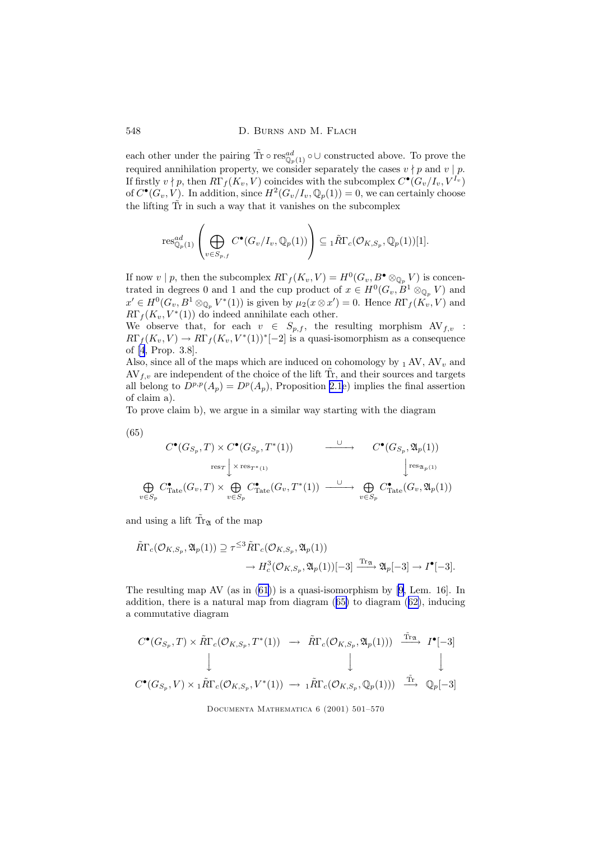each other under the pairing  $\tilde{\text{Tr}} \circ \text{res}_{\mathbb{Q}_p(1)}^{ad} \circ \cup \text{ constructed above.}$  To prove the required annihilation property, we consider separately the cases  $v \nmid p$  and  $v \mid p$ . If firstly  $v \nmid p$ , then  $R\Gamma_f(K_v, V)$  coincides with the subcomplex  $C^{\bullet}(G_v/I_v, V^{I_v})$ of  $C^{\bullet}(G_v, V)$ . In addition, since  $H^2(G_v/I_v, \mathbb{Q}_p(1)) = 0$ , we can certainly choose the lifting  $\tilde{T}r$  in such a way that it vanishes on the subcomplex

$$
\mathrm{res}_{\mathbb{Q}_p(1)}^{ad} \left( \bigoplus_{v \in S_{p,f}} C^{\bullet}(G_v/I_v, \mathbb{Q}_p(1)) \right) \subseteq {}_1\tilde{R}\Gamma_c(\mathcal{O}_{K,S_p}, \mathbb{Q}_p(1))[1].
$$

If now  $v \mid p$ , then the subcomplex  $R\Gamma_f(K_v, V) = H^0(G_v, B^{\bullet} \otimes_{\mathbb{Q}_p} V)$  is concentrated in degrees 0 and 1 and the cup product of  $x \in H^0(G_v, B^1 \otimes_{\mathbb{Q}_p} V)$  and  $x' \in H^0(G_v, B^1 \otimes_{\mathbb{Q}_p} V^*(1))$  is given by  $\mu_2(x \otimes x') = 0$ . Hence  $R\Gamma_f(K_v, V)$  and  $R\Gamma_f(K_v, V^*(1))$  do indeed annihilate each other.

We observe that, for each  $v \in S_{p,f}$ , the resulting morphism  $AV_{f,v}$ :  $R\Gamma_f(K_v, V) \to R\Gamma_f(K_v, V^*(1))^*[-2]$  is a quasi-isomorphism as a consequence of [\[4](#page-67-0), Prop. 3.8].

Also, since all of the maps which are induced on cohomology by  $_1$  AV, AV<sub>v</sub> and  $AV_{f,v}$  are independent of the choice of the lift Tr, and their sources and targets all belong to  $D^{p,p}(A_p) = D^p(A_p)$ , Proposition [2.1e](#page-7-0)) implies the final assertion of claim a).

To prove claim b), we argue in a similar way starting with the diagram

$$
(65)
$$

$$
C^{\bullet}(G_{S_p}, T) \times C^{\bullet}(G_{S_p}, T^*(1)) \longrightarrow C^{\bullet}(G_{S_p}, \mathfrak{A}_p(1))
$$
  
\n
$$
\underset{v \in S_p}{\bigoplus} C^{\bullet}_{\text{Tate}}(G_v, T) \times \underset{v \in S_p}{\bigoplus} C^{\bullet}_{\text{Tate}}(G_v, T^*(1)) \longrightarrow \underset{v \in S_p}{\longrightarrow} C^{\bullet}_{\text{Tate}}(G_v, \mathfrak{A}_p(1))
$$

and using a lift  $\tilde{Tr}_{\mathfrak{A}}$  of the map

$$
\tilde{R}\Gamma_c(\mathcal{O}_{K,S_p},\mathfrak{A}_p(1)) \supseteq \tau^{\leq 3} \tilde{R}\Gamma_c(\mathcal{O}_{K,S_p},\mathfrak{A}_p(1)) \n\to H_c^3(\mathcal{O}_{K,S_p},\mathfrak{A}_p(1))[-3] \xrightarrow{\text{Tr}_{\mathfrak{A}}} \mathfrak{A}_p[-3] \to I^{\bullet}[-3].
$$

The resulting map AV (as in [\(61\)](#page-45-0)) is a quasi-isomorphism by [\[9](#page-67-0), Lem. 16]. In addition, there is a natural map from diagram  $(65)$  to diagram  $(62)$  $(62)$ , inducing a commutative diagram

$$
C^{\bullet}(G_{S_p}, T) \times \tilde{R}\Gamma_c(\mathcal{O}_{K,S_p}, T^*(1)) \longrightarrow \tilde{R}\Gamma_c(\mathcal{O}_{K,S_p}, \mathfrak{A}_p(1))) \xrightarrow{\tilde{\text{Tr}}_{\mathfrak{A}}} I^{\bullet}[-3]
$$
  
\n
$$
\downarrow \qquad \qquad \downarrow \qquad \qquad \downarrow \qquad \qquad \downarrow
$$
  
\n
$$
C^{\bullet}(G_{S_p}, V) \times {}_1\tilde{R}\Gamma_c(\mathcal{O}_{K,S_p}, V^*(1)) \longrightarrow {}_1\tilde{R}\Gamma_c(\mathcal{O}_{K,S_p}, \mathbb{Q}_p(1))) \xrightarrow{\tilde{\text{Tr}}_{\bullet}} \mathbb{Q}_p[-3]
$$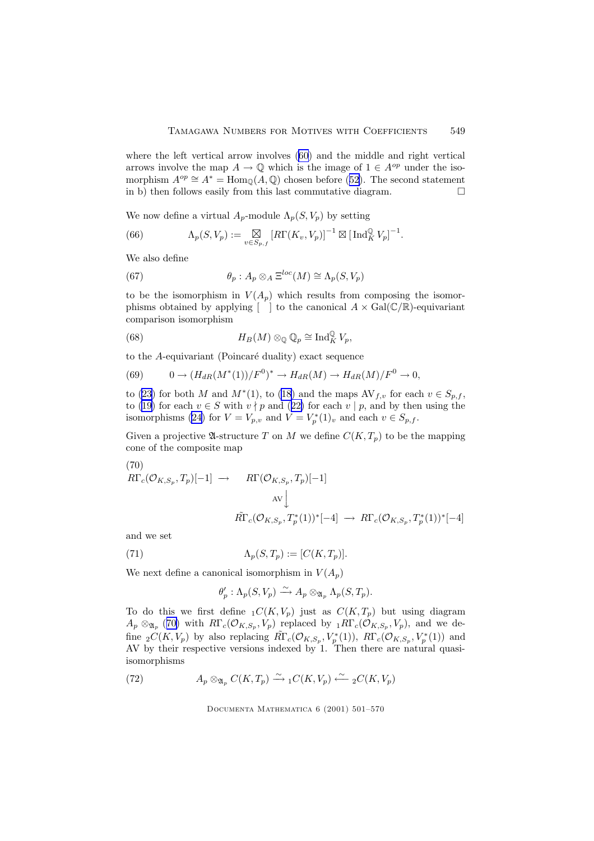<span id="page-48-0"></span>where the left vertical arrow involves [\(60](#page-45-0)) and the middle and right vertical arrows involve the map  $A \to \mathbb{Q}$  which is the image of  $1 \in A^{op}$  under the isomorphism  $A^{op} \cong A^* = \text{Hom}_{\mathbb{Q}}(A, \mathbb{Q})$  chosen before ([52\)](#page-43-0). The second statement in b) then follows easily from this last commutative diagram. in b) then follows easily from this last commutative diagram.

We now define a virtual  $A_p$ -module  $\Lambda_p(S, V_p)$  by setting

(66) 
$$
\Lambda_p(S, V_p) := \underset{v \in S_{p,f}}{\boxtimes} \left[ R\Gamma(K_v, V_p) \right]^{-1} \boxtimes \left[ \operatorname{Ind}_K^{\mathbb{Q}} V_p \right]^{-1}.
$$

We also define

(67) 
$$
\theta_p : A_p \otimes_A \Xi^{loc}(M) \cong \Lambda_p(S, V_p)
$$

to be the isomorphism in  $V(A_p)$  which results from composing the isomorphisms obtained by applying  $[\ ]$  to the canonical  $A \times \text{Gal}(\mathbb{C}/\mathbb{R})$ -equivariant comparison isomorphism

(68) 
$$
H_B(M) \otimes_{\mathbb{Q}} \mathbb{Q}_p \cong \text{Ind}_K^{\mathbb{Q}} V_p,
$$

to the  $A$ -equivariant (Poincaré duality) exact sequence

(69) 
$$
0 \to (H_{dR}(M^*(1))/F^0)^* \to H_{dR}(M) \to H_{dR}(M)/F^0 \to 0,
$$

to [\(23](#page-20-0)) for both M and  $M^*(1)$ , to [\(18\)](#page-19-0) and the maps  $AV_{f,v}$  for each  $v \in S_{p,f}$ , to [\(19](#page-19-0)) for each  $v \in S$  with  $v \nmid p$  and ([22\)](#page-20-0) for each  $v \mid p$ , and by then using the isomorphisms [\(24](#page-20-0)) for  $V = V_{p,v}$  and  $V = V_p^*(1)_v$  and each  $v \in S_{p,f}$ .

Given a projective  $\mathfrak A$ -structure T on M we define  $C(K,T_p)$  to be the mapping cone of the composite map

(70)  
\n
$$
R\Gamma_c(\mathcal{O}_{K,S_p}, T_p)[-1] \rightarrow R\Gamma(\mathcal{O}_{K,S_p}, T_p)[-1]
$$
\n
$$
\Lambda V \downarrow
$$
\n
$$
\tilde{R}\Gamma_c(\mathcal{O}_{K,S_p}, T_p^*(1))^*[-4] \rightarrow R\Gamma_c(\mathcal{O}_{K,S_p}, T_p^*(1))^*[-4]
$$

and we set

(71) 
$$
\Lambda_p(S,T_p) := [C(K,T_p)].
$$

We next define a canonical isomorphism in  $V(A_p)$ 

$$
\theta_p': \Lambda_p(S, V_p) \xrightarrow{\sim} A_p \otimes_{\mathfrak{A}_p} \Lambda_p(S, T_p).
$$

To do this we first define  $_1C(K, V_p)$  just as  $C(K, T_p)$  but using diagram  $A_p \otimes_{\mathfrak{A}_p} (70)$  with  $R\Gamma_c(\mathcal{O}_{K,S_p}, V_p)$  replaced by  ${}_1R\Gamma_c(\mathcal{O}_{K,S_p}, V_p)$ , and we define  $_2C(K, V_p)$  by also replacing  $\widetilde{R}\Gamma_c(\mathcal{O}_{K,S_p}, V_p^*(1)), R\Gamma_c(\mathcal{O}_{K,S_p}, V_p^*(1))$  and AV by their respective versions indexed by 1. Then there are natural quasiisomorphisms

(72) 
$$
A_p \otimes_{\mathfrak{A}_p} C(K,T_p) \xrightarrow{\sim} {}_1C(K,V_p) \xleftarrow{\sim} {}_2C(K,V_p)
$$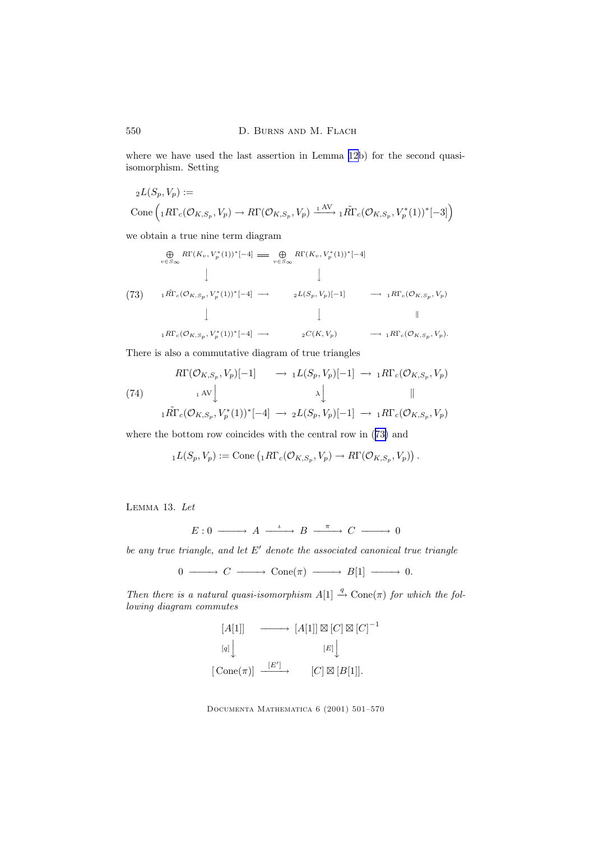where we have used the last assertion in Lemma [12b](#page-45-0)) for the second quasiisomorphism. Setting

$$
{}_{2}L(S_p, V_p) :=
$$
  
Cone $\left( {}_{1}R\Gamma_c(\mathcal{O}_{K,S_p}, V_p) \to R\Gamma(\mathcal{O}_{K,S_p}, V_p) \xrightarrow{1 \text{ AV}} {}_{1}\tilde{R}\Gamma_c(\mathcal{O}_{K,S_p}, V_p^*(1))^*[-3] \right)$ 

we obtain a true nine term diagram

$$
\bigoplus_{v \in S_{\infty}} R\Gamma(K_v, V_p^*(1))^*[-4] \implies \bigoplus_{v \in S_{\infty}} R\Gamma(K_v, V_p^*(1))^*[-4]
$$
\n
$$
\downarrow \qquad \qquad \downarrow
$$
\n
$$
(73) \qquad 1 \tilde{R}\Gamma_c(\mathcal{O}_{K,S_p}, V_p^*(1))^*[-4] \longrightarrow 2L(S_p, V_p)[-1] \qquad \longrightarrow 1 R\Gamma_c(\mathcal{O}_{K,S_p}, V_p)
$$
\n
$$
\downarrow \qquad \qquad \downarrow \qquad \qquad \parallel
$$
\n
$$
1 R\Gamma_c(\mathcal{O}_{K,S_p}, V_p^*(1))^*[-4] \longrightarrow 2C(K, V_p) \qquad \longrightarrow 1 R\Gamma_c(\mathcal{O}_{K,S_p}, V_p).
$$

There is also a commutative diagram of true triangles

$$
R\Gamma(\mathcal{O}_{K,S_p}, V_p)[-1] \longrightarrow {}_{1}L(S_p, V_p)[-1] \longrightarrow {}_{1}R\Gamma_c(\mathcal{O}_{K,S_p}, V_p)
$$
  
(74)  

$$
{}_{1}\tilde{R}\Gamma_c(\mathcal{O}_{K,S_p}, V_p^*(1))^*[-4] \longrightarrow {}_{2}L(S_p, V_p)[-1] \longrightarrow {}_{1}R\Gamma_c(\mathcal{O}_{K,S_p}, V_p)
$$

where the bottom row coincides with the central row in (73) and

$$
{}_{1}L(S_{p},V_{p}) := \text{Cone}\left({}_{1}R\Gamma_{c}(\mathcal{O}_{K,S_{p}},V_{p}) \to R\Gamma(\mathcal{O}_{K,S_{p}},V_{p})\right).
$$

Lemma 13. Let

$$
E: 0 \longrightarrow A \xrightarrow{\iota} B \xrightarrow{\pi} C \longrightarrow 0
$$

be any true triangle, and let  $E'$  denote the associated canonical true triangle

$$
0 \longrightarrow C \longrightarrow \text{Cone}(\pi) \longrightarrow B[1] \longrightarrow 0.
$$

Then there is a natural quasi-isomorphism  $A[1] \stackrel{q}{\rightarrow} \text{Cone}(\pi)$  for which the following diagram commutes

$$
[A[1]] \longrightarrow [A[1]] \boxtimes [C] \boxtimes [C]^{-1}
$$
  

$$
[q] \downarrow \qquad [E] \downarrow
$$
  

$$
[\text{Cone}(\pi)] \xrightarrow{[E']} \qquad [C] \boxtimes [B[1]].
$$

<span id="page-49-0"></span>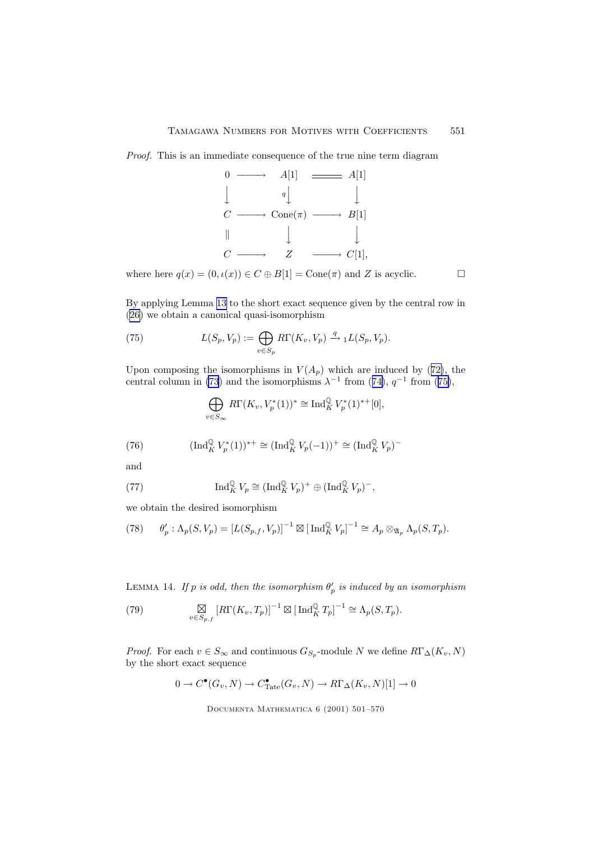<span id="page-50-0"></span>Proof. This is an immediate consequence of the true nine term diagram



where here  $q(x) = (0, \iota(x)) \in C \oplus B[1] = \text{Cone}(\pi)$  and Z is acyclic.

By applying Lemma [13](#page-49-0) to the short exact sequence given by the central row in [\(26\)](#page-21-0) we obtain a canonical quasi-isomorphism

(75) 
$$
L(S_p, V_p) := \bigoplus_{v \in S_p} R\Gamma(K_v, V_p) \xrightarrow{q} {}_1L(S_p, V_p).
$$

Upon composing the isomorphisms in  $V(A_p)$  which are induced by ([72\)](#page-48-0), the central column in [\(73](#page-49-0)) and the isomorphisms  $\lambda^{-1}$  from ([74\)](#page-49-0),  $q^{-1}$  from (75),

$$
\bigoplus_{v \in S_{\infty}} R\Gamma(K_v, V_p^*(1))^* \cong \text{Ind}_K^{\mathbb{Q}} V_p^*(1)^{**}[0],
$$

(76) 
$$
(\text{Ind}_{K}^{\mathbb{Q}} V_{p}^{*}(1))^{*+} \cong (\text{Ind}_{K}^{\mathbb{Q}} V_{p}(-1))^{+} \cong (\text{Ind}_{K}^{\mathbb{Q}} V_{p})^{-}
$$

and

(77) 
$$
\operatorname{Ind}_K^{\mathbb{Q}} V_p \cong (\operatorname{Ind}_K^{\mathbb{Q}} V_p)^+ \oplus (\operatorname{Ind}_K^{\mathbb{Q}} V_p)^-,
$$

we obtain the desired isomorphism

(78) 
$$
\theta'_p : \Lambda_p(S, V_p) = [L(S_{p,f}, V_p)]^{-1} \boxtimes [\operatorname{Ind}_K^{\mathbb{Q}} V_p]^{-1} \cong A_p \otimes_{\mathfrak{A}_p} \Lambda_p(S, T_p).
$$

LEMMA 14. If p is odd, then the isomorphism  $\theta'_p$  is induced by an isomorphism

(79) 
$$
\underset{v \in S_{p,f}}{\boxtimes} [R\Gamma(K_v, T_p)]^{-1} \boxtimes [\operatorname{Ind}_K^{\mathbb{Q}} T_p]^{-1} \cong \Lambda_p(S, T_p).
$$

*Proof.* For each  $v \in S_{\infty}$  and continuous  $G_{S_p}$ -module N we define  $R\Gamma_{\Delta}(K_v, N)$ by the short exact sequence

$$
0 \to C^{\bullet}(G_v, N) \to C^{\bullet}_{\text{Tate}}(G_v, N) \to R\Gamma_{\Delta}(K_v, N)[1] \to 0
$$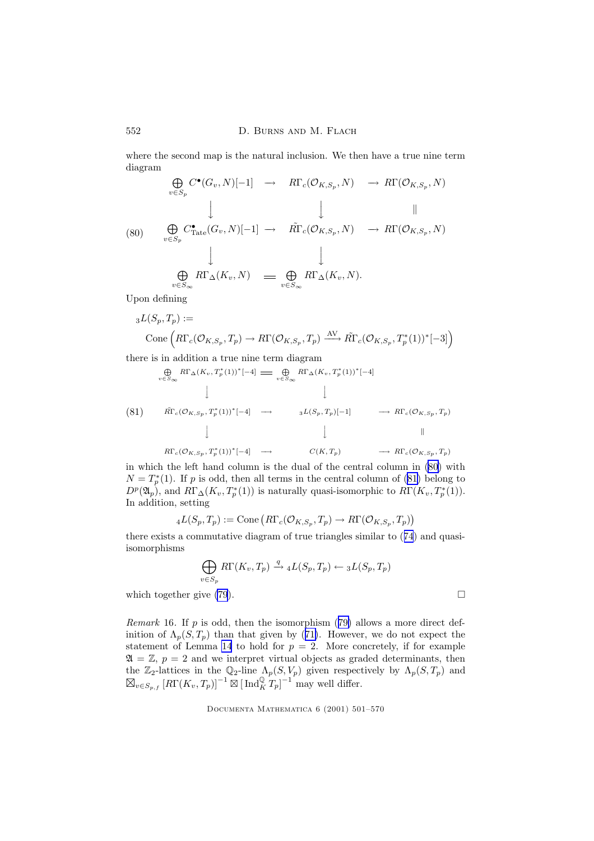where the second map is the natural inclusion. We then have a true nine term diagram

$$
\bigoplus_{v \in S_p} C^{\bullet}(G_v, N)[-1] \rightarrow R\Gamma_c(\mathcal{O}_{K, S_p}, N) \rightarrow R\Gamma(\mathcal{O}_{K, S_p}, N)
$$
\n
$$
\downarrow \qquad \qquad \downarrow \qquad \qquad \parallel
$$
\n
$$
(80) \bigoplus_{v \in S_p} C^{\bullet}_{\text{Tate}}(G_v, N)[-1] \rightarrow \tilde{R}\Gamma_c(\mathcal{O}_{K, S_p}, N) \rightarrow R\Gamma(\mathcal{O}_{K, S_p}, N)
$$
\n
$$
\downarrow \qquad \qquad \downarrow
$$
\n
$$
\bigoplus_{v \in S_{\infty}} R\Gamma_{\Delta}(K_v, N) \Longrightarrow \bigoplus_{v \in S_{\infty}} R\Gamma_{\Delta}(K_v, N).
$$

Upon defining

$$
{}_{3}L(S_{p},T_{p}) :=
$$
  
Cone $\left(R\Gamma_{c}(\mathcal{O}_{K,S_{p}},T_{p}) \to R\Gamma(\mathcal{O}_{K,S_{p}},T_{p}) \xrightarrow{AV} \tilde{R}\Gamma_{c}(\mathcal{O}_{K,S_{p}},T_{p}^{*}(1))^{*}[-3]\right)$ 

there is in addition a true nine term diagram

$$
\bigoplus_{v \in S_{\infty}} R\Gamma_{\Delta}(K_v, T_p^*(1))^*[-4] \implies \bigoplus_{v \in S_{\infty}} R\Gamma_{\Delta}(K_v, T_p^*(1))^*[-4]
$$
\n
$$
\downarrow \qquad \qquad \downarrow
$$
\n
$$
(81) \qquad \tilde{R}\Gamma_c(\mathcal{O}_{K,S_p}, T_p^*(1))^*[-4] \longrightarrow \qquad 3L(S_p, T_p)[-1] \qquad \longrightarrow R\Gamma_c(\mathcal{O}_{K,S_p}, T_p)
$$
\n
$$
\downarrow \qquad \qquad \downarrow \qquad \qquad \parallel
$$
\n
$$
R\Gamma_c(\mathcal{O}_{K,S_p}, T_p^*(1))^*[-4] \longrightarrow \qquad C(K, T_p) \qquad \longrightarrow R\Gamma_c(\mathcal{O}_{K,S_p}, T_p)
$$

in which the left hand column is the dual of the central column in (80) with  $N = T_p^*(1)$ . If p is odd, then all terms in the central column of (81) belong to  $D^p(\mathfrak{A}_p)$ , and  $R\Gamma_\Delta(K_v,T^*_p(1))$  is naturally quasi-isomorphic to  $R\Gamma(K_v,T^*_p(1))$ . In addition, setting

$$
{}_{4}L(S_p, T_p) := \text{Cone}\left(R\Gamma_c(\mathcal{O}_{K,S_p}, T_p) \to R\Gamma(\mathcal{O}_{K,S_p}, T_p)\right)
$$

there exists a commutative diagram of true triangles similar to ([74](#page-49-0)) and quasiisomorphisms

$$
\bigoplus_{v \in S_p} R\Gamma(K_v, T_p) \xrightarrow{q} {}_4L(S_p, T_p) \leftarrow {}_3L(S_p, T_p)
$$
\nwhich together give (79).

*Remark* 16. If  $p$  is odd, then the isomorphism  $(79)$  $(79)$  allows a more direct definition of  $\Lambda_p(S, T_p)$  than that given by ([71\)](#page-48-0). However, we do not expect the statement of Lemma [14](#page-50-0) to hold for  $p = 2$ . More concretely, if for example  $\mathfrak{A} = \mathbb{Z}, p = 2$  and we interpret virtual objects as graded determinants, then the  $\mathbb{Z}_2$ -lattices in the  $\mathbb{Q}_2$ -line  $\Lambda_p(S, V_p)$  given respectively by  $\Lambda_p(S, T_p)$  and  $\boxtimes_{v \in S_{p,f}} [\textit{R}\Gamma(K_v, T_p)]^{-1} \boxtimes [\text{Ind}_K^{\mathbb{Q}} T_p]^{-1}$  may well differ.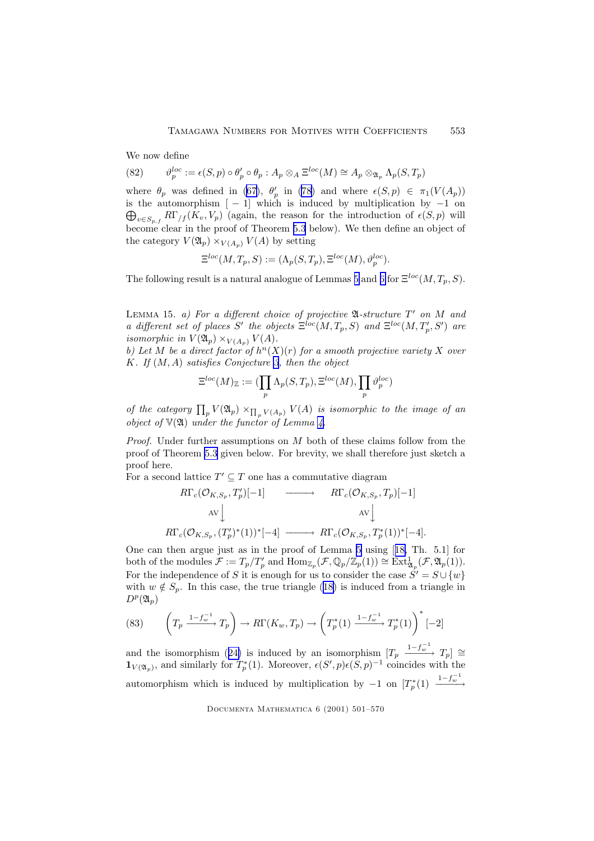We now define

(82) 
$$
\vartheta_p^{loc} := \epsilon(S, p) \circ \theta_p' \circ \theta_p : A_p \otimes_A \Xi^{loc}(M) \cong A_p \otimes_{\mathfrak{A}_p} \Lambda_p(S, T_p)
$$

where  $\theta_p$  was defined in [\(67](#page-48-0)),  $\theta'_p$  in [\(78](#page-50-0)) and where  $\epsilon(S, p) \in \pi_1(V(A_p))$  $\bigoplus_{v\in S_p,f}R\Gamma_{/f}(K_v,V_p)$  (again, the reason for the introduction of  $\epsilon(S,p)$  will is the automorphism  $[-1]$  which is induced by multiplication by  $-1$  on become clear in the proof of Theorem [5.3](#page-55-0) below). We then define an object of the category  $V(\mathfrak{A}_p) \times_{V(A_p)} V(A)$  by setting

$$
\Xi^{loc}(M,T_p,S):=(\Lambda_p(S,T_p),\Xi^{loc}(M),\vartheta_p^{loc}).
$$

The following result is a natural analogue of Lemmas [5](#page-25-0) and [6](#page-27-0) for  $\Xi^{loc}(M, T_p, S)$ .

LEMMA 15. a) For a different choice of projective  $\mathfrak{A}$ -structure  $T'$  on M and a different set of places S' the objects  $\Xi^{loc}(M,T_p,S)$  and  $\Xi^{loc}(M,T'_p,S')$  are isomorphic in  $V(\mathfrak{A}_p)\times_{V(A_n)} V(A)$ .

b) Let M be a direct factor of  $h<sup>n</sup>(X)(r)$  for a smooth projective variety X over K. If  $(M, A)$  satisfies Conjecture [3](#page-32-0), then the object

$$
\Xi^{loc}(M)_{\mathbb{Z}} := (\prod_{p} \Lambda_p(S, T_p), \Xi^{loc}(M), \prod_{p} \vartheta_p^{loc})
$$

of the category  $\prod_p V(\mathfrak{A}_p) \times_{\prod_p V(A_p)} V(A)$  is isomorphic to the image of an object of  $V(\mathfrak{A})$  under the functor of Lemma [4.](#page-13-0)

*Proof.* Under further assumptions on  $M$  both of these claims follow from the proof of Theorem [5.3](#page-55-0) given below. For brevity, we shall therefore just sketch a proof here.

For a second lattice  $T' \subseteq T$  one has a commutative diagram

$$
R\Gamma_c(\mathcal{O}_{K,S_p}, T'_p)[-1] \longrightarrow R\Gamma_c(\mathcal{O}_{K,S_p}, T_p)[-1]
$$
  
\n
$$
AV \downarrow \qquad \qquad \text{AV} \downarrow
$$
  
\n
$$
R\Gamma_c(\mathcal{O}_{K,S_p}, (T'_p)^*(1))^*[-4] \longrightarrow R\Gamma_c(\mathcal{O}_{K,S_p}, T^*_p(1))^*[-4].
$$

One can then argue just as in the proof of Lemma [5](#page-25-0) using [[18,](#page-68-0) Th. 5.1] for both of the modules  $\mathcal{F} := T_p/T_p'$  and  $\text{Hom}_{\mathbb{Z}_p}(\mathcal{F}, \mathbb{Q}_p/\mathbb{Z}_p(1)) \cong \text{Ext}^1_{\mathfrak{A}_p}(\mathcal{F}, \mathfrak{A}_p(1)).$ For the independence of S it is enough for us to consider the case  $\dot{S}' = S \cup \{w\}$ with  $w \notin S_p$ . In this case, the true triangle ([18\)](#page-19-0) is induced from a triangle in  $D^p(\mathfrak{A}_p)$ 

(83) 
$$
\left(T_p \xrightarrow{1-f_w^{-1}} T_p\right) \to R\Gamma(K_w, T_p) \to \left(T_p^*(1) \xrightarrow{1-f_w^{-1}} T_p^*(1)\right)^* [-2]
$$

and the isomorphism ([24\)](#page-20-0) is induced by an isomorphism  $[T_p \xrightarrow{1-f_w^{-1}} T_p] \cong$  $\mathbf{1}_{V(\mathfrak{A}_p)}$ , and similarly for  $T_p^*(1)$ . Moreover,  $\epsilon(S',p)\epsilon(S,p)^{-1}$  coincides with the automorphism which is induced by multiplication by  $-1$  on  $[T_p^*(1) \xrightarrow{1-f_w^{-1}}$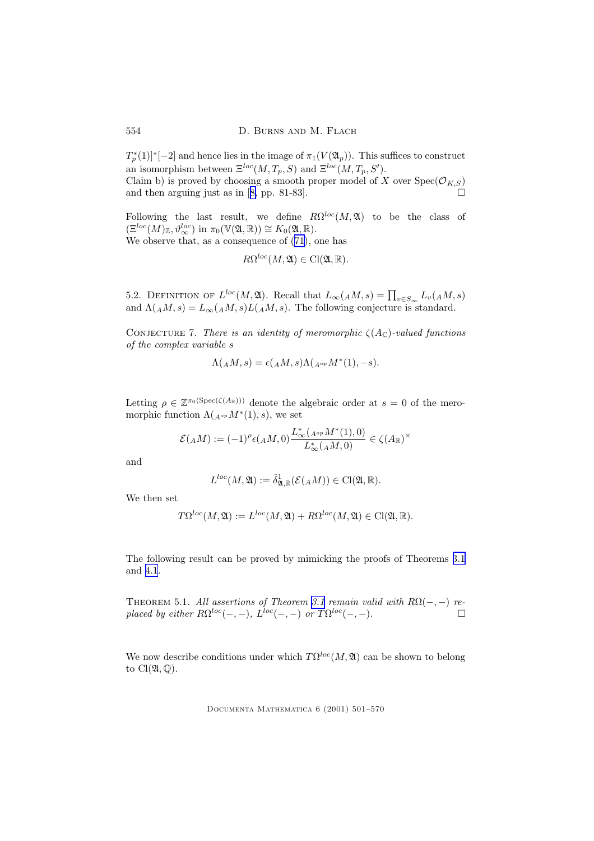<span id="page-53-0"></span> $T_p^*(1)$ <sup>\*</sup>{-2} and hence lies in the image of  $\pi_1(V(\mathfrak{A}_p))$ . This suffices to construct an isomorphism between  $\Xi^{loc}(M,T_p,S)$  and  $\Xi^{loc}(M,T_p,S')$ .

Claim b) is proved by choosing a smooth proper model of X over  $Spec(\mathcal{O}_{K,S})$ and then arguing just as in  $[8, pp. 81-83]$  $[8, pp. 81-83]$  $[8, pp. 81-83]$ .

Following the last result, we define  $R\Omega^{loc}(M, \mathfrak{A})$  to be the class of  $(\Xi^{loc}(M)_\mathbb{Z}, \vartheta^{loc}_\infty)$  in  $\pi_0(\mathbb{V}(\mathfrak{A}, \mathbb{R})) \cong K_0(\mathfrak{A}, \mathbb{R}).$ 

We observe that, as a consequence of ([71\)](#page-48-0), one has

$$
R\Omega^{loc}(M,\mathfrak{A})\in \mathrm{Cl}(\mathfrak{A},\mathbb{R}).
$$

5.2. DEFINITION OF  $L^{loc}(M, \mathfrak{A})$ . Recall that  $L_{\infty}(AM, s) = \prod_{v \in S_{\infty}} L_v(AM, s)$ and  $\Lambda(AM, s) = L_{\infty}(AM, s)L(AM, s)$ . The following conjecture is standard.

CONJECTURE 7. There is an identity of meromorphic  $\zeta(A_{\mathbb{C}})$ -valued functions of the complex variable s

$$
\Lambda({}_AM,s)=\epsilon({}_AM,s)\Lambda({}_{A^{op}}M^*(1),-s).
$$

Letting  $\rho \in \mathbb{Z}^{\pi_0(\text{Spec}(\zeta(A_{\mathbb{R}})))}$  denote the algebraic order at  $s = 0$  of the meromorphic function  $\Lambda(A^{\rho p}M^*(1), s)$ , we set

$$
\mathcal{E}({}_AM):=(-1)^{\rho}\epsilon({}_AM,0)\frac{L_{\infty}^*({}_{A^{op}}M^*(1),0)}{L_{\infty}^*({}_AM,0)}\in\zeta(A_{\mathbb{R}})^{\times}
$$

and

$$
L^{loc}(M,\mathfrak{A}) := \hat{\delta}_{\mathfrak{A},\mathbb{R}}^1(\mathcal{E}(AM)) \in \mathrm{Cl}(\mathfrak{A},\mathbb{R}).
$$

We then set

$$
T\Omega^{loc}(M, \mathfrak{A}) := L^{loc}(M, \mathfrak{A}) + R\Omega^{loc}(M, \mathfrak{A}) \in \mathrm{Cl}(\mathfrak{A}, \mathbb{R}).
$$

The following result can be proved by mimicking the proofs of Theorems [3.1](#page-30-0) and [4.1](#page-38-0).

THEOREM 5.1. All assertions of Theorem [3.1](#page-30-0) remain valid with  $R\Omega(-, -)$  replaced by either  $R\Omega^{loc}(-,-)$ ,  $L^{loc}(-,-)$  or  $T\Omega^{loc}(-,-)$ .

We now describe conditions under which  $T\Omega^{loc}(M, \mathfrak{A})$  can be shown to belong to  $Cl(\mathfrak{A},\mathbb{Q})$ .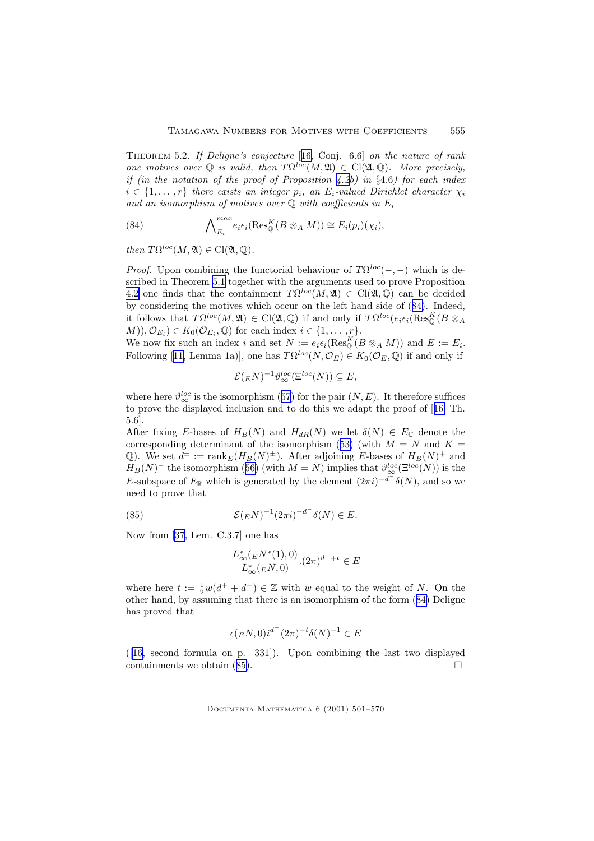Theorem 5.2. If Deligne's conjecture [[16,](#page-68-0) Conj. 6.6] on the nature of rank one motives over  $\mathbb Q$  is valid, then  $T\Omega^{loc}(M,\mathfrak{A}) \in \mathrm{Cl}(\mathfrak{A},\mathbb Q)$ . More precisely, if (in the notation of the proof of Proposition [4.2b](#page-42-0)) in  $\S 4.6$ ) for each index  $i \in \{1, \ldots, r\}$  there exists an integer  $p_i$ , an  $E_i$ -valued Dirichlet character  $\chi_i$ and an isomorphism of motives over  $\mathbb Q$  with coefficients in  $E_i$ 

(84) 
$$
\bigwedge_{E_i}^{max} e_i \epsilon_i (\text{Res}_{\mathbb{Q}}^K(B \otimes_A M)) \cong E_i(p_i)(\chi_i),
$$

then  $T\Omega^{loc}(M, \mathfrak{A}) \in \mathrm{Cl}(\mathfrak{A}, \mathbb{Q}).$ 

*Proof.* Upon combining the functorial behaviour of  $T\Omega^{loc}(-,-)$  which is described in Theorem [5.1](#page-53-0) together with the arguments used to prove Proposition [4.2](#page-42-0) one finds that the containment  $T\Omega^{loc}(M, \mathfrak{A}) \in \mathrm{Cl}(\mathfrak{A}, \mathbb{Q})$  can be decided by considering the motives which occur on the left hand side of (84). Indeed, it follows that  $T\Omega^{loc}(M, \mathfrak{A}) \in \mathrm{Cl}(\mathfrak{A}, \mathbb{Q})$  if and only if  $T\Omega^{loc}(e_i \epsilon_i(\mathrm{Res}_{\mathbb{Q}}^K(B \otimes_A \mathbb{Q}))$  $(M), \mathcal{O}_{E_i}$ )  $\in K_0(\mathcal{O}_{E_i}, \mathbb{Q})$  for each index  $i \in \{1, \ldots, r\}.$ 

We now fix such an index i and set  $N := e_i \epsilon_i (\text{Res}_{\mathbb{Q}}^K (B \otimes_A M))$  and  $E := E_i$ . Following [[11,](#page-67-0) Lemma 1a)], one has  $T\Omega^{loc}(N, \mathcal{O}_E) \in K_0(\mathcal{O}_E, \mathbb{Q})$  if and only if

$$
\mathcal{E}({}_E N)^{-1} \vartheta_{\infty}^{loc}(\Xi^{loc}(N)) \subseteq E,
$$

where here  $\vartheta_{\infty}^{loc}$  is the isomorphism ([57](#page-44-0)) for the pair  $(N, E)$ . It therefore suffices to prove the displayed inclusion and to do this we adapt the proof of [[16,](#page-68-0) Th. 5.6].

After fixing E-bases of  $H_B(N)$  and  $H_{dR}(N)$  we let  $\delta(N) \in E_{\mathbb{C}}$  denote the corresponding determinant of the isomorphism ([53\)](#page-44-0) (with  $M = N$  and  $K =$ Q). We set  $d^{\pm} := \text{rank}_E(H_B(N)^{\pm})$ . After adjoining E-bases of  $H_B(N)^{+}$  and  $H_B(N)^-$  the isomorphism ([56\)](#page-44-0) (with  $M = N$ ) implies that  $\vartheta_{\infty}^{loc}(\Xi^{loc}(N))$  is the E-subspace of  $E_{\mathbb{R}}$  which is generated by the element  $(2\pi i)^{-d^-} \delta(N)$ , and so we need to prove that

(85) 
$$
\mathcal{E}(_EN)^{-1}(2\pi i)^{-d^-}\delta(N) \in E.
$$

Now from [\[37](#page-69-0), Lem. C.3.7] one has

$$
\frac{L^*_{\infty}({}_EN^*(1),0)}{L^*_{\infty}({}_EN,0)}.(2\pi)^{d^-+t}\in E
$$

where here  $t := \frac{1}{2}w(d^+ + d^-) \in \mathbb{Z}$  with w equal to the weight of N. On the other hand, by assuming that there is an isomorphism of the form (84) Deligne has proved that

$$
\epsilon ({}_EN,0)i^{d^-}(2\pi)^{-t}\delta (N)^{-1}\in E
$$

 $([16, second formula on p. 331]).$  $([16, second formula on p. 331]).$  $([16, second formula on p. 331]).$  Upon combining the last two displayed containments we obtain  $(85)$ .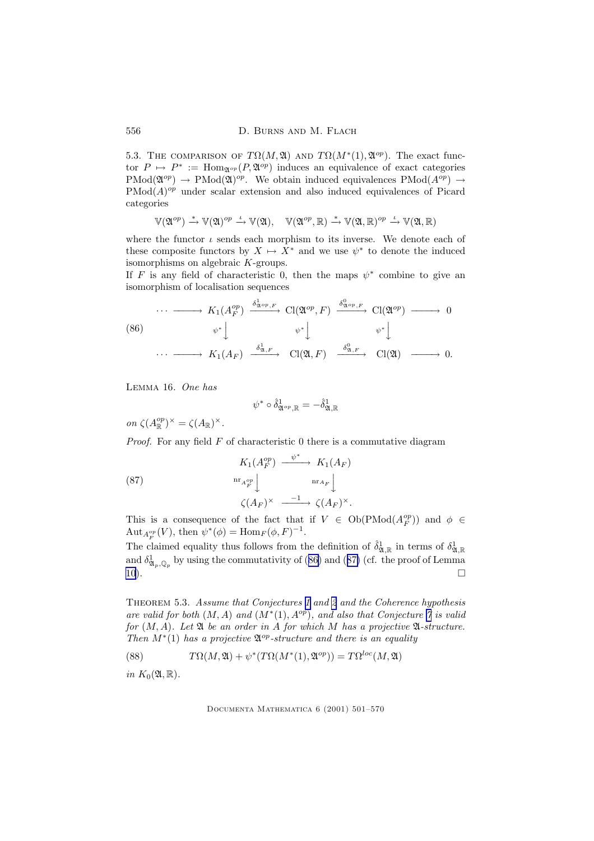5.3. THE COMPARISON OF  $T\Omega(M, \mathfrak{A})$  AND  $T\Omega(M^*(1), \mathfrak{A}^{op})$ . The exact functor  $P \mapsto P^* := \text{Hom}_{\mathfrak{A}^{op}}(P, \mathfrak{A}^{op})$  induces an equivalence of exact categories  $\text{PMod}(\mathfrak{A}^{op}) \to \text{PMod}(\mathfrak{A})^{op}$ . We obtain induced equivalences  $\text{PMod}(A^{op}) \to$  $\text{PMod}(A)^{op}$  under scalar extension and also induced equivalences of Picard categories

$$
\mathbb{V}(\mathfrak{A}^{op})\xrightarrow{\ast}\mathbb{V}(\mathfrak{A})^{op}\xrightarrow{\iota}\mathbb{V}(\mathfrak{A}),\quad\mathbb{V}(\mathfrak{A}^{op},\mathbb{R})\xrightarrow{\ast}\mathbb{V}(\mathfrak{A},\mathbb{R})^{op}\xrightarrow{\iota}\mathbb{V}(\mathfrak{A},\mathbb{R})
$$

where the functor  $\iota$  sends each morphism to its inverse. We denote each of these composite functors by  $X \mapsto X^*$  and we use  $\psi^*$  to denote the induced isomorphisms on algebraic K-groups.

If F is any field of characteristic 0, then the maps  $\psi^*$  combine to give an isomorphism of localisation sequences

(86)  
\n
$$
\cdots \longrightarrow K_1(A_F^{op}) \xrightarrow{\delta_{\mathfrak{A}^{op},F}^1} \mathrm{Cl}(\mathfrak{A}^{op}, F) \xrightarrow{\delta_{\mathfrak{A}^{op},F}^0} \mathrm{Cl}(\mathfrak{A}^{op}) \longrightarrow 0
$$
\n
$$
\psi^* \downarrow \qquad \psi^* \downarrow \qquad \psi^* \downarrow
$$
\n
$$
\cdots \longrightarrow K_1(A_F) \xrightarrow{\delta_{\mathfrak{A},F}^1} \mathrm{Cl}(\mathfrak{A}, F) \xrightarrow{\delta_{\mathfrak{A},F}^0} \mathrm{Cl}(\mathfrak{A}) \longrightarrow 0.
$$

Lemma 16. One has

$$
\psi^*\circ\hat\delta^1_{{\mathfrak A}^{op},{\mathbb R}}=-\hat\delta^1_{{\mathfrak A},{\mathbb R}}
$$

on  $\zeta(A_{\mathbb{R}}^{op})$  $\binom{op}{\mathbb{R}}^{\times} = \zeta(A_{\mathbb{R}})^{\times}.$ 

*Proof.* For any field  $F$  of characteristic 0 there is a commutative diagram

(87) 
$$
K_1(A_F^{op}) \xrightarrow{\psi^*} K_1(A_F)
$$

$$
\operatorname{nr}_{A_F^{op}} \downarrow \qquad \operatorname{nr}_{A_F} \downarrow
$$

$$
\zeta(A_F)^{\times} \xrightarrow{-1} \zeta(A_F)^{\times}.
$$

This is a consequence of the fact that if  $V \in Ob(PMod(A_F^{op}))$  and  $\phi \in$ Aut<sub> $A_{F}^{op}(V)$ </sub>, then  $\psi^*(\phi) = \text{Hom}_F(\phi, F)^{-1}$ .

The claimed equality thus follows from the definition of  $\hat{\delta}^1_{\mathfrak{A},\mathbb{R}}$  in terms of  $\delta^1_{\mathfrak{A},\mathbb{R}}$ and  $\delta^1_{\mathfrak{A}_p,\mathbb{Q}_p}$  by using the commutativity of (86) and (87) (cf. the proof of Lemma  $10)$  $10)$ .

THEOREM 5.3. Assume that Conjectures [1](#page-18-0) and [2](#page-22-0) and the Coherence hypothesis are valid for both  $(M, A)$  and  $(M^*(1), A^{op})$ , and also that Conjecture [7](#page-53-0) is valid for  $(M, A)$ . Let  $\mathfrak A$  be an order in A for which M has a projective  $\mathfrak A$ -structure. Then  $M^*(1)$  has a projective  $\mathfrak{A}^{op}\text{-}structure$  and there is an equality

(88) 
$$
T\Omega(M, \mathfrak{A}) + \psi^*(T\Omega(M^*(1), \mathfrak{A}^{op})) = T\Omega^{loc}(M, \mathfrak{A})
$$

in  $K_0(\mathfrak{A}, \mathbb{R})$ .

<span id="page-55-0"></span>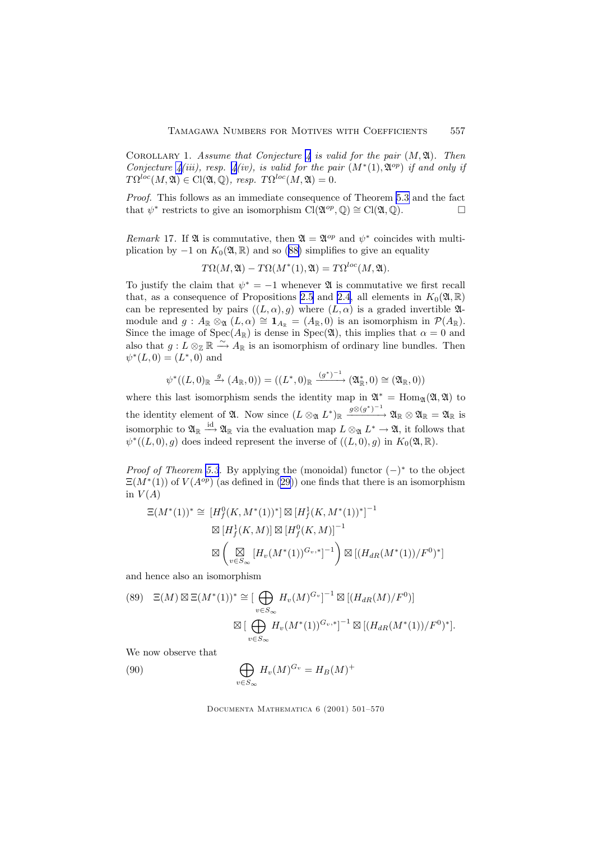<span id="page-56-0"></span>COROLLARY 1. Assume that Conjecture [4](#page-34-0) is valid for the pair  $(M, \mathfrak{A})$ . Then Conjecture  $\mathcal{A}(iii)$ , resp.  $\mathcal{A}(iv)$ , is valid for the pair  $(M^*(1), \mathfrak{A}^{op})$  if and only if  $T\Omega^{loc}(M, \mathfrak{A}) \in \mathrm{Cl}(\mathfrak{A}, \mathbb{Q}), \; resp. \; T\Omega^{loc}(M, \mathfrak{A}) = 0.$ 

Proof. This follows as an immediate consequence of Theorem [5.3](#page-55-0) and the fact that  $\psi^*$  restricts to give an isomorphism  $\text{Cl}(\mathfrak{A}^{op},\mathbb{Q})\cong\text{Cl}(\mathfrak{A},\mathbb{Q})$ .

Remark 17. If  $\mathfrak A$  is commutative, then  $\mathfrak A = \mathfrak A^{op}$  and  $\psi^*$  coincides with multiplication by  $-1$  on  $K_0(\mathfrak{A}, \mathbb{R})$  and so [\(88\)](#page-55-0) simplifies to give an equality

$$
T\Omega(M, \mathfrak{A}) - T\Omega(M^*(1), \mathfrak{A}) = T\Omega^{loc}(M, \mathfrak{A}).
$$

To justify the claim that  $\psi^* = -1$  whenever  $\mathfrak A$  is commutative we first recall that, as a consequence of Propositions [2.5](#page-13-0) and [2.4,](#page-11-0) all elements in  $K_0(\mathfrak{A}, \mathbb{R})$ can be represented by pairs  $((L, \alpha), g)$  where  $(L, \alpha)$  is a graded invertible 24module and  $g : A_{\mathbb{R}} \otimes_{\mathfrak{A}} (L, \alpha) \cong \mathbf{1}_{A_{\mathbb{R}}} = (A_{\mathbb{R}}, 0)$  is an isomorphism in  $\mathcal{P}(A_{\mathbb{R}})$ . Since the image of  $Spec(A_{\mathbb{R}})$  is dense in  $Spec(\mathfrak{A})$ , this implies that  $\alpha = 0$  and also that  $g: L \otimes_{\mathbb{Z}} \mathbb{R} \xrightarrow{\sim} A_{\mathbb{R}}$  is an isomorphism of ordinary line bundles. Then  $\psi^*(L,0) = (L^*,0)$  and

$$
\psi^*((L,0)_{\mathbb{R}} \xrightarrow{g} (A_{\mathbb{R}},0)) = ((L^*,0)_{\mathbb{R}} \xrightarrow{(g^*)^{-1}} (\mathfrak{A}_{\mathbb{R}}^*,0) \cong (\mathfrak{A}_{\mathbb{R}},0))
$$

where this last isomorphism sends the identity map in  $\mathfrak{A}^* = \text{Hom}_{\mathfrak{A}}(\mathfrak{A}, \mathfrak{A})$  to the identity element of  $\mathfrak{A}$ . Now since  $(L \otimes_{\mathfrak{A}} L^*)_{\mathbb{R}} \xrightarrow{g \otimes (g^*)^{-1}} \mathfrak{A}_{\mathbb{R}} \otimes \mathfrak{A}_{\mathbb{R}} = \mathfrak{A}_{\mathbb{R}}$  is isomorphic to  $\mathfrak{A}_{\mathbb{R}} \stackrel{\text{id}}{\longrightarrow} \mathfrak{A}_{\mathbb{R}}$  via the evaluation map  $L \otimes_{\mathfrak{A}} L^* \to \mathfrak{A}$ , it follows that  $\psi^*((L, 0), g)$  does indeed represent the inverse of  $((L, 0), g)$  in  $K_0(\mathfrak{A}, \mathbb{R})$ .

*Proof of Theorem [5.3](#page-55-0).* By applying the (monoidal) functor  $(-)^*$  to the object  $\Xi(M^*(1))$  of  $V(A^{op})$  (as defined in ([29\)](#page-25-0)) one finds that there is an isomorphism in  $V(A)$ 

$$
\Xi(M^*(1))^* \cong [H_f^0(K, M^*(1))^*] \boxtimes [H_f^1(K, M^*(1))^*]^{-1}
$$
  

$$
\boxtimes [H_f^1(K, M)] \boxtimes [H_f^0(K, M)]^{-1}
$$
  

$$
\boxtimes \left(\bigotimes_{v \in S_{\infty}} [H_v(M^*(1))^{G_v,*}]^{-1}\right) \boxtimes [(H_{dR}(M^*(1))/F^0)^*]
$$

and hence also an isomorphism

(89) 
$$
\Xi(M) \boxtimes \Xi(M^*(1))^* \cong [\bigoplus_{v \in S_{\infty}} H_v(M)^{G_v}]^{-1} \boxtimes [(H_{dR}(M)/F^0)]
$$

$$
\boxtimes [\bigoplus_{v \in S_{\infty}} H_v(M^*(1))^{G_v,*}]^{-1} \boxtimes [(H_{dR}(M^*(1))/F^0)^*].
$$

We now observe that

(90) 
$$
\bigoplus_{v \in S_{\infty}} H_v(M)^{G_v} = H_B(M)^+
$$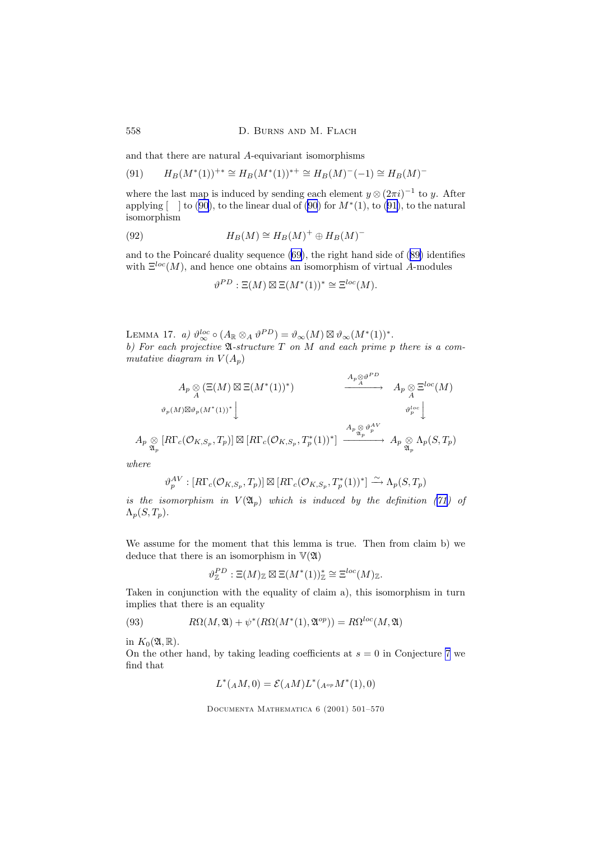<span id="page-57-0"></span>558 D. BURNS AND M. FLACH

and that there are natural A-equivariant isomorphisms

(91) 
$$
H_B(M^*(1))^{+*} \cong H_B(M^*(1))^{*+} \cong H_B(M)^-(-1) \cong H_B(M)^-
$$

where the last map is induced by sending each element  $y \otimes (2\pi i)^{-1}$  to y. After applying  $\lceil \ \ \rceil$  to [\(90](#page-56-0)), to the linear dual of (90) for  $M^*(1)$ , to (91), to the natural isomorphism

(92) 
$$
H_B(M) \cong H_B(M)^+ \oplus H_B(M)^-
$$

and to the Poincaré duality sequence  $(69)$  $(69)$ , the right hand side of  $(89)$  $(89)$  identifies with  $\Xi^{loc}(M)$ , and hence one obtains an isomorphism of virtual A-modules

$$
\vartheta^{PD} : \Xi(M) \boxtimes \Xi(M^*(1))^* \cong \Xi^{loc}(M).
$$

LEMMA 17. a)  $\vartheta_{\infty}^{loc} \circ (A_{\mathbb{R}} \otimes_A \vartheta^{PD}) = \vartheta_{\infty}(M) \boxtimes \vartheta_{\infty}(M^*(1))^*.$ b) For each projective  $\mathfrak{A}$ -structure T on M and each prime p there is a commutative diagram in  $V(A_n)$ 

$$
A_p \underset{\mathcal{A}}{\otimes} (\Xi(M) \boxtimes \Xi(M^*(1))^*) \xrightarrow{A_p \underset{\mathcal{A}}{\otimes} \vartheta^{PD}} A_p \underset{\mathcal{A}}{\otimes} \Xi^{loc}(M)
$$
  

$$
\longrightarrow A_p \underset{\mathcal{A}}{\otimes} \Xi^{loc}(M)
$$
  

$$
A_p \underset{\mathcal{A}_p}{\otimes} [R\Gamma_c(\mathcal{O}_{K,S_p}, T_p)] \boxtimes [R\Gamma_c(\mathcal{O}_{K,S_p}, T_p^*(1))^*] \xrightarrow{A_p \underset{\mathcal{A}_p}{\otimes} \vartheta_p^{AV}} A_p \underset{\mathcal{A}_p}{\otimes} \Lambda_p(S, T_p)
$$

where

$$
\vartheta_p^{AV}: [R\Gamma_c(\mathcal{O}_{K,S_p}, T_p)] \boxtimes [R\Gamma_c(\mathcal{O}_{K,S_p}, T_p^*(1))^*] \xrightarrow{\sim} \Lambda_p(S, T_p)
$$

is the isomorphism in  $V(\mathfrak{A}_n)$  which is induced by the definition ([71\)](#page-48-0) of  $\Lambda_p(S,T_p)$ .

We assume for the moment that this lemma is true. Then from claim b) we deduce that there is an isomorphism in  $\mathbb{V}(\mathfrak{A})$ 

$$
\vartheta_{\mathbb{Z}}^{PD} : \Xi(M)_{\mathbb{Z}} \boxtimes \Xi(M^*(1))_{\mathbb{Z}}^* \cong \Xi^{loc}(M)_{\mathbb{Z}}.
$$

Taken in conjunction with the equality of claim a), this isomorphism in turn implies that there is an equality

(93) 
$$
R\Omega(M, \mathfrak{A}) + \psi^*(R\Omega(M^*(1), \mathfrak{A}^{op})) = R\Omega^{loc}(M, \mathfrak{A})
$$

in  $K_0(\mathfrak{A}, \mathbb{R})$ .

On the other hand, by taking leading coefficients at  $s = 0$  in Conjecture [7](#page-53-0) we find that

$$
L^*({}_AM,0) = \mathcal{E}({}_AM)L^*({}_{A^{op}}M^*(1),0)
$$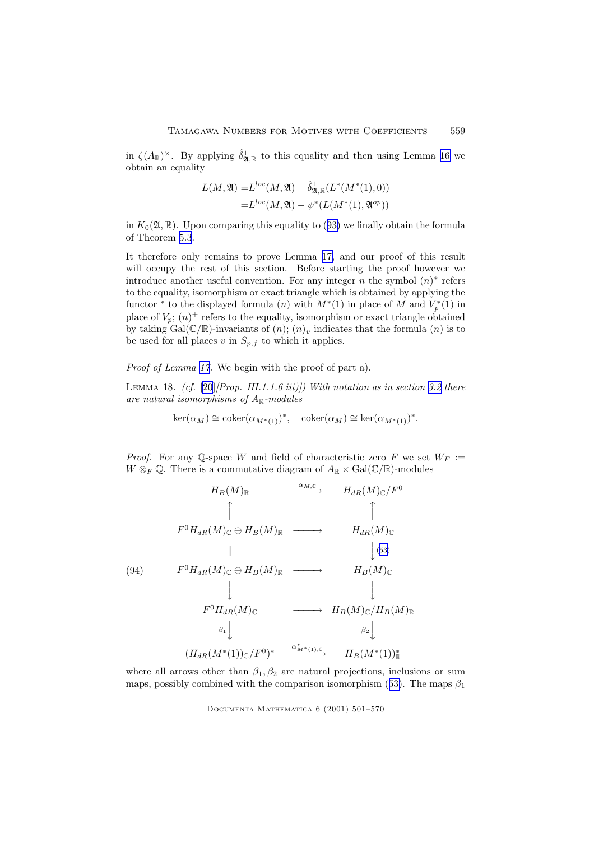<span id="page-58-0"></span>in  $\zeta(A_\mathbb{R})^{\times}$ . By applying  $\hat{\delta}_{\mathfrak{A},\mathbb{R}}^1$  to this equality and then using Lemma [16](#page-55-0) we obtain an equality

$$
L(M, \mathfrak{A}) = L^{loc}(M, \mathfrak{A}) + \hat{\delta}_{\mathfrak{A}, \mathbb{R}}^1(L^*(M^*(1), 0))
$$
  
=  $L^{loc}(M, \mathfrak{A}) - \psi^*(L(M^*(1), \mathfrak{A}^{op}))$ 

in  $K_0(\mathfrak{A}, \mathbb{R})$ . Upon comparing this equality to ([93\)](#page-57-0) we finally obtain the formula of Theorem [5.3](#page-55-0).

It therefore only remains to prove Lemma [17,](#page-57-0) and our proof of this result will occupy the rest of this section. Before starting the proof however we introduce another useful convention. For any integer  $n$  the symbol  $(n)^*$  refers to the equality, isomorphism or exact triangle which is obtained by applying the functor \* to the displayed formula (n) with  $M^*(1)$  in place of M and  $V_p^*(1)$  in place of  $V_p$ ;  $(n)^+$  refers to the equality, isomorphism or exact triangle obtained by taking Gal( $\mathbb{C}/\mathbb{R}$ )-invariants of  $(n)$ ;  $(n)_v$  indicates that the formula  $(n)$  is to be used for all places v in  $S_{p,f}$  to which it applies.

Proof of Lemma [17.](#page-57-0) We begin with the proof of part a).

LEMMA 18. (cf.  $[20]/Prop.$  $[20]/Prop.$  III.1.1.6 iii)]) With notation as in section [3.2](#page-18-0) there are natural isomorphisms of  $A_{\mathbb{R}}$ -modules

$$
\ker(\alpha_M) \cong \mathrm{coker}(\alpha_{M^*(1)})^*, \quad \mathrm{coker}(\alpha_M) \cong \ker(\alpha_{M^*(1)})^*.
$$

*Proof.* For any Q-space W and field of characteristic zero F we set  $W_F :=$  $W \otimes_F \mathbb{Q}$ . There is a commutative diagram of  $A_{\mathbb{R}} \times \text{Gal}(\mathbb{C}/\mathbb{R})$ -modules

$$
H_B(M)_{\mathbb{R}} \longrightarrow H_{dR}(M)_{\mathbb{C}}/F^0
$$
\n
$$
F^0 H_{dR}(M)_{\mathbb{C}} \oplus H_B(M)_{\mathbb{R}} \longrightarrow H_{dR}(M)_{\mathbb{C}}
$$
\n
$$
H_B(M)_{\mathbb{C}}
$$
\n
$$
F^0 H_{dR}(M)_{\mathbb{C}} \oplus H_B(M)_{\mathbb{R}} \longrightarrow H_B(M)_{\mathbb{C}}
$$
\n
$$
F^0 H_{dR}(M)_{\mathbb{C}} \longrightarrow H_B(M)_{\mathbb{C}}/H_B(M)_{\mathbb{R}}
$$
\n
$$
\beta_1 \downarrow \qquad \beta_2 \downarrow
$$
\n
$$
(H_{dR}(M^*(1))_{\mathbb{C}}/F^0)^* \xrightarrow{\alpha_{M^*(1),\mathbb{C}}^*} H_B(M^*(1))_{\mathbb{R}}^*
$$

where all arrows other than  $\beta_1, \beta_2$  are natural projections, inclusions or sum maps, possibly combined with the comparison isomorphism ([53\)](#page-44-0). The maps  $\beta_1$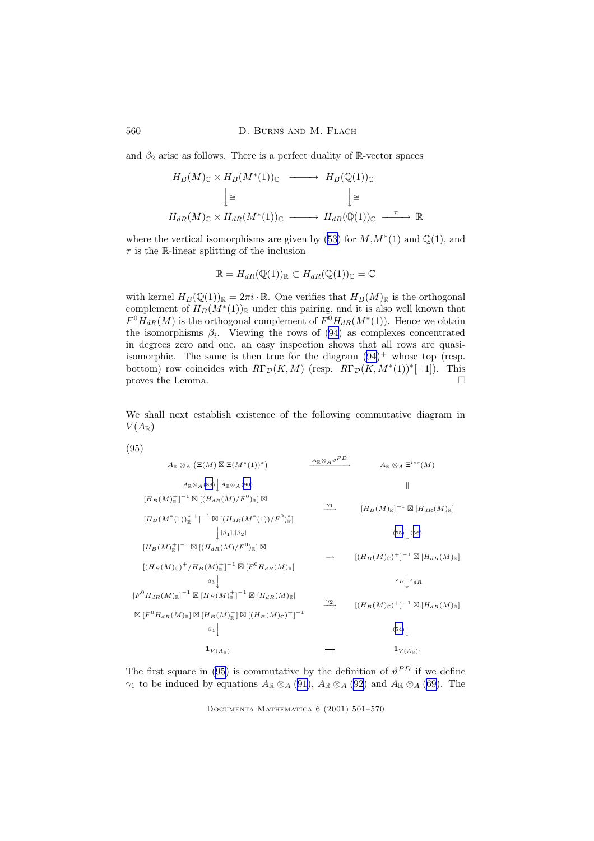and  $\beta_2$  arise as follows. There is a perfect duality of R-vector spaces

$$
H_B(M)_{\mathbb{C}} \times H_B(M^*(1))_{\mathbb{C}} \longrightarrow H_B(\mathbb{Q}(1))_{\mathbb{C}}
$$
  

$$
\downarrow \cong \qquad \qquad \downarrow \cong
$$
  

$$
H_{dR}(M)_{\mathbb{C}} \times H_{dR}(M^*(1))_{\mathbb{C}} \longrightarrow H_{dR}(\mathbb{Q}(1))_{\mathbb{C}} \longrightarrow \mathbb{R}
$$

where the vertical isomorphisms are given by [\(53](#page-44-0)) for  $M, M^*(1)$  and  $\mathbb{Q}(1)$ , and  $\tau$  is the R-linear splitting of the inclusion

$$
\mathbb{R} = H_{dR}(\mathbb{Q}(1))_{\mathbb{R}} \subset H_{dR}(\mathbb{Q}(1))_{\mathbb{C}} = \mathbb{C}
$$

with kernel  $H_B(\mathbb{Q}(1))_{\mathbb{R}} = 2\pi i \cdot \mathbb{R}$ . One verifies that  $H_B(M)_{\mathbb{R}}$  is the orthogonal complement of  $H_B(M^*(1))_{\mathbb{R}}$  under this pairing, and it is also well known that  $F^0H_{dR}(M)$  is the orthogonal complement of  $F^0H_{dR}(M^*(1))$ . Hence we obtain the isomorphisms  $\beta_i$ . Viewing the rows of [\(94](#page-58-0)) as complexes concentrated in degrees zero and one, an easy inspection shows that all rows are quasiisomorphic. The same is then true for the diagram  $(94)^+$  $(94)^+$  whose top (resp. bottom) row coincides with  $R\Gamma_{\mathcal{D}}(K,M)$  (resp.  $R\Gamma_{\mathcal{D}}(K,M^*(1))^*[-1]$ ). This proves the Lemma.  $\Box$ 

We shall next establish existence of the following commutative diagram in  $V(A_{\mathbb{R}})$ 

(95)

$$
A_{R} \otimes_{A} (\Xi(M) \boxtimes \Xi(M^{*}(1))^{*}) \longrightarrow A_{R} \otimes_{A} \Xi^{loc}(M)
$$
\n
$$
A_{R} \otimes_{A} \Xi^{loc}(M)
$$
\n
$$
H_{B}(M)^{+}_{R}^{-1} \boxtimes [(H_{dR}(M)/F^{0})_{R}] \boxtimes
$$
\n
$$
[H_{B}(M^{*}(1))^{*,+}_{R}^{-1}]^{-1} \boxtimes [(H_{dR}(M^{*}(1))/F^{0})^{*}_{R}] \longrightarrow [H_{B}(M)_{R}]^{-1} \boxtimes [H_{dR}(M)_{R}]
$$
\n
$$
[H_{B}(M)^{+}_{R}]^{-1} \boxtimes [(H_{dR}(M)/F^{0})_{R}] \boxtimes
$$
\n
$$
[(H_{B}(M)_{C})^{+}/H_{B}(M)^{+}_{R}]^{-1} \boxtimes [F^{0}H_{dR}(M)_{R}] \longrightarrow [(H_{B}(M)_{C})^{+}]^{-1} \boxtimes [H_{dR}(M)_{R}]
$$
\n
$$
[F^{0}H_{dR}(M)_{R}]^{-1} \boxtimes [H_{B}(M)^{+}_{R}]^{-1} \boxtimes [H_{dR}(M)_{R}] \longrightarrow [(H_{B}(M)_{C})^{+}]^{-1} \boxtimes [H_{dR}(M)_{R}]
$$
\n
$$
A_{R} \otimes_{A} \Box_{\mathcal{E}}^{loc}(M)
$$
\n
$$
= \left[ (H_{B}(M)_{C})^{+} \right]^{-1} \boxtimes [H_{dR}(M)_{R}] \longrightarrow [(H_{B}(M)_{C})^{+}]^{-1} \boxtimes [H_{dR}(M)_{R}]
$$
\n
$$
A_{R} \otimes_{A} \Box_{\mathcal{E}}^{loc}(M)
$$
\n
$$
A_{R} \otimes_{A} \Box_{\mathcal{E}}^{loc}(M)
$$
\n
$$
= \left[ (H_{B}(M)_{C})^{+} \right]^{-1} \boxtimes [H_{dR}(M)_{R}]
$$
\n
$$
A_{R} \otimes_{A} \Box_{\mathcal{E}}^{loc}(M)
$$
\n
$$
A_{R} \otimes_{A} \Box_{\mathcal{E}}^{loc}(M)
$$
\n
$$
A_{R} \otimes_{A} \Box_{\mathcal{E}}^{loc}(M)
$$
\n $$ 

The first square in (95) is commutative by the definition of  $\vartheta^{PD}$  if we define  $\gamma_1$  to be induced by equations  $A_{\mathbb{R}} \otimes_A (91)$  $A_{\mathbb{R}} \otimes_A (91)$ ,  $A_{\mathbb{R}} \otimes_A (92)$  $A_{\mathbb{R}} \otimes_A (92)$  $A_{\mathbb{R}} \otimes_A (92)$  and  $A_{\mathbb{R}} \otimes_A (69)$  $A_{\mathbb{R}} \otimes_A (69)$  $A_{\mathbb{R}} \otimes_A (69)$ . The

<span id="page-59-0"></span>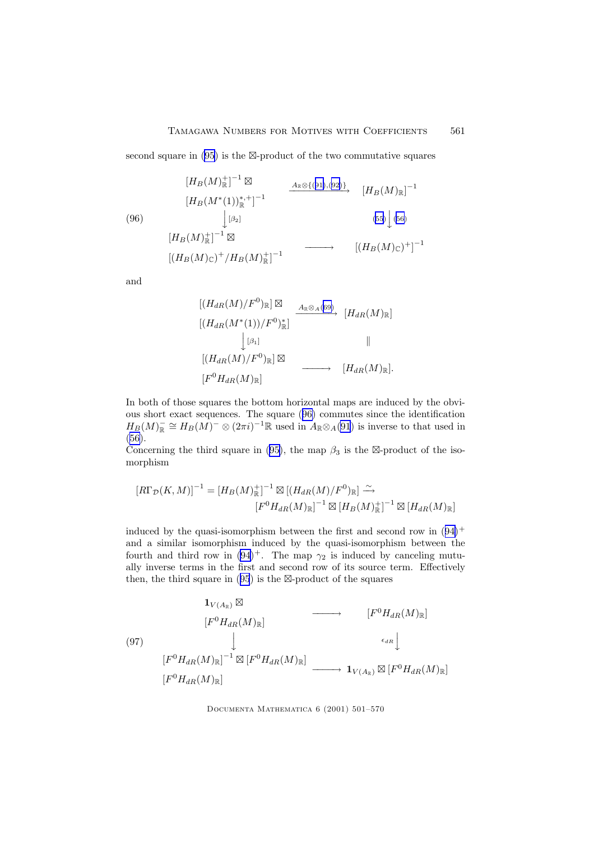<span id="page-60-0"></span>second square in  $(95)$  $(95)$  is the  $\boxtimes$ -product of the two commutative squares

$$
(96) \qquad [H_B(M)^+_{{\mathbb R}}]^{-1} \boxtimes \qquad \xrightarrow{A_{\mathbb R} \otimes \{(91),(92)\}} [H_B(M)^*_{\mathbb R}]^{-1}
$$
\n
$$
(96) \qquad \qquad \downarrow [\beta_2] \qquad (55) \qquad (56)
$$
\n
$$
[H_B(M)^+_{{\mathbb R}}]^{-1} \boxtimes \qquad (57) \qquad [(H_B(M)_{\mathbb C})^+/H_B(M)^+_{{\mathbb R}}]^{-1}
$$

and

$$
[(H_{dR}(M)/F^{0})_{\mathbb{R}}] \boxtimes
$$
  
\n
$$
[(H_{dR}(M^{*}(1))/F^{0})_{\mathbb{R}}]
$$
  
\n
$$
[H_{dR}(M)/F^{0})_{\mathbb{R}}] \boxtimes
$$
  
\n
$$
[(H_{dR}(M)/F^{0})_{\mathbb{R}}] \boxtimes
$$
  
\n
$$
[F^{0}H_{dR}(M)_{\mathbb{R}}]
$$
  
\n
$$
[H_{dR}(M)_{\mathbb{R}}].
$$
  
\n
$$
[H_{dR}(M)_{\mathbb{R}}].
$$

In both of those squares the bottom horizontal maps are induced by the obvious short exact sequences. The square (96) commutes since the identification  $H_B(M)_\mathbb{R}^- \cong H_B(M)^-\otimes (2\pi i)^{-1}\mathbb{R}$  used in  $A_\mathbb{R} \otimes_A(91)$  $A_\mathbb{R} \otimes_A(91)$  $A_\mathbb{R} \otimes_A(91)$  is inverse to that used in [\(56\)](#page-44-0).

Concerning the third square in ([95\)](#page-59-0), the map  $\beta_3$  is the  $\boxtimes$ -product of the isomorphism

$$
[R\Gamma_{\mathcal{D}}(K,M)]^{-1} = [H_B(M)_{\mathbb{R}}^+]^{-1} \boxtimes [(H_{dR}(M)/F^0)_{\mathbb{R}}] \xrightarrow{\sim}
$$

$$
[F^0 H_{dR}(M)_{\mathbb{R}}]^{-1} \boxtimes [H_B(M)_{\mathbb{R}}^+]^{-1} \boxtimes [H_{dR}(M)_{\mathbb{R}}]
$$

induced by the quasi-isomorphism between the first and second row in  $(94)^+$  $(94)^+$  $(94)^+$ and a similar isomorphism induced by the quasi-isomorphism between the fourth and third row in  $(94)^+$  $(94)^+$  $(94)^+$ . The map  $\gamma_2$  is induced by canceling mutually inverse terms in the first and second row of its source term. Effectively then, the third square in  $(95)$  $(95)$  $(95)$  is the  $\boxtimes$ -product of the squares

$$
\begin{array}{ccc}\n\mathbf{1}_{V(A_{\mathbb{R}})} \boxtimes & & & & [F^{0}H_{dR}(M)_{\mathbb{R}}] \\
& & & [F^{0}H_{dR}(M)_{\mathbb{R}}] & & & & [F^{0}H_{dR}(M)_{\mathbb{R}}] \\
& & & \downarrow & & & & \\
& & & [F^{0}H_{dR}(M)_{\mathbb{R}}]^{-1} \boxtimes [F^{0}H_{dR}(M)_{\mathbb{R}}] & & & \longrightarrow & \mathbf{1}_{V(A_{\mathbb{R}})} \boxtimes [F^{0}H_{dR}(M)_{\mathbb{R}}] \\
& & & [F^{0}H_{dR}(M)_{\mathbb{R}}] & & & \longrightarrow & \mathbf{1}_{V(A_{\mathbb{R}})} \boxtimes [F^{0}H_{dR}(M)_{\mathbb{R}}]\n\end{array}
$$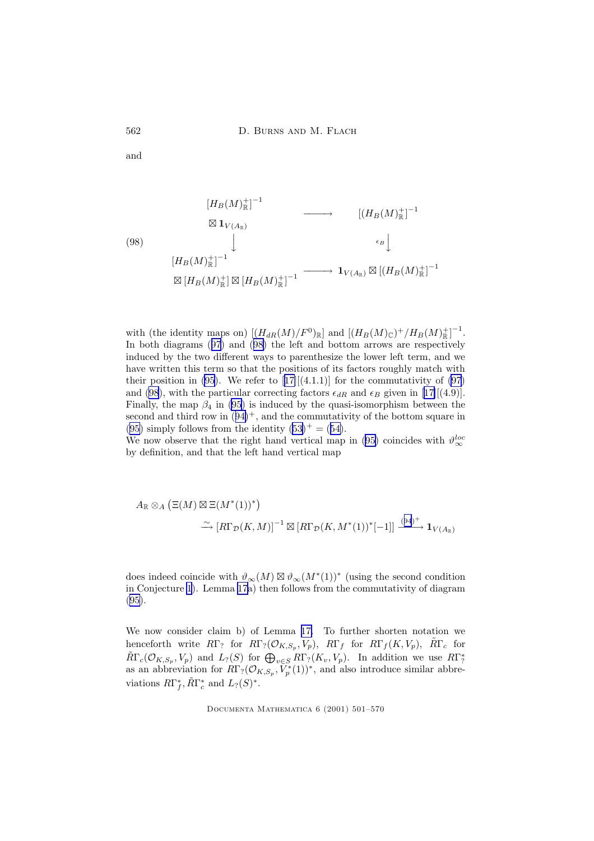and

$$
(98)
$$
\n
$$
[H_B(M)^+_{{\mathbb{R}}}]^{-1}
$$
\n
$$
\otimes \mathbf{1}_{V(A_{\mathbb{R}})}
$$
\n
$$
[H_B(M)^+_{{\mathbb{R}}}]^{-1}
$$
\n
$$
\otimes [H_B(M)^+_{{\mathbb{R}}}]^{-1}
$$
\n
$$
\otimes [H_B(M)^+_{{\mathbb{R}}}] \otimes [H_B(M)^+_{{\mathbb{R}}}]^{-1}
$$
\n
$$
\otimes [H_B(M)^+_{{\mathbb{R}}}] \otimes [H_B(M)^+_{{\mathbb{R}}}]^{-1}
$$

with (the identity maps on)  $[(H_{dR}(M)/F^0)_\mathbb{R}]$  and  $[(H_B(M)_\mathbb{C})^+/H_B(M)_\mathbb{R}^+]^{-1}$ . In both diagrams ([97](#page-60-0)) and (98) the left and bottom arrows are respectively induced by the two different ways to parenthesize the lower left term, and we have written this term so that the positions of its factors roughly match with their position in [\(95](#page-59-0)). We refer to  $[17] [(4.1.1)]$  $[17] [(4.1.1)]$  $[17] [(4.1.1)]$  for the commutativity of [\(97](#page-60-0)) and (98), with the particular correcting factors  $\epsilon_{dR}$  and  $\epsilon_B$  given in [[17\]](#page-68-0)[(4.9)]. Finally, the map  $\beta_4$  in [\(95](#page-59-0)) is induced by the quasi-isomorphism between the second and third row in  $(94)^+$  $(94)^+$  $(94)^+$ , and the commutativity of the bottom square in [\(95\)](#page-59-0) simply follows from the identity  $(53)^{+} = (54)$  $(53)^{+} = (54)$  $(53)^{+} = (54)$  $(53)^{+} = (54)$ .

We now observe that the right hand vertical map in ([95\)](#page-59-0) coincides with  $\vartheta_{\infty}^{loc}$ by definition, and that the left hand vertical map

$$
A_{\mathbb{R}} \otimes_{A} (\Xi(M) \boxtimes \Xi(M^{*}(1))^{*})
$$
  

$$
\xrightarrow{\sim} [R\Gamma_{\mathcal{D}}(K,M)]^{-1} \boxtimes [R\Gamma_{\mathcal{D}}(K,M^{*}(1))^{*}[-1]] \xrightarrow{(94)^{+}} \mathbf{1}_{V(A_{\mathbb{R}})}
$$

does indeed coincide with  $\vartheta_{\infty}(M) \boxtimes \vartheta_{\infty}(M^*(1))^*$  (using the second condition in Conjecture [1](#page-18-0)). Lemma [17](#page-57-0)a) then follows from the commutativity of diagram [\(95\)](#page-59-0).

We now consider claim b) of Lemma [17.](#page-57-0) To further shorten notation we henceforth write  $R\Gamma$ ? for  $R\Gamma$ ? ( $\mathcal{O}_{K,S_p}, V_p$ ),  $R\Gamma_f$  for  $R\Gamma_f(K, V_p)$ ,  $\tilde{R}\Gamma_c$  for  $\widetilde{R}\Gamma_c(\mathcal{O}_{K,S_p}, V_p)$  and  $L_?(S)$  for  $\bigoplus_{v\in S} R\Gamma_?(K_v, V_p)$ . In addition we use  $R\Gamma_?^*$ as an abbreviation for  $R\Gamma_?(\mathcal{O}_{K,S_p}, \tilde{V}_p^*(1))^*$ , and also introduce similar abbreviations  $R\Gamma_f^*, \tilde{R}\Gamma_c^*$  and  $L_? (S)^*.$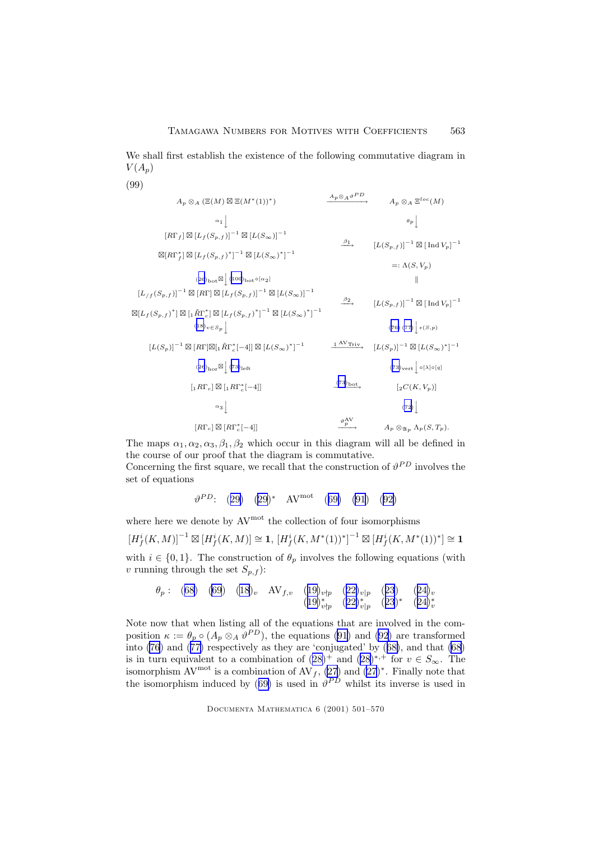<span id="page-62-0"></span>We shall first establish the existence of the following commutative diagram in  $V(A_p)$ 

(99)

$$
A_{p} \otimes_{A} (\Xi(M) \boxtimes \Xi(M^{*}(1))^{*}) \longrightarrow A_{p} \otimes_{A} \Xi^{loc}(M)
$$
\n
$$
\alpha_{1} \Big\downarrow \qquad \beta_{p} \Big\downarrow \qquad A_{p} \otimes_{A} \Xi^{loc}(M)
$$
\n
$$
[\overline{R}\Gamma_{f}] \boxtimes [L_{f}(S_{p,f})]^{-1} \boxtimes [L(S_{\infty})]^{-1}
$$
\n
$$
\boxtimes [\overline{R}\Gamma_{f}^{*}] \boxtimes [L_{f}(S_{p,f})^{*}]^{-1} \boxtimes [L(S_{\infty})^{*}]^{-1}
$$
\n
$$
=:\Lambda(S,V_{p})
$$
\n
$$
(26)_{\text{bot}} \boxtimes \Big[\begin{matrix} 1000 \text{bot} \in [\alpha_{2}] \\ 1000 \text{bot} \in [\alpha_{2}] \end{matrix} \Big] \qquad [[L_{f}(S_{p,f})]^{-1} \boxtimes [L(S_{\infty})]^{-1}
$$
\n
$$
\boxtimes [L_{f}(S_{p,f})^{*}] \boxtimes [R\Gamma] \boxtimes [L_{f}(S_{p,f})^{*}]^{-1} \boxtimes [L(S_{\infty})]^{-1}
$$
\n
$$
[\overline{L}(S_{p,f})]^{-1} \boxtimes [I_{f}(S_{p,f})^{*}]^{-1} \boxtimes [L(S_{\infty})^{*}]^{-1}
$$
\n
$$
[\overline{L}(S_{p,f})]^{-1} \boxtimes [I_{f}(S_{p,f})^{*}]^{-1} \qquad \overline{L}(S_{p,f})^{-1} \qquad (76) (77) \Big] \epsilon(S,p)
$$
\n
$$
[\overline{L}(S_{p})]^{-1} \boxtimes [R\Gamma] \boxtimes [I_{f}(S_{f})]^{-1} \qquad \overline{L}(S_{p,f})^{-1}
$$
\n
$$
[\overline{L}(S_{p})]^{-1} \boxtimes [L(S_{p})^{*}]^{-1}
$$
\n
$$
[\overline{L}(S_{p})]^{-1} \boxtimes [L(S_{p})^{*}]^{-1}
$$
\n
$$
[\overline{L}(S_{p})]^{-1} \boxtimes [L(S_{p})^{*}]^{-1}
$$
\n
$$
[\overline{L}(S_{p})]^{-1} \boxtimes [L(S_{p})^{*}]^{-1}
$$
\n<math display="block</math>

The maps  $\alpha_1, \alpha_2, \alpha_3, \beta_1, \beta_2$  which occur in this diagram will all be defined in the course of our proof that the diagram is commutative. Concerning the first square, we recall that the construction of  $\vartheta^{PD}$  involves the

set of equations

 $\vartheta^{PD}$ : ([29\)](#page-25-0) [\(29](#page-25-0))\* AV<sup>mot</sup> ([69\)](#page-48-0) [\(91](#page-57-0)) ([92\)](#page-57-0)

where here we denote by  $AV^{mot}$  the collection of four isomorphisms

 $[H^i_f(K,M)]^{-1} \boxtimes [H^i_f(K,M)] \cong \mathbf{1}, \, [H^i_f(K,M^*(1))^*]^{-1} \boxtimes [H^i_f(K,M^*(1))^*] \cong \mathbf{1}$ with  $i \in \{0, 1\}$ . The construction of  $\theta_p$  involves the following equations (with v running through the set  $S_{p,f}$ :

$$
\theta_p: (68) (69) (18)_v \quad \text{AV}_{f,v} \quad (19)_{v\nmid p} (22)_{v\mid p} (23) (24)_v
$$
  

$$
(19)_{v\nmid p}^* (22)_{v\mid p}^* (23)^* (24)_v^*
$$

Note now that when listing all of the equations that are involved in the composition  $\kappa := \theta_p \circ (A_p \otimes_A \vartheta^{PD})$ , the equations [\(91\)](#page-57-0) and [\(92](#page-57-0)) are transformed into [\(76](#page-50-0)) and ([77\)](#page-50-0) respectively as they are 'conjugated' by ([68\)](#page-48-0), and that [\(68](#page-48-0)) is in turn equivalent to a combination of  $(28)^+$  $(28)^+$  $(28)^+$  and  $(28)^{*,+}$  for  $v \in S_{\infty}$ . The isomorphism AV<sup>mot</sup> is a combination of AV<sub>f</sub>,  $(27)$  $(27)$  and  $(27)^*$ . Finally note that the isomorphism induced by ([69\)](#page-48-0) is used in  $\vartheta^{PD}$  whilst its inverse is used in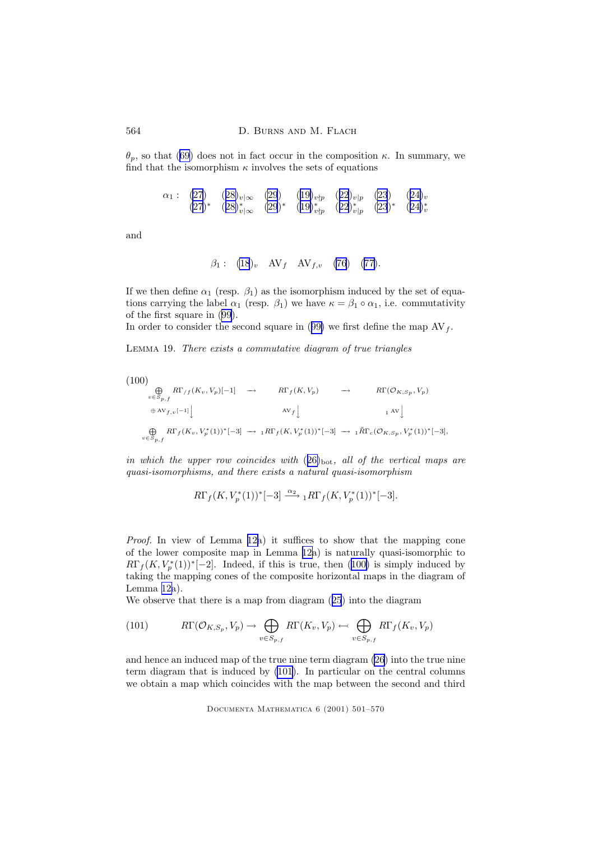θp, so that [\(69](#page-48-0)) does not in fact occur in the composition κ. In summary, we find that the isomorphism  $\kappa$  involves the sets of equations

$$
\alpha_1: (27) \quad (28)_{v|\infty} \quad (29) \quad (19)_{v\nmid p} \quad (22)_{v|p} \quad (23) \quad (24)_v
$$
  

$$
(27)^* \quad (28)_{v|\infty}^* \quad (29)^* \quad (19)_{v\nmid p}^* \quad (22)_{v|p}^* \quad (23)^* \quad (24)_v^*
$$

and

$$
\beta_1
$$
: (18)<sub>v</sub> AV<sub>f</sub> AV<sub>f,v</sub> (76) (77).

If we then define  $\alpha_1$  (resp.  $\beta_1$ ) as the isomorphism induced by the set of equations carrying the label  $\alpha_1$  (resp.  $\beta_1$ ) we have  $\kappa = \beta_1 \circ \alpha_1$ , i.e. commutativity of the first square in ([99\)](#page-62-0).

In order to consider the second square in ([99\)](#page-62-0) we first define the map  $AV_f$ .

Lemma 19. There exists a commutative diagram of true triangles

$$
(100)
$$
\n
$$
\bigoplus_{v \in S_{p,f}} R\Gamma_{/f}(K_v, V_p)[-1] \rightarrow R\Gamma_{f}(K, V_p) \rightarrow R\Gamma(\mathcal{O}_{K, S_p}, V_p)
$$
\n
$$
\bigoplus_{v \in S_{p,f}} R\Gamma_{f}(K_v, V_p^*(1))^*[-3] \rightarrow {}_{1}R\Gamma_{f}(K, V_p^*(1))^*[-3] \rightarrow {}_{1}\tilde{R}\Gamma_{c}(\mathcal{O}_{K, S_p}, V_p^*(1))^*[-3],
$$

in which the upper row coincides with  $(26)_{\text{bot}}$  $(26)_{\text{bot}}$  $(26)_{\text{bot}}$ , all of the vertical maps are quasi-isomorphisms, and there exists a natural quasi-isomorphism

$$
R\Gamma_f(K, V_p^*(1))^*[-3] \xrightarrow{\alpha_2} {}_1R\Gamma_f(K, V_p^*(1))^*[-3].
$$

Proof. In view of Lemma [12a](#page-45-0)) it suffices to show that the mapping cone of the lower composite map in Lemma [12a](#page-45-0)) is naturally quasi-isomorphic to  $R\Gamma_f(K, V_p^*(1))^*[-2]$ . Indeed, if this is true, then (100) is simply induced by taking the mapping cones of the composite horizontal maps in the diagram of Lemma [12a](#page-45-0)).

We observe that there is a map from diagram ([25](#page-21-0)) into the diagram

(101) 
$$
R\Gamma(\mathcal{O}_{K,S_p}, V_p) \to \bigoplus_{v \in S_{p,f}} R\Gamma(K_v, V_p) \leftarrow \bigoplus_{v \in S_{p,f}} R\Gamma_f(K_v, V_p)
$$

and hence an induced map of the true nine term diagram [\(26](#page-21-0)) into the true nine term diagram that is induced by (101). In particular on the central columns we obtain a map which coincides with the map between the second and third

<span id="page-63-0"></span>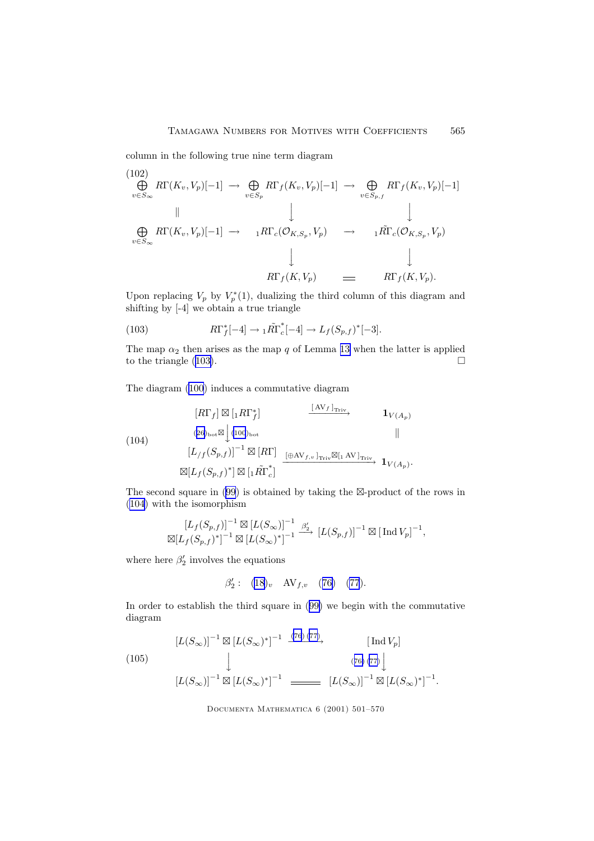<span id="page-64-0"></span>column in the following true nine term diagram

(102)  
\n
$$
\bigoplus_{v \in S_{\infty}} R\Gamma(K_v, V_p)[-1] \rightarrow \bigoplus_{v \in S_p} R\Gamma_f(K_v, V_p)[-1] \rightarrow \bigoplus_{v \in S_{p,f}} R\Gamma_f(K_v, V_p)[-1]
$$
\n
$$
\downarrow \qquad \qquad \downarrow
$$
\n
$$
\bigoplus_{v \in S_{\infty}} R\Gamma(K_v, V_p)[-1] \rightarrow \qquad \qquad \downarrow \qquad \qquad \downarrow
$$
\n
$$
R\Gamma_c(\mathcal{O}_{K,S_p}, V_p) \rightarrow \qquad \qquad \downarrow \qquad \qquad \downarrow
$$
\n
$$
R\Gamma_f(K, V_p) \rightarrow \qquad \qquad \downarrow \qquad \qquad \downarrow
$$
\n
$$
R\Gamma_f(K, V_p) \rightarrow \qquad \qquad \downarrow \qquad \qquad \downarrow
$$

Upon replacing  $V_p$  by  $V_p^*(1)$ , dualizing the third column of this diagram and shifting by [-4] we obtain a true triangle

(103) 
$$
R\Gamma_f^*[-4] \to {}_1\tilde{R}\Gamma_c^*[-4] \to L_f(S_{p,f})^*[-3].
$$

The map  $\alpha_2$  then arises as the map q of Lemma [13](#page-49-0) when the latter is applied to the triangle  $(103)$ .

The diagram [\(100](#page-63-0)) induces a commutative diagram

$$
\begin{array}{ccc}\n[R\Gamma_f] \boxtimes [1R\Gamma_f^*] & \xrightarrow{\text{[AV}_f]_{\text{Triv}}} & \mathbf{1}_{V(A_p)} \\
(26)_{\text{bot}} \boxtimes \begin{bmatrix} 100 \end{bmatrix}_{\text{bot}} & & & \mathbf{1}_{V(A_p)} \\
[L/f(S_{p,f})]^{-1} \boxtimes [R\Gamma] & & & \xrightarrow{\text{[}\oplus\text{AV}_{f,v} \text{]}_{\text{Triv}}} \boxtimes [1 \text{ AV}]_{\text{Triv}}} & & \mathbf{1}_{V(A_p)} \\
\boxtimes [L_f(S_{p,f})^*] \boxtimes [1\tilde{R}\Gamma_c^*] & & & \xrightarrow{\text{[}\oplus\text{AV}_{f,v} \text{]}_{\text{Triv}}} & \mathbf{1}_{V(A_p)}.\n\end{array}
$$

The second square in  $(99)$  $(99)$  is obtained by taking the  $\boxtimes$ -product of the rows in (104) with the isomorphism

$$
\left[L_f(S_{p,f})\right]^{-1} \boxtimes \left[L(S_{\infty})\right]^{-1} \xrightarrow{\beta'_2} \left[L(S_{p,f})\right]^{-1} \boxtimes \left[\text{Ind}\,V_p\right]^{-1},
$$
  

$$
\boxtimes \left[L_f(S_{p,f})^*\right]^{-1} \boxtimes \left[L(S_{\infty})^*\right]^{-1} \xrightarrow{\beta'_2} \left[L(S_{p,f})\right]^{-1} \boxtimes \left[\text{Ind}\,V_p\right]^{-1},
$$

where here  $\beta_2'$  involves the equations

$$
\beta_2': (18)_v \quad \text{AV}_{f,v} \quad (76) \quad (77).
$$

In order to establish the third square in ([99\)](#page-62-0) we begin with the commutative diagram

$$
[L(S_{\infty})]^{-1} \boxtimes [L(S_{\infty})^*]^{-1} \xrightarrow{(76)(77)} [Ind V_p]
$$
  
(105)  

$$
[L(S_{\infty})]^{-1} \boxtimes [L(S_{\infty})^*]^{-1} \xrightarrow{76)(77)} [L(S_{\infty})]^{-1} \boxtimes [L(S_{\infty})^*]^{-1}.
$$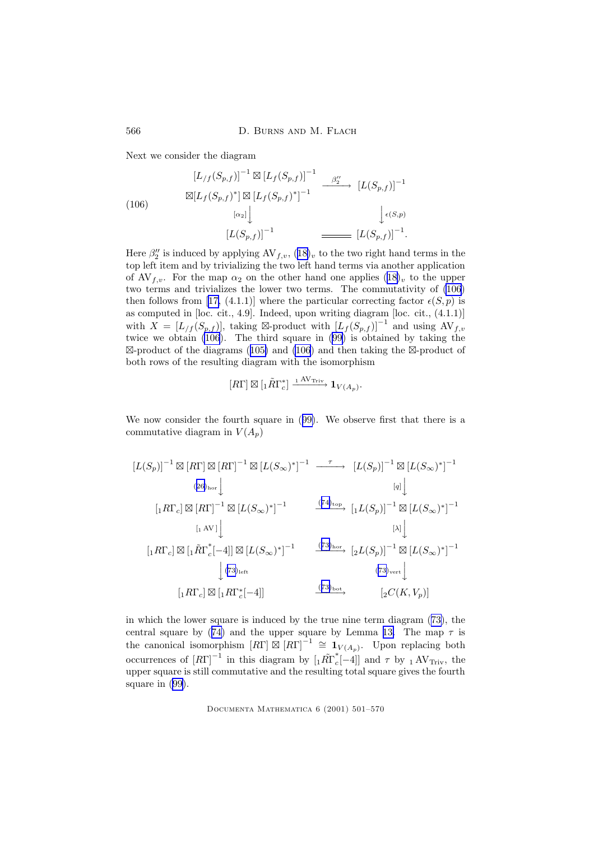566 D. BURNS AND M. FLACH

Next we consider the diagram

$$
[L_{/f}(S_{p,f})]^{-1} \boxtimes [L_f(S_{p,f})]^{-1} \xrightarrow{\beta_2''} [L(S_{p,f})]^{-1}
$$
  
\n
$$
\boxtimes [L_f(S_{p,f})^*] \boxtimes [L_f(S_{p,f})^*]^{-1} \xrightarrow{B_2''} [L(S_{p,f})]^{-1}
$$
  
\n
$$
[L(S_{p,f})]^{-1} \xrightarrow{L(G_{p,f})]^{-1}.
$$

Here  $\beta_2''$  is induced by applying  $AV_{f,v}$ ,  $(18)_v$  $(18)_v$  $(18)_v$  to the two right hand terms in the top left item and by trivializing the two left hand terms via another application of AV<sub>f,v</sub>. For the map  $\alpha_2$  on the other hand one applies  $(18)_v$  $(18)_v$  $(18)_v$  to the upper two terms and trivializes the lower two terms. The commutativity of (106) then follows from [[17,](#page-68-0) (4.1.1)] where the particular correcting factor  $\epsilon(S, p)$  is as computed in [loc. cit., 4.9]. Indeed, upon writing diagram [loc. cit., (4.1.1)] with  $X = [L_f(S_{p,f})]$ , taking ⊠-product with  $[L_f(S_{p,f})]^{-1}$  and using  $AV_{f,v}$ twice we obtain (106). The third square in ([99\)](#page-62-0) is obtained by taking the  $\boxtimes$ -product of the diagrams ([105\)](#page-64-0) and (106) and then taking the  $\boxtimes$ -product of both rows of the resulting diagram with the isomorphism

$$
[R\Gamma] \boxtimes [{}_1\tilde{R}\Gamma^*_{c}] \xrightarrow{1 \text{ AV}_{\text{Triv}}} \mathbf{1}_{V(A_p)}.
$$

We now consider the fourth square in ([99\)](#page-62-0). We observe first that there is a commutative diagram in  $V(A_n)$ 

$$
[L(S_p)]^{-1} \boxtimes [R\Gamma] \boxtimes [R\Gamma]^{-1} \boxtimes [L(S_{\infty})^*]^{-1} \xrightarrow{\tau} [L(S_p)]^{-1} \boxtimes [L(S_{\infty})^*]^{-1}
$$
  
\n
$$
(26)_{\text{hor}} \downarrow \qquad [q] \downarrow
$$
  
\n
$$
[1 R\Gamma_c] \boxtimes [R\Gamma]^{-1} \boxtimes [L(S_{\infty})^*]^{-1} \xrightarrow{\tau} [L(S_p)]^{-1} \boxtimes [L(S_{\infty})^*]^{-1}
$$
  
\n
$$
[1 R\Gamma_c] \boxtimes [1 \tilde{R}\Gamma_c^*[-4]] \boxtimes [L(S_{\infty})^*]^{-1} \xrightarrow{\tau} [2L(S_p)]^{-1} \boxtimes [L(S_{\infty})^*]^{-1}
$$
  
\n
$$
[1 R\Gamma_c] \boxtimes [1 R\Gamma_c^*[-4]] \xrightarrow{\tau} [73]_{\text{hor}} \xrightarrow{\tau} [2L(S_p)]^{-1} \boxtimes [L(S_{\infty})^*]^{-1}
$$
  
\n
$$
[1 R\Gamma_c] \boxtimes [1 R\Gamma_c^*[-4]] \xrightarrow{\tau} [73]_{\text{bot}} \xrightarrow{\tau} [2C(K, V_p)]
$$

in which the lower square is induced by the true nine term diagram ([73\)](#page-49-0), the central square by ([74\)](#page-49-0) and the upper square by Lemma [13.](#page-49-0) The map  $\tau$  is the canonical isomorphism  $[R\Gamma] \boxtimes [R\Gamma]^{-1} \cong \mathbf{1}_{V(A_p)}$ . Upon replacing both occurrences of  $[R\Gamma]^{-1}$  in this diagram by  $\left[{}_1\tilde{R}\tilde{\Gamma}_c^*\right]$  $c_{c}$ [-4]] and  $\tau$  by 1 AV<sub>Triv</sub>, the upper square is still commutative and the resulting total square gives the fourth square in ([99\)](#page-62-0).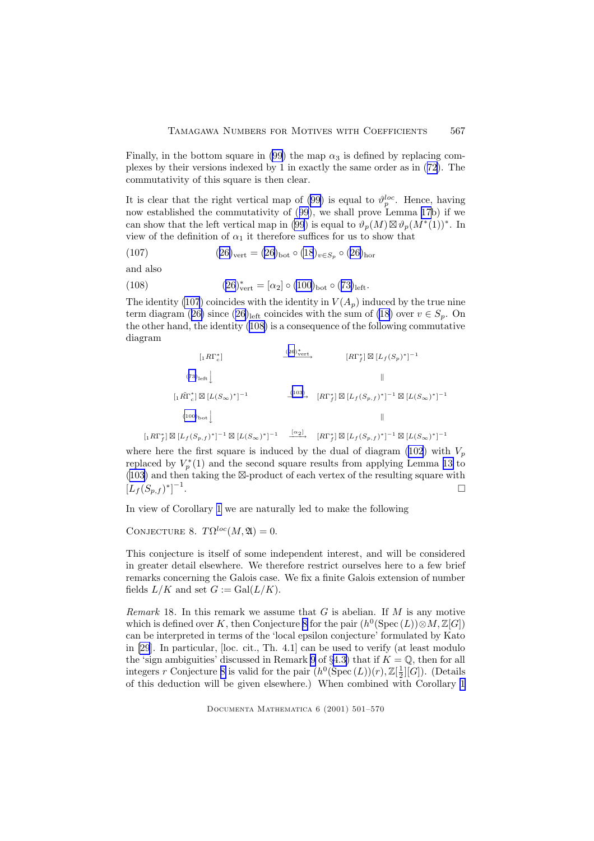<span id="page-66-0"></span>Finally, in the bottom square in [\(99](#page-62-0)) the map  $\alpha_3$  is defined by replacing complexes by their versions indexed by 1 in exactly the same order as in ([72\)](#page-48-0). The commutativity of this square is then clear.

It is clear that the right vertical map of [\(99](#page-62-0)) is equal to  $\vartheta_p^{loc}$ . Hence, having now established the commutativity of  $(99)$  $(99)$  $(99)$ , we shall prove Lemma [17b](#page-57-0)) if we can show that the left vertical map in [\(99](#page-62-0)) is equal to  $\vartheta_p(M) \boxtimes \vartheta_p(M^*(1))^*$ . In view of the definition of  $\alpha_1$  it therefore suffices for us to show that

(107) 
$$
(26)_{\text{vert}} = (26)_{\text{bot}} \circ (18)_{v \in S_p} \circ (26)_{\text{hor}}
$$

and also

(108) 
$$
(26)^{*}_{vert} = [\alpha_{2}] \circ (100)_{bot} \circ (73)_{left}.
$$

The identity (107) coincides with the identity in  $V(A_p)$  induced by the true nine term diagram ([26\)](#page-21-0) since (26)<sub>left</sub> coincides with the sum of [\(18](#page-19-0)) over  $v \in S_p$ . On the other hand, the identity (108) is a consequence of the following commutative diagram

$$
[1R\Gamma_f^*]
$$
\n
$$
(73)_{\text{left}} \downarrow
$$
\n
$$
[R\Gamma_f^*] \boxtimes [L_f(S_p)^*]^{-1}
$$
\n
$$
[1R\Gamma_f^*] \boxtimes [L(S_\infty)^*]^{-1}
$$
\n
$$
(100)_{\text{bot}} \downarrow
$$
\n
$$
[1R\Gamma_f^*] \boxtimes [L_f(S_p, f)^*]^{-1} \boxtimes [L_f(S_p, f)]^{-1}
$$
\n
$$
[1R\Gamma_f^*] \boxtimes [L_f(S_p, f)]^{-1} \boxtimes [L(S_\infty)^*]^{-1}
$$
\n
$$
[1R\Gamma_f^*] \boxtimes [L_f(S_p, f)]^{-1} \boxtimes [L(S_\infty)^*]^{-1}
$$

where here the first square is induced by the dual of diagram [\(102](#page-64-0)) with  $V_p$ replaced by  $V_p^*(1)$  and the second square results from applying Lemma [13](#page-49-0) to  $(103)$  and then taking the  $\boxtimes$ -product of each vertex of the resulting square with  $[L_f(S_{p,f})^*]^{-1}$ . The contract of the contract of the contract of  $\Box$ 

In view of Corollary [1](#page-55-0) we are naturally led to make the following

CONJECTURE 8.  $T\Omega^{loc}(M, \mathfrak{A})=0.$ 

This conjecture is itself of some independent interest, and will be considered in greater detail elsewhere. We therefore restrict ourselves here to a few brief remarks concerning the Galois case. We fix a finite Galois extension of number fields  $L/K$  and set  $G := \text{Gal}(L/K)$ .

Remark 18. In this remark we assume that  $G$  is abelian. If  $M$  is any motive which is defined over K, then Conjecture 8 for the pair  $(h^0(\operatorname{Spec}(L)) \otimes M, \mathbb{Z}[G])$ can be interpreted in terms of the 'local epsilon conjecture' formulated by Kato in [\[29](#page-68-0)]. In particular, [loc. cit., Th. 4.1] can be used to verify (at least modulo the 'sign ambiguities' discussed in Remark [9](#page-35-0) of  $\S 4.3$ ) that if  $K = \mathbb{Q}$ , then for all integers r Conjecture 8 is valid for the pair  $(h^0(\text{Spec}(L))(r), \mathbb{Z}[\frac{1}{2}][G])$ . (Details of this deduction will be given elsewhere.) When combined with Corollary [1](#page-55-0)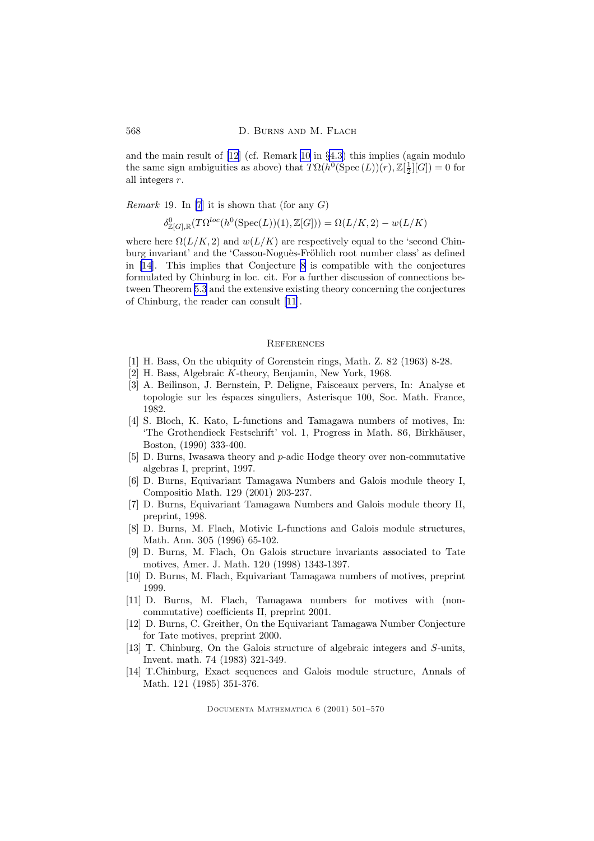<span id="page-67-0"></span>and the main result of [12] (cf. Remark [10](#page-36-0) in §[4.3](#page-34-0)) this implies (again modulo the same sign ambiguities as above) that  $T\Omega(h^0(\text{Spec}(L))(r), \mathbb{Z}[\frac{1}{2}][G]) = 0$  for all integers  $r$ .

*Remark* 19. In [7] it is shown that (for any  $G$ )

$$
\delta^0_{\mathbb{Z}[G],\mathbb{R}}(T\Omega^{loc}(h^0(\operatorname{Spec}(L))(1),\mathbb{Z}[G])) = \Omega(L/K,2) - w(L/K)
$$

where here  $\Omega(L/K, 2)$  and  $w(L/K)$  are respectively equal to the 'second Chinburg invariant' and the 'Cassou-Noguès-Fröhlich root number class' as defined in [14]. This implies that Conjecture [8](#page-66-0) is compatible with the conjectures formulated by Chinburg in loc. cit. For a further discussion of connections between Theorem [5.3](#page-55-0) and the extensive existing theory concerning the conjectures of Chinburg, the reader can consult [11].

#### **REFERENCES**

- [1] H. Bass, On the ubiquity of Gorenstein rings, Math. Z. 82 (1963) 8-28.
- [2] H. Bass, Algebraic K-theory, Benjamin, New York, 1968.
- [3] A. Beilinson, J. Bernstein, P. Deligne, Faisceaux pervers, In: Analyse et topologie sur les éspaces singuliers, Asterisque 100, Soc. Math. France, 1982.
- [4] S. Bloch, K. Kato, L-functions and Tamagawa numbers of motives, In: 'The Grothendieck Festschrift' vol. 1, Progress in Math. 86, Birkhäuser, Boston, (1990) 333-400.
- [5] D. Burns, Iwasawa theory and p-adic Hodge theory over non-commutative algebras I, preprint, 1997.
- [6] D. Burns, Equivariant Tamagawa Numbers and Galois module theory I, Compositio Math. 129 (2001) 203-237.
- [7] D. Burns, Equivariant Tamagawa Numbers and Galois module theory II, preprint, 1998.
- [8] D. Burns, M. Flach, Motivic L-functions and Galois module structures, Math. Ann. 305 (1996) 65-102.
- [9] D. Burns, M. Flach, On Galois structure invariants associated to Tate motives, Amer. J. Math. 120 (1998) 1343-1397.
- [10] D. Burns, M. Flach, Equivariant Tamagawa numbers of motives, preprint 1999.
- [11] D. Burns, M. Flach, Tamagawa numbers for motives with (noncommutative) coefficients II, preprint 2001.
- [12] D. Burns, C. Greither, On the Equivariant Tamagawa Number Conjecture for Tate motives, preprint 2000.
- [13] T. Chinburg, On the Galois structure of algebraic integers and S-units, Invent. math. 74 (1983) 321-349.
- [14] T.Chinburg, Exact sequences and Galois module structure, Annals of Math. 121 (1985) 351-376.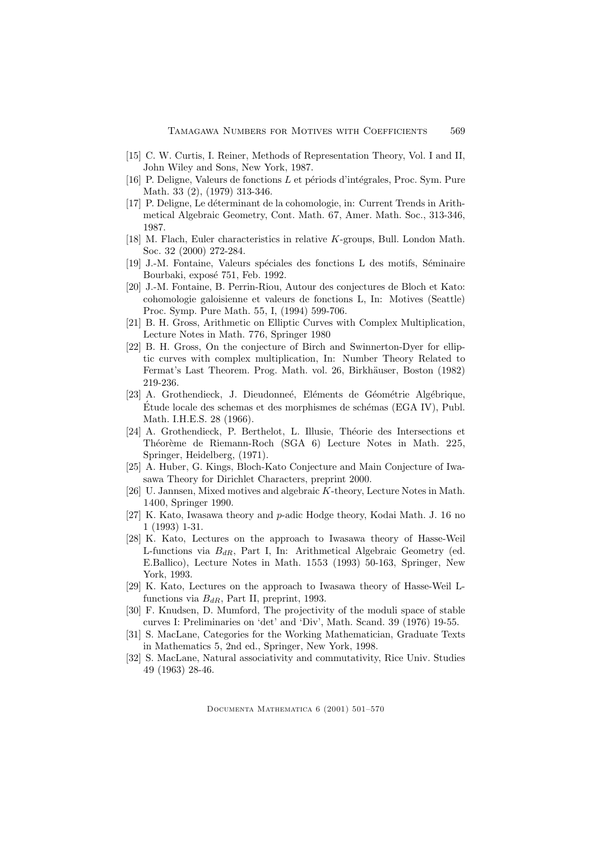- <span id="page-68-0"></span>[15] C. W. Curtis, I. Reiner, Methods of Representation Theory, Vol. I and II, John Wiley and Sons, New York, 1987.
- [16] P. Deligne, Valeurs de fonctions  $L$  et périods d'intégrales, Proc. Sym. Pure Math. 33 (2), (1979) 313-346.
- [17] P. Deligne, Le d´eterminant de la cohomologie, in: Current Trends in Arithmetical Algebraic Geometry, Cont. Math. 67, Amer. Math. Soc., 313-346, 1987.
- [18] M. Flach, Euler characteristics in relative K-groups, Bull. London Math. Soc. 32 (2000) 272-284.
- [19] J.-M. Fontaine, Valeurs spéciales des fonctions L des motifs, Séminaire Bourbaki, exposé 751, Feb. 1992.
- [20] J.-M. Fontaine, B. Perrin-Riou, Autour des conjectures de Bloch et Kato: cohomologie galoisienne et valeurs de fonctions L, In: Motives (Seattle) Proc. Symp. Pure Math. 55, I, (1994) 599-706.
- [21] B. H. Gross, Arithmetic on Elliptic Curves with Complex Multiplication, Lecture Notes in Math. 776, Springer 1980
- [22] B. H. Gross, On the conjecture of Birch and Swinnerton-Dyer for elliptic curves with complex multiplication, In: Number Theory Related to Fermat's Last Theorem. Prog. Math. vol. 26, Birkhäuser, Boston (1982) 219-236.
- [23] A. Grothendieck, J. Dieudonneé, Eléments de Géométrie Algébrique,  $\acute{E}$ tude locale des schemas et des morphismes de schémas (EGA IV), Publ. Math. I.H.E.S. 28 (1966).
- [24] A. Grothendieck, P. Berthelot, L. Illusie, Théorie des Intersections et Théorème de Riemann-Roch (SGA 6) Lecture Notes in Math. 225, Springer, Heidelberg, (1971).
- [25] A. Huber, G. Kings, Bloch-Kato Conjecture and Main Conjecture of Iwasawa Theory for Dirichlet Characters, preprint 2000.
- [26] U. Jannsen, Mixed motives and algebraic K-theory, Lecture Notes in Math. 1400, Springer 1990.
- [27] K. Kato, Iwasawa theory and p-adic Hodge theory, Kodai Math. J. 16 no 1 (1993) 1-31.
- [28] K. Kato, Lectures on the approach to Iwasawa theory of Hasse-Weil L-functions via  $B_{dR}$ , Part I, In: Arithmetical Algebraic Geometry (ed. E.Ballico), Lecture Notes in Math. 1553 (1993) 50-163, Springer, New York, 1993.
- [29] K. Kato, Lectures on the approach to Iwasawa theory of Hasse-Weil Lfunctions via  $B_{dR}$ , Part II, preprint, 1993.
- [30] F. Knudsen, D. Mumford, The projectivity of the moduli space of stable curves I: Preliminaries on 'det' and 'Div', Math. Scand. 39 (1976) 19-55.
- [31] S. MacLane, Categories for the Working Mathematician, Graduate Texts in Mathematics 5, 2nd ed., Springer, New York, 1998.
- [32] S. MacLane, Natural associativity and commutativity, Rice Univ. Studies 49 (1963) 28-46.